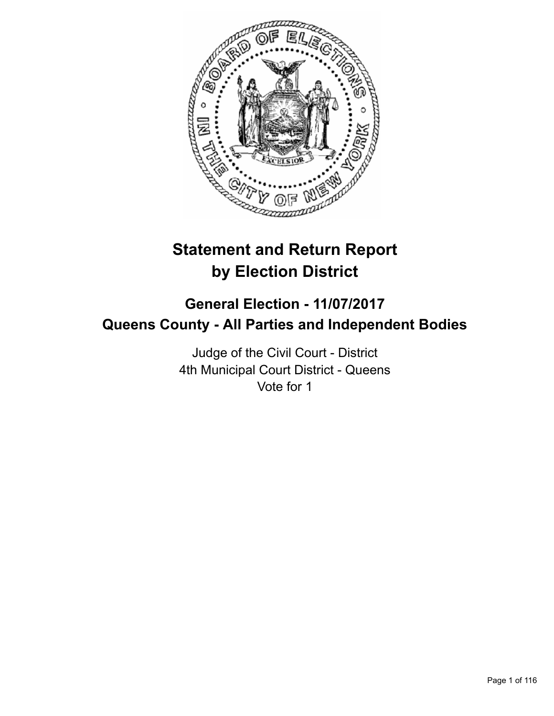

# **Statement and Return Report by Election District**

# **General Election - 11/07/2017 Queens County - All Parties and Independent Bodies**

Judge of the Civil Court - District 4th Municipal Court District - Queens Vote for 1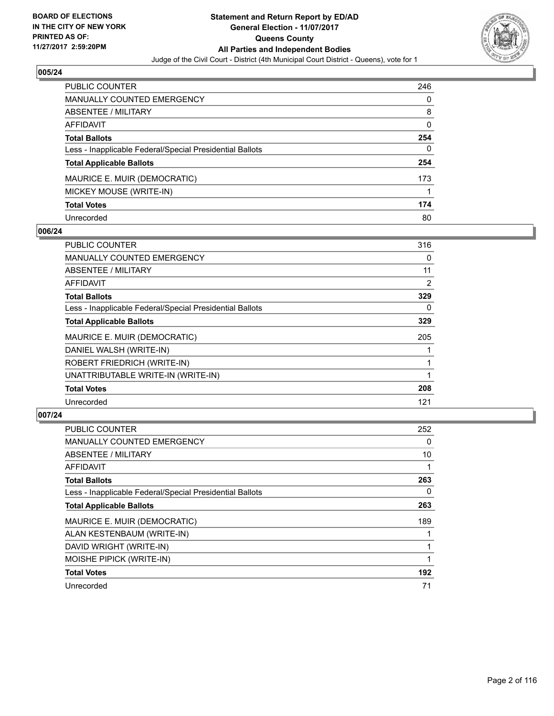

| <b>PUBLIC COUNTER</b>                                    | 246 |
|----------------------------------------------------------|-----|
| <b>MANUALLY COUNTED EMERGENCY</b>                        | 0   |
| ABSENTEE / MILITARY                                      | 8   |
| <b>AFFIDAVIT</b>                                         | 0   |
| <b>Total Ballots</b>                                     | 254 |
| Less - Inapplicable Federal/Special Presidential Ballots | 0   |
| <b>Total Applicable Ballots</b>                          | 254 |
| MAURICE E. MUIR (DEMOCRATIC)                             | 173 |
| MICKEY MOUSE (WRITE-IN)                                  |     |
| <b>Total Votes</b>                                       | 174 |
| Unrecorded                                               | 80  |

## **006/24**

| PUBLIC COUNTER                                           | 316 |
|----------------------------------------------------------|-----|
| <b>MANUALLY COUNTED EMERGENCY</b>                        | 0   |
| <b>ABSENTEE / MILITARY</b>                               | 11  |
| <b>AFFIDAVIT</b>                                         | 2   |
| <b>Total Ballots</b>                                     | 329 |
| Less - Inapplicable Federal/Special Presidential Ballots | 0   |
| <b>Total Applicable Ballots</b>                          | 329 |
| MAURICE E. MUIR (DEMOCRATIC)                             | 205 |
| DANIEL WALSH (WRITE-IN)                                  |     |
| ROBERT FRIEDRICH (WRITE-IN)                              |     |
| UNATTRIBUTABLE WRITE-IN (WRITE-IN)                       |     |
| <b>Total Votes</b>                                       | 208 |
| Unrecorded                                               | 121 |

| <b>PUBLIC COUNTER</b>                                    | 252 |
|----------------------------------------------------------|-----|
| MANUALLY COUNTED EMERGENCY                               | 0   |
| ABSENTEE / MILITARY                                      | 10  |
| AFFIDAVIT                                                |     |
| <b>Total Ballots</b>                                     | 263 |
| Less - Inapplicable Federal/Special Presidential Ballots | 0   |
| <b>Total Applicable Ballots</b>                          | 263 |
| MAURICE E. MUIR (DEMOCRATIC)                             | 189 |
| ALAN KESTENBAUM (WRITE-IN)                               |     |
| DAVID WRIGHT (WRITE-IN)                                  |     |
| MOISHE PIPICK (WRITE-IN)                                 |     |
| <b>Total Votes</b>                                       | 192 |
| Unrecorded                                               | 71  |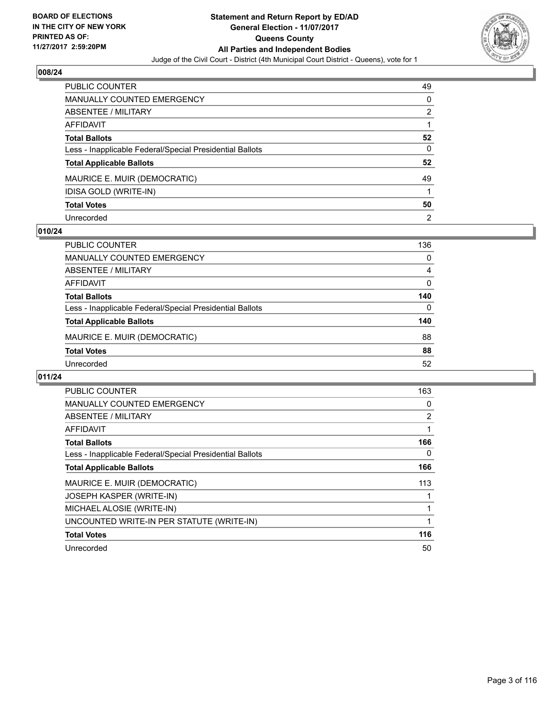

| PUBLIC COUNTER                                           | 49 |
|----------------------------------------------------------|----|
| MANUALLY COUNTED EMERGENCY                               | 0  |
| <b>ABSENTEE / MILITARY</b>                               | 2  |
| <b>AFFIDAVIT</b>                                         |    |
| <b>Total Ballots</b>                                     | 52 |
| Less - Inapplicable Federal/Special Presidential Ballots | 0  |
| <b>Total Applicable Ballots</b>                          | 52 |
| MAURICE E. MUIR (DEMOCRATIC)                             | 49 |
| IDISA GOLD (WRITE-IN)                                    |    |
| <b>Total Votes</b>                                       | 50 |
| Unrecorded                                               | 2  |

#### **010/24**

| <b>PUBLIC COUNTER</b>                                    | 136 |
|----------------------------------------------------------|-----|
| MANUALLY COUNTED EMERGENCY                               | 0   |
| ABSENTEE / MILITARY                                      | 4   |
| AFFIDAVIT                                                | 0   |
| <b>Total Ballots</b>                                     | 140 |
| Less - Inapplicable Federal/Special Presidential Ballots | 0   |
| <b>Total Applicable Ballots</b>                          | 140 |
| MAURICE E. MUIR (DEMOCRATIC)                             | 88  |
| <b>Total Votes</b>                                       | 88  |
| Unrecorded                                               | 52  |

| PUBLIC COUNTER                                           | 163            |
|----------------------------------------------------------|----------------|
| <b>MANUALLY COUNTED EMERGENCY</b>                        | 0              |
| ABSENTEE / MILITARY                                      | $\overline{2}$ |
| AFFIDAVIT                                                |                |
| <b>Total Ballots</b>                                     | 166            |
| Less - Inapplicable Federal/Special Presidential Ballots | 0              |
| <b>Total Applicable Ballots</b>                          | 166            |
| MAURICE E. MUIR (DEMOCRATIC)                             | 113            |
| <b>JOSEPH KASPER (WRITE-IN)</b>                          |                |
| MICHAEL ALOSIE (WRITE-IN)                                |                |
| UNCOUNTED WRITE-IN PER STATUTE (WRITE-IN)                |                |
| <b>Total Votes</b>                                       | 116            |
| Unrecorded                                               | 50             |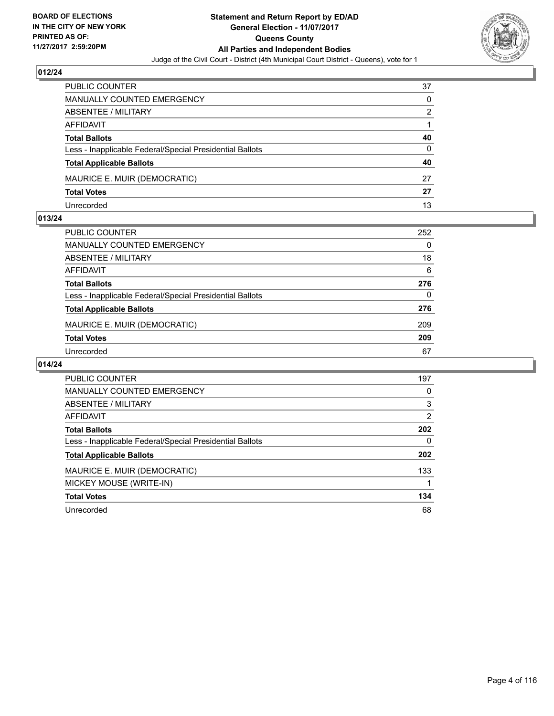

| PUBLIC COUNTER                                           | 37 |
|----------------------------------------------------------|----|
| <b>MANUALLY COUNTED EMERGENCY</b>                        | 0  |
| <b>ABSENTEE / MILITARY</b>                               | 2  |
| AFFIDAVIT                                                |    |
| <b>Total Ballots</b>                                     | 40 |
| Less - Inapplicable Federal/Special Presidential Ballots | 0  |
| <b>Total Applicable Ballots</b>                          | 40 |
| MAURICE E. MUIR (DEMOCRATIC)                             | 27 |
| <b>Total Votes</b>                                       | 27 |
| Unrecorded                                               | 13 |

#### **013/24**

| <b>PUBLIC COUNTER</b>                                    | 252 |
|----------------------------------------------------------|-----|
| <b>MANUALLY COUNTED EMERGENCY</b>                        | 0   |
| <b>ABSENTEE / MILITARY</b>                               | 18  |
| AFFIDAVIT                                                | 6   |
| <b>Total Ballots</b>                                     | 276 |
| Less - Inapplicable Federal/Special Presidential Ballots | 0   |
| <b>Total Applicable Ballots</b>                          | 276 |
| MAURICE E. MUIR (DEMOCRATIC)                             | 209 |
| <b>Total Votes</b>                                       | 209 |
| Unrecorded                                               | 67  |

| <b>PUBLIC COUNTER</b>                                    | 197 |
|----------------------------------------------------------|-----|
| <b>MANUALLY COUNTED EMERGENCY</b>                        | 0   |
| ABSENTEE / MILITARY                                      | 3   |
| <b>AFFIDAVIT</b>                                         | 2   |
| <b>Total Ballots</b>                                     | 202 |
| Less - Inapplicable Federal/Special Presidential Ballots | 0   |
| <b>Total Applicable Ballots</b>                          | 202 |
| MAURICE E. MUIR (DEMOCRATIC)                             | 133 |
| MICKEY MOUSE (WRITE-IN)                                  |     |
| <b>Total Votes</b>                                       | 134 |
| Unrecorded                                               | 68  |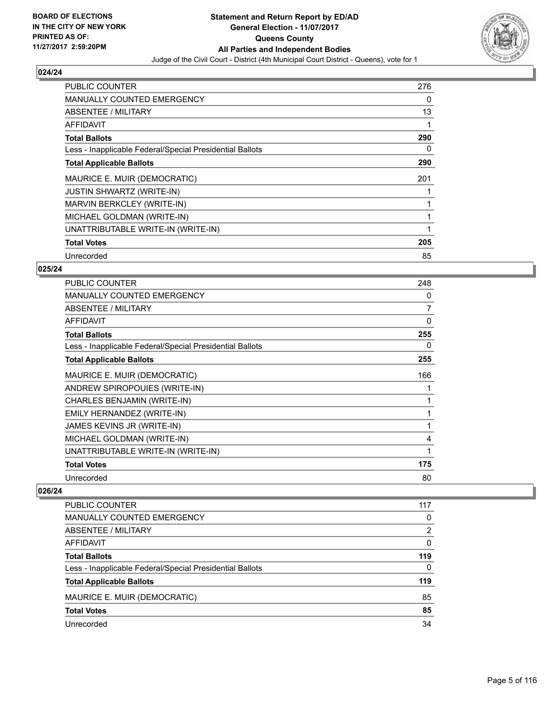

| <b>PUBLIC COUNTER</b>                                    | 276 |
|----------------------------------------------------------|-----|
| <b>MANUALLY COUNTED EMERGENCY</b>                        | 0   |
| ABSENTEE / MILITARY                                      | 13  |
| AFFIDAVIT                                                |     |
| <b>Total Ballots</b>                                     | 290 |
| Less - Inapplicable Federal/Special Presidential Ballots | 0   |
| <b>Total Applicable Ballots</b>                          | 290 |
| MAURICE E. MUIR (DEMOCRATIC)                             | 201 |
| <b>JUSTIN SHWARTZ (WRITE-IN)</b>                         |     |
| MARVIN BERKCLEY (WRITE-IN)                               |     |
| MICHAEL GOLDMAN (WRITE-IN)                               |     |
| UNATTRIBUTABLE WRITE-IN (WRITE-IN)                       |     |
| <b>Total Votes</b>                                       | 205 |
| Unrecorded                                               | 85  |

# **025/24**

| <b>PUBLIC COUNTER</b>                                    | 248 |
|----------------------------------------------------------|-----|
| <b>MANUALLY COUNTED EMERGENCY</b>                        | 0   |
| ABSENTEE / MILITARY                                      | 7   |
| <b>AFFIDAVIT</b>                                         | 0   |
| <b>Total Ballots</b>                                     | 255 |
| Less - Inapplicable Federal/Special Presidential Ballots | 0   |
| <b>Total Applicable Ballots</b>                          | 255 |
| MAURICE E. MUIR (DEMOCRATIC)                             | 166 |
| ANDREW SPIROPOUIES (WRITE-IN)                            |     |
| CHARLES BENJAMIN (WRITE-IN)                              |     |
| EMILY HERNANDEZ (WRITE-IN)                               | 1   |
| JAMES KEVINS JR (WRITE-IN)                               |     |
| MICHAEL GOLDMAN (WRITE-IN)                               | 4   |
| UNATTRIBUTABLE WRITE-IN (WRITE-IN)                       | 1   |
| <b>Total Votes</b>                                       | 175 |
| Unrecorded                                               | 80  |

| <b>PUBLIC COUNTER</b>                                    | 117      |
|----------------------------------------------------------|----------|
| <b>MANUALLY COUNTED EMERGENCY</b>                        | 0        |
| ABSENTEE / MILITARY                                      | 2        |
| AFFIDAVIT                                                | 0        |
| <b>Total Ballots</b>                                     | 119      |
| Less - Inapplicable Federal/Special Presidential Ballots | $\Omega$ |
| <b>Total Applicable Ballots</b>                          | 119      |
| MAURICE E. MUIR (DEMOCRATIC)                             | 85       |
| <b>Total Votes</b>                                       | 85       |
| Unrecorded                                               | 34       |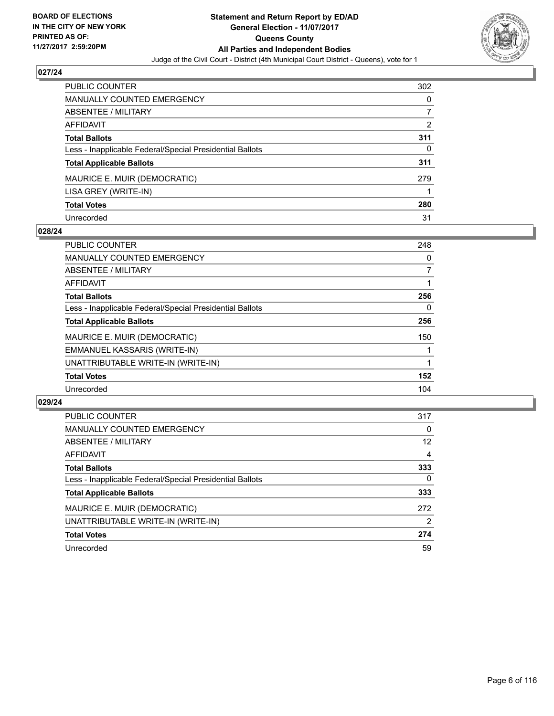

| <b>PUBLIC COUNTER</b>                                    | 302 |
|----------------------------------------------------------|-----|
| <b>MANUALLY COUNTED EMERGENCY</b>                        | 0   |
| ABSENTEE / MILITARY                                      |     |
| <b>AFFIDAVIT</b>                                         | 2   |
| <b>Total Ballots</b>                                     | 311 |
| Less - Inapplicable Federal/Special Presidential Ballots | 0   |
| <b>Total Applicable Ballots</b>                          | 311 |
| MAURICE E. MUIR (DEMOCRATIC)                             | 279 |
| LISA GREY (WRITE-IN)                                     |     |
| <b>Total Votes</b>                                       | 280 |
| Unrecorded                                               | 31  |

#### **028/24**

| <b>PUBLIC COUNTER</b>                                    | 248 |
|----------------------------------------------------------|-----|
| <b>MANUALLY COUNTED EMERGENCY</b>                        | 0   |
| ABSENTEE / MILITARY                                      | 7   |
| AFFIDAVIT                                                |     |
| <b>Total Ballots</b>                                     | 256 |
| Less - Inapplicable Federal/Special Presidential Ballots | 0   |
| <b>Total Applicable Ballots</b>                          | 256 |
| MAURICE E. MUIR (DEMOCRATIC)                             | 150 |
| EMMANUEL KASSARIS (WRITE-IN)                             |     |
| UNATTRIBUTABLE WRITE-IN (WRITE-IN)                       |     |
| <b>Total Votes</b>                                       | 152 |
| Unrecorded                                               | 104 |

| <b>PUBLIC COUNTER</b>                                    | 317      |
|----------------------------------------------------------|----------|
| MANUALLY COUNTED EMERGENCY                               | 0        |
| ABSENTEE / MILITARY                                      | 12       |
| AFFIDAVIT                                                | 4        |
| <b>Total Ballots</b>                                     | 333      |
| Less - Inapplicable Federal/Special Presidential Ballots | $\Omega$ |
| <b>Total Applicable Ballots</b>                          | 333      |
| MAURICE E. MUIR (DEMOCRATIC)                             | 272      |
| UNATTRIBUTABLE WRITE-IN (WRITE-IN)                       | 2        |
| <b>Total Votes</b>                                       | 274      |
| Unrecorded                                               | 59       |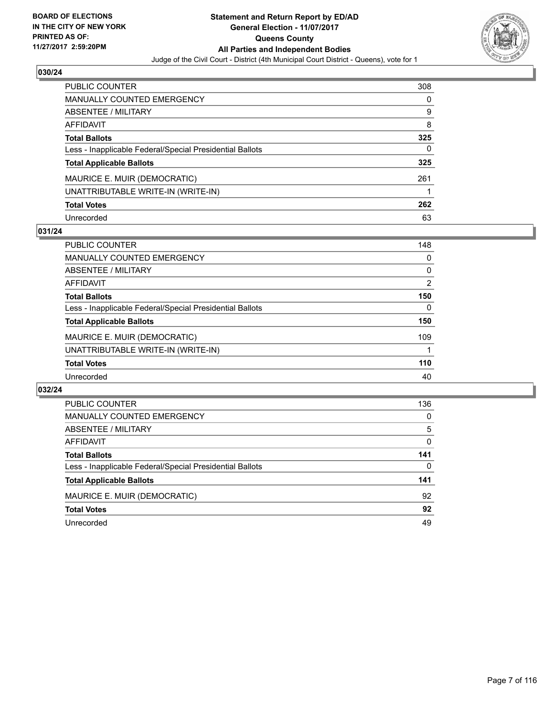

| <b>PUBLIC COUNTER</b>                                    | 308 |
|----------------------------------------------------------|-----|
| <b>MANUALLY COUNTED EMERGENCY</b>                        | 0   |
| ABSENTEE / MILITARY                                      | 9   |
| AFFIDAVIT                                                | 8   |
| <b>Total Ballots</b>                                     | 325 |
| Less - Inapplicable Federal/Special Presidential Ballots | 0   |
| <b>Total Applicable Ballots</b>                          | 325 |
| MAURICE E. MUIR (DEMOCRATIC)                             | 261 |
| UNATTRIBUTABLE WRITE-IN (WRITE-IN)                       |     |
| <b>Total Votes</b>                                       | 262 |
| Unrecorded                                               | 63  |

## **031/24**

| <b>PUBLIC COUNTER</b>                                    | 148 |
|----------------------------------------------------------|-----|
| MANUALLY COUNTED EMERGENCY                               | 0   |
| ABSENTEE / MILITARY                                      | 0   |
| AFFIDAVIT                                                | 2   |
| <b>Total Ballots</b>                                     | 150 |
| Less - Inapplicable Federal/Special Presidential Ballots | 0   |
| <b>Total Applicable Ballots</b>                          | 150 |
| MAURICE E. MUIR (DEMOCRATIC)                             | 109 |
| UNATTRIBUTABLE WRITE-IN (WRITE-IN)                       |     |
| <b>Total Votes</b>                                       | 110 |
| Unrecorded                                               | 40  |

| <b>PUBLIC COUNTER</b>                                    | 136 |
|----------------------------------------------------------|-----|
| <b>MANUALLY COUNTED EMERGENCY</b>                        | 0   |
| ABSENTEE / MILITARY                                      | 5   |
| AFFIDAVIT                                                | 0   |
| <b>Total Ballots</b>                                     | 141 |
| Less - Inapplicable Federal/Special Presidential Ballots | 0   |
| <b>Total Applicable Ballots</b>                          | 141 |
| MAURICE E. MUIR (DEMOCRATIC)                             | 92  |
| <b>Total Votes</b>                                       | 92  |
| Unrecorded                                               | 49  |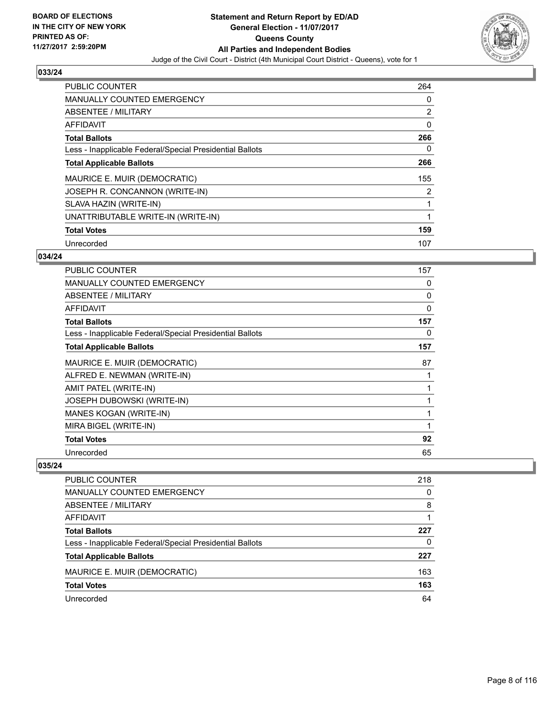

| <b>PUBLIC COUNTER</b>                                    | 264 |
|----------------------------------------------------------|-----|
| <b>MANUALLY COUNTED EMERGENCY</b>                        | 0   |
| ABSENTEE / MILITARY                                      | 2   |
| <b>AFFIDAVIT</b>                                         | 0   |
| <b>Total Ballots</b>                                     | 266 |
| Less - Inapplicable Federal/Special Presidential Ballots | 0   |
| <b>Total Applicable Ballots</b>                          | 266 |
| MAURICE E. MUIR (DEMOCRATIC)                             | 155 |
| JOSEPH R. CONCANNON (WRITE-IN)                           | 2   |
| SLAVA HAZIN (WRITE-IN)                                   |     |
| UNATTRIBUTABLE WRITE-IN (WRITE-IN)                       | 1   |
| <b>Total Votes</b>                                       | 159 |
| Unrecorded                                               | 107 |

## **034/24**

| <b>PUBLIC COUNTER</b>                                    | 157 |
|----------------------------------------------------------|-----|
| <b>MANUALLY COUNTED EMERGENCY</b>                        | 0   |
| ABSENTEE / MILITARY                                      | 0   |
| AFFIDAVIT                                                | 0   |
| <b>Total Ballots</b>                                     | 157 |
| Less - Inapplicable Federal/Special Presidential Ballots | 0   |
| <b>Total Applicable Ballots</b>                          | 157 |
| MAURICE E. MUIR (DEMOCRATIC)                             | 87  |
| ALFRED E. NEWMAN (WRITE-IN)                              |     |
| AMIT PATEL (WRITE-IN)                                    |     |
| <b>JOSEPH DUBOWSKI (WRITE-IN)</b>                        |     |
| MANES KOGAN (WRITE-IN)                                   |     |
| MIRA BIGEL (WRITE-IN)                                    | 1   |
| <b>Total Votes</b>                                       | 92  |
| Unrecorded                                               | 65  |

| <b>PUBLIC COUNTER</b>                                    | 218 |
|----------------------------------------------------------|-----|
| MANUALLY COUNTED EMERGENCY                               | 0   |
| ABSENTEE / MILITARY                                      | 8   |
| AFFIDAVIT                                                |     |
| <b>Total Ballots</b>                                     | 227 |
| Less - Inapplicable Federal/Special Presidential Ballots | 0   |
| <b>Total Applicable Ballots</b>                          | 227 |
| MAURICE E. MUIR (DEMOCRATIC)                             | 163 |
| <b>Total Votes</b>                                       | 163 |
| Unrecorded                                               | 64  |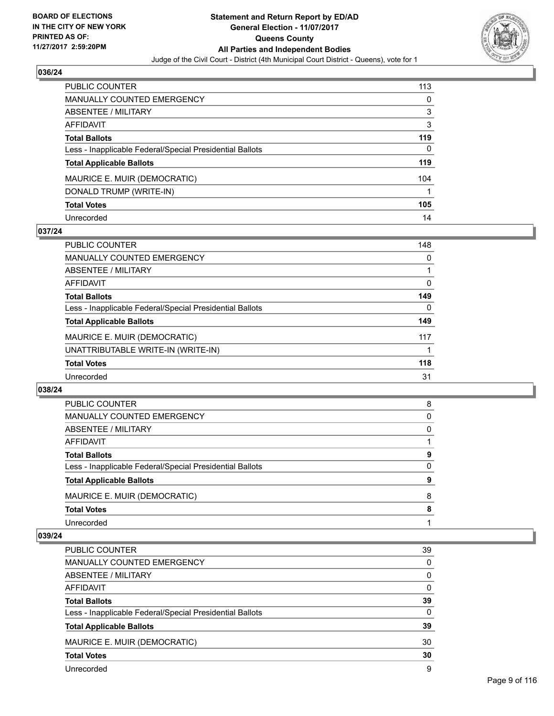

| <b>PUBLIC COUNTER</b>                                    | 113 |
|----------------------------------------------------------|-----|
| <b>MANUALLY COUNTED EMERGENCY</b>                        | 0   |
| <b>ABSENTEE / MILITARY</b>                               | 3   |
| AFFIDAVIT                                                | 3   |
| <b>Total Ballots</b>                                     | 119 |
| Less - Inapplicable Federal/Special Presidential Ballots | 0   |
| <b>Total Applicable Ballots</b>                          | 119 |
| MAURICE E. MUIR (DEMOCRATIC)                             | 104 |
| DONALD TRUMP (WRITE-IN)                                  |     |
| <b>Total Votes</b>                                       | 105 |
| Unrecorded                                               | 14  |

# **037/24**

| <b>PUBLIC COUNTER</b>                                    | 148 |
|----------------------------------------------------------|-----|
| MANUALLY COUNTED EMERGENCY                               | 0   |
| ABSENTEE / MILITARY                                      |     |
| AFFIDAVIT                                                | 0   |
| <b>Total Ballots</b>                                     | 149 |
| Less - Inapplicable Federal/Special Presidential Ballots | 0   |
| <b>Total Applicable Ballots</b>                          | 149 |
| MAURICE E. MUIR (DEMOCRATIC)                             | 117 |
| UNATTRIBUTABLE WRITE-IN (WRITE-IN)                       |     |
| <b>Total Votes</b>                                       | 118 |
| Unrecorded                                               | 31  |

#### **038/24**

| <b>PUBLIC COUNTER</b>                                    | 8 |
|----------------------------------------------------------|---|
| MANUALLY COUNTED EMERGENCY                               | 0 |
| ABSENTEE / MILITARY                                      | 0 |
| AFFIDAVIT                                                |   |
| <b>Total Ballots</b>                                     | 9 |
| Less - Inapplicable Federal/Special Presidential Ballots | 0 |
| <b>Total Applicable Ballots</b>                          | 9 |
| MAURICE E. MUIR (DEMOCRATIC)                             | 8 |
| <b>Total Votes</b>                                       | 8 |
| Unrecorded                                               |   |

| PUBLIC COUNTER                                           | 39       |
|----------------------------------------------------------|----------|
| MANUALLY COUNTED EMERGENCY                               | 0        |
| ABSENTEE / MILITARY                                      | 0        |
| AFFIDAVIT                                                | $\Omega$ |
| <b>Total Ballots</b>                                     | 39       |
| Less - Inapplicable Federal/Special Presidential Ballots | $\Omega$ |
| <b>Total Applicable Ballots</b>                          | 39       |
| MAURICE E. MUIR (DEMOCRATIC)                             | 30       |
| <b>Total Votes</b>                                       | 30       |
| Unrecorded                                               | 9        |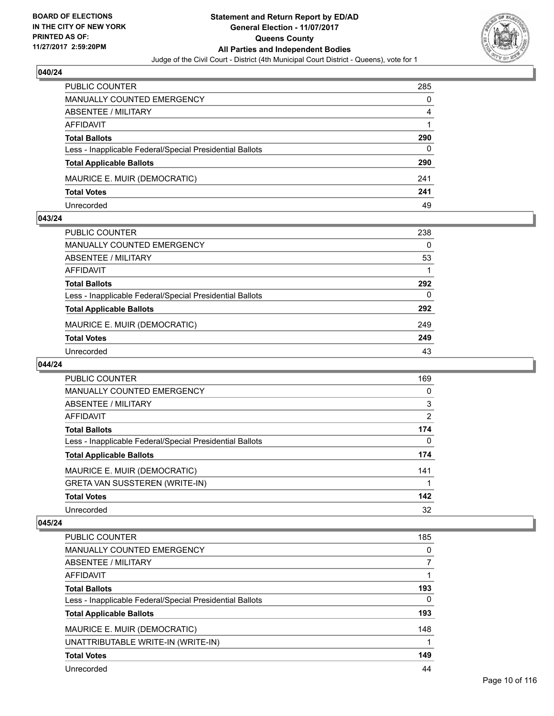

| <b>PUBLIC COUNTER</b>                                    | 285 |
|----------------------------------------------------------|-----|
| MANUALLY COUNTED EMERGENCY                               | 0   |
| ABSENTEE / MILITARY                                      | 4   |
| AFFIDAVIT                                                |     |
| <b>Total Ballots</b>                                     | 290 |
| Less - Inapplicable Federal/Special Presidential Ballots | 0   |
| <b>Total Applicable Ballots</b>                          | 290 |
| MAURICE E. MUIR (DEMOCRATIC)                             | 241 |
| <b>Total Votes</b>                                       | 241 |
| Unrecorded                                               | 49  |

#### **043/24**

| PUBLIC COUNTER                                           | 238      |
|----------------------------------------------------------|----------|
| <b>MANUALLY COUNTED EMERGENCY</b>                        | $\Omega$ |
| <b>ABSENTEE / MILITARY</b>                               | 53       |
| <b>AFFIDAVIT</b>                                         |          |
| <b>Total Ballots</b>                                     | 292      |
| Less - Inapplicable Federal/Special Presidential Ballots | $\Omega$ |
| <b>Total Applicable Ballots</b>                          | 292      |
| MAURICE E. MUIR (DEMOCRATIC)                             | 249      |
| <b>Total Votes</b>                                       | 249      |
| Unrecorded                                               | 43       |

## **044/24**

| <b>PUBLIC COUNTER</b>                                    | 169 |
|----------------------------------------------------------|-----|
| MANUALLY COUNTED EMERGENCY                               | 0   |
| ABSENTEE / MILITARY                                      | 3   |
| AFFIDAVIT                                                | 2   |
| <b>Total Ballots</b>                                     | 174 |
| Less - Inapplicable Federal/Special Presidential Ballots | 0   |
| <b>Total Applicable Ballots</b>                          | 174 |
| MAURICE E. MUIR (DEMOCRATIC)                             | 141 |
| <b>GRETA VAN SUSSTEREN (WRITE-IN)</b>                    |     |
| <b>Total Votes</b>                                       | 142 |
| Unrecorded                                               | 32  |

| <b>PUBLIC COUNTER</b>                                    | 185 |
|----------------------------------------------------------|-----|
| <b>MANUALLY COUNTED EMERGENCY</b>                        | 0   |
| ABSENTEE / MILITARY                                      |     |
| <b>AFFIDAVIT</b>                                         |     |
| <b>Total Ballots</b>                                     | 193 |
| Less - Inapplicable Federal/Special Presidential Ballots | 0   |
| <b>Total Applicable Ballots</b>                          | 193 |
| MAURICE E. MUIR (DEMOCRATIC)                             | 148 |
| UNATTRIBUTABLE WRITE-IN (WRITE-IN)                       |     |
| <b>Total Votes</b>                                       | 149 |
| Unrecorded                                               | 44  |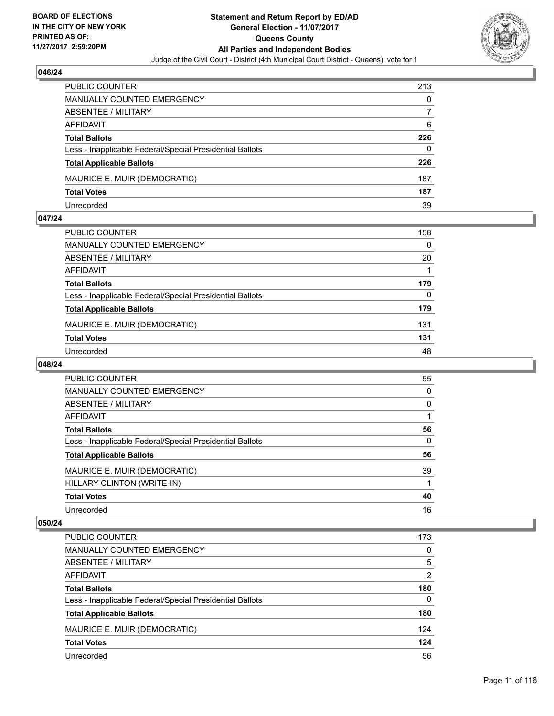

| <b>PUBLIC COUNTER</b>                                    | 213 |
|----------------------------------------------------------|-----|
| <b>MANUALLY COUNTED EMERGENCY</b>                        | 0   |
| <b>ABSENTEE / MILITARY</b>                               |     |
| AFFIDAVIT                                                | 6   |
| <b>Total Ballots</b>                                     | 226 |
| Less - Inapplicable Federal/Special Presidential Ballots | 0   |
| <b>Total Applicable Ballots</b>                          | 226 |
| MAURICE E. MUIR (DEMOCRATIC)                             | 187 |
| <b>Total Votes</b>                                       | 187 |
| Unrecorded                                               | 39  |

#### **047/24**

| PUBLIC COUNTER                                           | 158 |
|----------------------------------------------------------|-----|
| <b>MANUALLY COUNTED EMERGENCY</b>                        | 0   |
| <b>ABSENTEE / MILITARY</b>                               | 20  |
| <b>AFFIDAVIT</b>                                         |     |
| <b>Total Ballots</b>                                     | 179 |
| Less - Inapplicable Federal/Special Presidential Ballots | 0   |
| <b>Total Applicable Ballots</b>                          | 179 |
| MAURICE E. MUIR (DEMOCRATIC)                             | 131 |
| <b>Total Votes</b>                                       | 131 |
| Unrecorded                                               | 48  |
|                                                          |     |

## **048/24**

| <b>PUBLIC COUNTER</b>                                    | 55 |
|----------------------------------------------------------|----|
| <b>MANUALLY COUNTED EMERGENCY</b>                        | 0  |
| ABSENTEE / MILITARY                                      | 0  |
| AFFIDAVIT                                                |    |
| <b>Total Ballots</b>                                     | 56 |
| Less - Inapplicable Federal/Special Presidential Ballots | 0  |
| <b>Total Applicable Ballots</b>                          | 56 |
| MAURICE E. MUIR (DEMOCRATIC)                             | 39 |
| HILLARY CLINTON (WRITE-IN)                               |    |
| <b>Total Votes</b>                                       | 40 |
| Unrecorded                                               | 16 |

| PUBLIC COUNTER                                           | 173            |
|----------------------------------------------------------|----------------|
| MANUALLY COUNTED EMERGENCY                               | 0              |
| ABSENTEE / MILITARY                                      | 5              |
| AFFIDAVIT                                                | $\overline{2}$ |
| <b>Total Ballots</b>                                     | 180            |
| Less - Inapplicable Federal/Special Presidential Ballots | 0              |
| <b>Total Applicable Ballots</b>                          | 180            |
| MAURICE E. MUIR (DEMOCRATIC)                             | 124            |
| <b>Total Votes</b>                                       | 124            |
| Unrecorded                                               | 56             |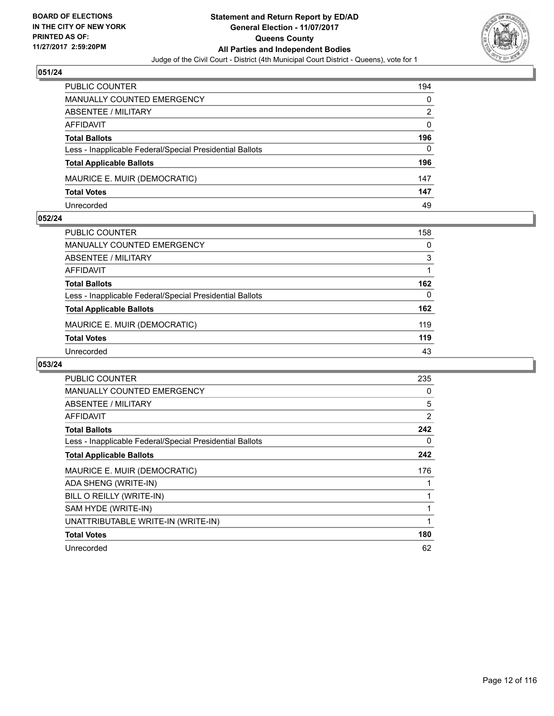

| PUBLIC COUNTER                                           | 194 |
|----------------------------------------------------------|-----|
| MANUALLY COUNTED EMERGENCY                               | 0   |
| <b>ABSENTEE / MILITARY</b>                               | 2   |
| AFFIDAVIT                                                | 0   |
| <b>Total Ballots</b>                                     | 196 |
| Less - Inapplicable Federal/Special Presidential Ballots | 0   |
| <b>Total Applicable Ballots</b>                          | 196 |
| MAURICE E. MUIR (DEMOCRATIC)                             | 147 |
| <b>Total Votes</b>                                       | 147 |
| Unrecorded                                               | 49  |

#### **052/24**

| PUBLIC COUNTER                                           | 158 |
|----------------------------------------------------------|-----|
| <b>MANUALLY COUNTED EMERGENCY</b>                        | 0   |
| ABSENTEE / MILITARY                                      | 3   |
| AFFIDAVIT                                                |     |
| <b>Total Ballots</b>                                     | 162 |
| Less - Inapplicable Federal/Special Presidential Ballots | 0   |
| <b>Total Applicable Ballots</b>                          | 162 |
| MAURICE E. MUIR (DEMOCRATIC)                             | 119 |
| <b>Total Votes</b>                                       | 119 |
| Unrecorded                                               | 43  |
|                                                          |     |

| <b>PUBLIC COUNTER</b>                                    | 235 |
|----------------------------------------------------------|-----|
| <b>MANUALLY COUNTED EMERGENCY</b>                        | 0   |
| <b>ABSENTEE / MILITARY</b>                               | 5   |
| AFFIDAVIT                                                | 2   |
| <b>Total Ballots</b>                                     | 242 |
| Less - Inapplicable Federal/Special Presidential Ballots | 0   |
| <b>Total Applicable Ballots</b>                          | 242 |
| MAURICE E. MUIR (DEMOCRATIC)                             | 176 |
| ADA SHENG (WRITE-IN)                                     |     |
| BILL O REILLY (WRITE-IN)                                 |     |
| SAM HYDE (WRITE-IN)                                      | 1   |
| UNATTRIBUTABLE WRITE-IN (WRITE-IN)                       | 1   |
| <b>Total Votes</b>                                       | 180 |
| Unrecorded                                               | 62  |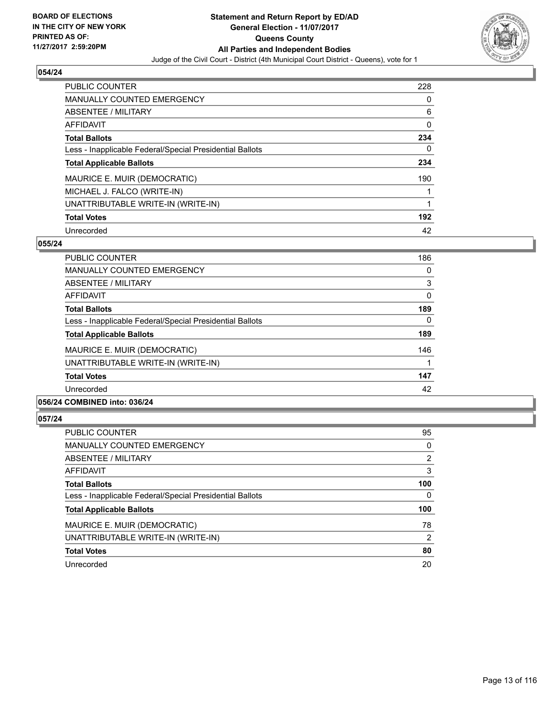

| <b>PUBLIC COUNTER</b>                                    | 228 |
|----------------------------------------------------------|-----|
| <b>MANUALLY COUNTED EMERGENCY</b>                        | 0   |
| ABSENTEE / MILITARY                                      | 6   |
| AFFIDAVIT                                                | 0   |
| <b>Total Ballots</b>                                     | 234 |
| Less - Inapplicable Federal/Special Presidential Ballots | 0   |
| <b>Total Applicable Ballots</b>                          | 234 |
| MAURICE E. MUIR (DEMOCRATIC)                             | 190 |
| MICHAEL J. FALCO (WRITE-IN)                              |     |
| UNATTRIBUTABLE WRITE-IN (WRITE-IN)                       |     |
| <b>Total Votes</b>                                       | 192 |
| Unrecorded                                               | 42  |

#### **055/24**

| PUBLIC COUNTER                                           | 186 |
|----------------------------------------------------------|-----|
| <b>MANUALLY COUNTED EMERGENCY</b>                        | 0   |
| ABSENTEE / MILITARY                                      | 3   |
| <b>AFFIDAVIT</b>                                         | 0   |
| <b>Total Ballots</b>                                     | 189 |
| Less - Inapplicable Federal/Special Presidential Ballots | 0   |
| <b>Total Applicable Ballots</b>                          | 189 |
| MAURICE E. MUIR (DEMOCRATIC)                             | 146 |
| UNATTRIBUTABLE WRITE-IN (WRITE-IN)                       |     |
| <b>Total Votes</b>                                       | 147 |
| Unrecorded                                               | 42  |
|                                                          |     |

# **056/24 COMBINED into: 036/24**

| <b>PUBLIC COUNTER</b>                                    | 95  |
|----------------------------------------------------------|-----|
| MANUALLY COUNTED EMERGENCY                               | 0   |
| ABSENTEE / MILITARY                                      | 2   |
| AFFIDAVIT                                                | 3   |
| <b>Total Ballots</b>                                     | 100 |
| Less - Inapplicable Federal/Special Presidential Ballots | 0   |
| <b>Total Applicable Ballots</b>                          | 100 |
| MAURICE E. MUIR (DEMOCRATIC)                             | 78  |
| UNATTRIBUTABLE WRITE-IN (WRITE-IN)                       | 2   |
| <b>Total Votes</b>                                       | 80  |
| Unrecorded                                               | 20  |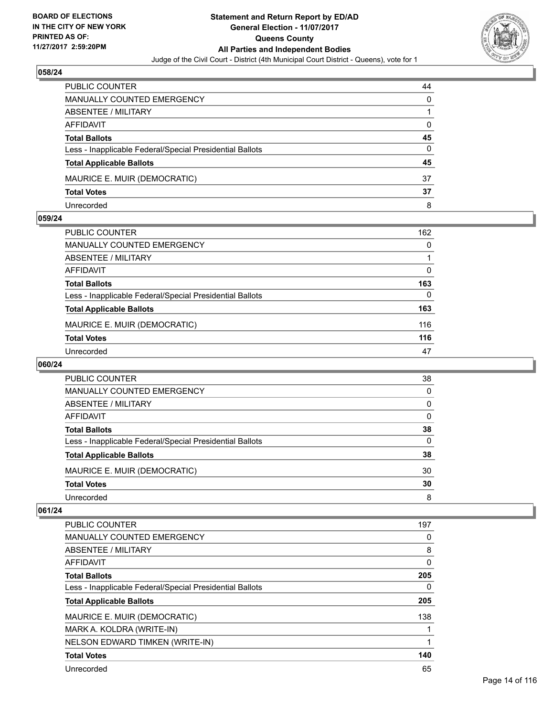

| <b>PUBLIC COUNTER</b>                                    | 44 |
|----------------------------------------------------------|----|
| MANUALLY COUNTED EMERGENCY                               | 0  |
| ABSENTEE / MILITARY                                      |    |
| AFFIDAVIT                                                | 0  |
| <b>Total Ballots</b>                                     | 45 |
| Less - Inapplicable Federal/Special Presidential Ballots | 0  |
| <b>Total Applicable Ballots</b>                          | 45 |
| MAURICE E. MUIR (DEMOCRATIC)                             | 37 |
| <b>Total Votes</b>                                       | 37 |
| Unrecorded                                               | 8  |

#### **059/24**

| PUBLIC COUNTER                                           | 162 |
|----------------------------------------------------------|-----|
| <b>MANUALLY COUNTED EMERGENCY</b>                        | 0   |
| <b>ABSENTEE / MILITARY</b>                               |     |
| <b>AFFIDAVIT</b>                                         | 0   |
| <b>Total Ballots</b>                                     | 163 |
| Less - Inapplicable Federal/Special Presidential Ballots | 0   |
| <b>Total Applicable Ballots</b>                          | 163 |
| MAURICE E. MUIR (DEMOCRATIC)                             | 116 |
| <b>Total Votes</b>                                       | 116 |
| Unrecorded                                               | 47  |
|                                                          |     |

# **060/24**

| PUBLIC COUNTER                                           | 38 |
|----------------------------------------------------------|----|
| MANUALLY COUNTED EMERGENCY                               | 0  |
| ABSENTEE / MILITARY                                      | 0  |
| AFFIDAVIT                                                | 0  |
| <b>Total Ballots</b>                                     | 38 |
| Less - Inapplicable Federal/Special Presidential Ballots | 0  |
| <b>Total Applicable Ballots</b>                          | 38 |
| MAURICE E. MUIR (DEMOCRATIC)                             | 30 |
| <b>Total Votes</b>                                       | 30 |
| Unrecorded                                               | 8  |

| <b>PUBLIC COUNTER</b>                                    | 197 |
|----------------------------------------------------------|-----|
| <b>MANUALLY COUNTED EMERGENCY</b>                        | 0   |
| ABSENTEE / MILITARY                                      | 8   |
| AFFIDAVIT                                                | 0   |
| <b>Total Ballots</b>                                     | 205 |
| Less - Inapplicable Federal/Special Presidential Ballots | 0   |
| <b>Total Applicable Ballots</b>                          | 205 |
|                                                          |     |
| MAURICE E. MUIR (DEMOCRATIC)                             | 138 |
| MARK A. KOLDRA (WRITE-IN)                                |     |
| NELSON EDWARD TIMKEN (WRITE-IN)                          |     |
| <b>Total Votes</b>                                       | 140 |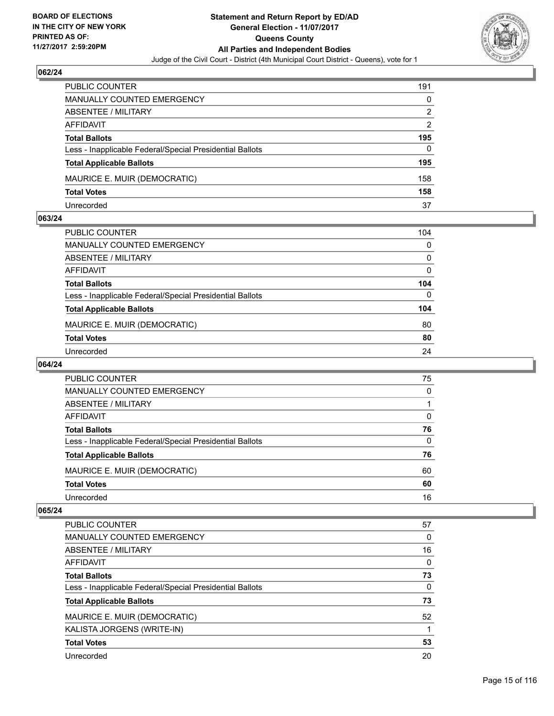

| PUBLIC COUNTER                                           | 191 |
|----------------------------------------------------------|-----|
| MANUALLY COUNTED EMERGENCY                               | 0   |
| <b>ABSENTEE / MILITARY</b>                               | 2   |
| AFFIDAVIT                                                | 2   |
| <b>Total Ballots</b>                                     | 195 |
| Less - Inapplicable Federal/Special Presidential Ballots | 0   |
| <b>Total Applicable Ballots</b>                          | 195 |
| MAURICE E. MUIR (DEMOCRATIC)                             | 158 |
| <b>Total Votes</b>                                       | 158 |
| Unrecorded                                               | 37  |

#### **063/24**

| PUBLIC COUNTER                                           | 104      |
|----------------------------------------------------------|----------|
| <b>MANUALLY COUNTED EMERGENCY</b>                        | 0        |
| <b>ABSENTEE / MILITARY</b>                               | $\Omega$ |
| <b>AFFIDAVIT</b>                                         | 0        |
| <b>Total Ballots</b>                                     | 104      |
| Less - Inapplicable Federal/Special Presidential Ballots | $\Omega$ |
| <b>Total Applicable Ballots</b>                          | 104      |
| MAURICE E. MUIR (DEMOCRATIC)                             | 80       |
| <b>Total Votes</b>                                       | 80       |
| Unrecorded                                               | 24       |
|                                                          |          |

# **064/24**

| PUBLIC COUNTER                                           | 75 |
|----------------------------------------------------------|----|
| <b>MANUALLY COUNTED EMERGENCY</b>                        | 0  |
| ABSENTEE / MILITARY                                      |    |
| AFFIDAVIT                                                | 0  |
| <b>Total Ballots</b>                                     | 76 |
| Less - Inapplicable Federal/Special Presidential Ballots | 0  |
| <b>Total Applicable Ballots</b>                          | 76 |
| MAURICE E. MUIR (DEMOCRATIC)                             | 60 |
| <b>Total Votes</b>                                       | 60 |
| Unrecorded                                               | 16 |

| <b>PUBLIC COUNTER</b>                                    | 57 |
|----------------------------------------------------------|----|
| MANUALLY COUNTED EMERGENCY                               | 0  |
| ABSENTEE / MILITARY                                      | 16 |
| AFFIDAVIT                                                | 0  |
| <b>Total Ballots</b>                                     | 73 |
| Less - Inapplicable Federal/Special Presidential Ballots | 0  |
| <b>Total Applicable Ballots</b>                          | 73 |
| MAURICE E. MUIR (DEMOCRATIC)                             | 52 |
| KALISTA JORGENS (WRITE-IN)                               |    |
| <b>Total Votes</b>                                       | 53 |
| Unrecorded                                               | 20 |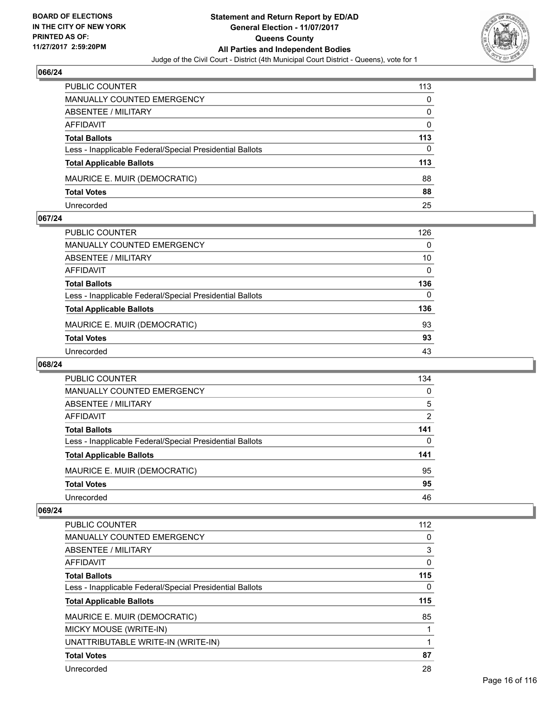

| <b>PUBLIC COUNTER</b>                                    | 113 |
|----------------------------------------------------------|-----|
| MANUALLY COUNTED EMERGENCY                               | 0   |
| ABSENTEE / MILITARY                                      | 0   |
| AFFIDAVIT                                                | 0   |
| <b>Total Ballots</b>                                     | 113 |
| Less - Inapplicable Federal/Special Presidential Ballots | 0   |
| <b>Total Applicable Ballots</b>                          | 113 |
| MAURICE E. MUIR (DEMOCRATIC)                             | 88  |
| <b>Total Votes</b>                                       | 88  |
| Unrecorded                                               | 25  |

#### **067/24**

| PUBLIC COUNTER                                           | 126      |
|----------------------------------------------------------|----------|
| <b>MANUALLY COUNTED EMERGENCY</b>                        | 0        |
| <b>ABSENTEE / MILITARY</b>                               | 10       |
| <b>AFFIDAVIT</b>                                         | $\Omega$ |
| <b>Total Ballots</b>                                     | 136      |
| Less - Inapplicable Federal/Special Presidential Ballots | $\Omega$ |
| <b>Total Applicable Ballots</b>                          | 136      |
| MAURICE E. MUIR (DEMOCRATIC)                             | 93       |
| <b>Total Votes</b>                                       | 93       |
| Unrecorded                                               | 43       |
|                                                          |          |

# **068/24**

| <b>PUBLIC COUNTER</b>                                    | 134            |
|----------------------------------------------------------|----------------|
| MANUALLY COUNTED EMERGENCY                               | 0              |
| ABSENTEE / MILITARY                                      | 5              |
| AFFIDAVIT                                                | $\overline{2}$ |
| <b>Total Ballots</b>                                     | 141            |
| Less - Inapplicable Federal/Special Presidential Ballots | 0              |
| <b>Total Applicable Ballots</b>                          | 141            |
| MAURICE E. MUIR (DEMOCRATIC)                             | 95             |
| <b>Total Votes</b>                                       | 95             |
| Unrecorded                                               | 46             |

| <b>PUBLIC COUNTER</b>                                    | 112 |
|----------------------------------------------------------|-----|
| <b>MANUALLY COUNTED EMERGENCY</b>                        | 0   |
| ABSENTEE / MILITARY                                      | 3   |
| AFFIDAVIT                                                | 0   |
| <b>Total Ballots</b>                                     | 115 |
| Less - Inapplicable Federal/Special Presidential Ballots | 0   |
|                                                          |     |
| <b>Total Applicable Ballots</b>                          | 115 |
| MAURICE E. MUIR (DEMOCRATIC)                             | 85  |
| MICKY MOUSE (WRITE-IN)                                   |     |
| UNATTRIBUTABLE WRITE-IN (WRITE-IN)                       |     |
| <b>Total Votes</b>                                       | 87  |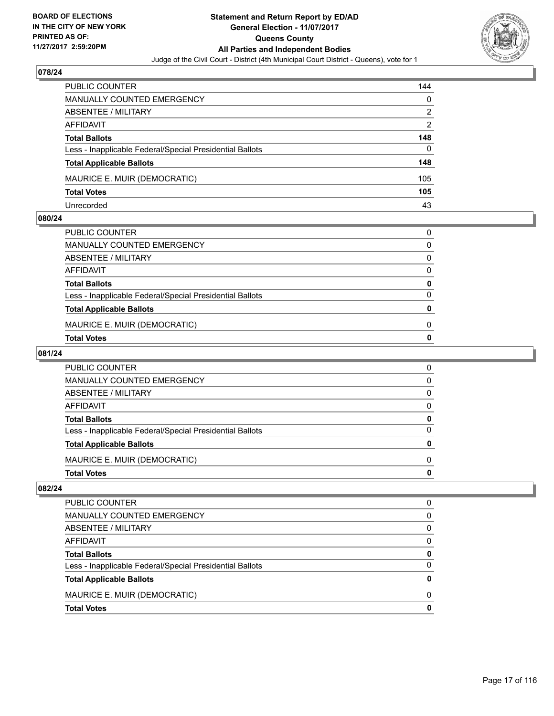

| <b>PUBLIC COUNTER</b>                                    | 144 |
|----------------------------------------------------------|-----|
| <b>MANUALLY COUNTED EMERGENCY</b>                        | 0   |
| ABSENTEE / MILITARY                                      | 2   |
| AFFIDAVIT                                                | 2   |
| <b>Total Ballots</b>                                     | 148 |
| Less - Inapplicable Federal/Special Presidential Ballots | 0   |
| <b>Total Applicable Ballots</b>                          | 148 |
| MAURICE E. MUIR (DEMOCRATIC)                             | 105 |
| <b>Total Votes</b>                                       | 105 |
| Unrecorded                                               | 43  |

#### **080/24**

| PUBLIC COUNTER                                           | 0            |
|----------------------------------------------------------|--------------|
| MANUALLY COUNTED EMERGENCY                               | 0            |
| ABSENTEE / MILITARY                                      | 0            |
| AFFIDAVIT                                                | 0            |
| Total Ballots                                            | 0            |
| Less - Inapplicable Federal/Special Presidential Ballots | <sup>0</sup> |
| <b>Total Applicable Ballots</b>                          | n            |
| MAURICE E. MUIR (DEMOCRATIC)                             | 0            |
| <b>Total Votes</b>                                       | o            |
|                                                          |              |

# **081/24**

| PUBLIC COUNTER                                           | 0        |
|----------------------------------------------------------|----------|
| <b>MANUALLY COUNTED EMERGENCY</b>                        | 0        |
| <b>ABSENTEE / MILITARY</b>                               | 0        |
| AFFIDAVIT                                                | 0        |
| <b>Total Ballots</b>                                     | 0        |
| Less - Inapplicable Federal/Special Presidential Ballots | $\Omega$ |
| <b>Total Applicable Ballots</b>                          | 0        |
| MAURICE E. MUIR (DEMOCRATIC)                             | 0        |
| <b>Total Votes</b>                                       | O        |

| <b>Total Votes</b>                                       |   |
|----------------------------------------------------------|---|
| MAURICE E. MUIR (DEMOCRATIC)                             | 0 |
| <b>Total Applicable Ballots</b>                          | Ω |
| Less - Inapplicable Federal/Special Presidential Ballots | 0 |
| <b>Total Ballots</b>                                     | 0 |
| AFFIDAVIT                                                | 0 |
| ABSENTEE / MILITARY                                      | 0 |
| MANUALLY COUNTED EMERGENCY                               | 0 |
| PUBLIC COUNTER                                           | 0 |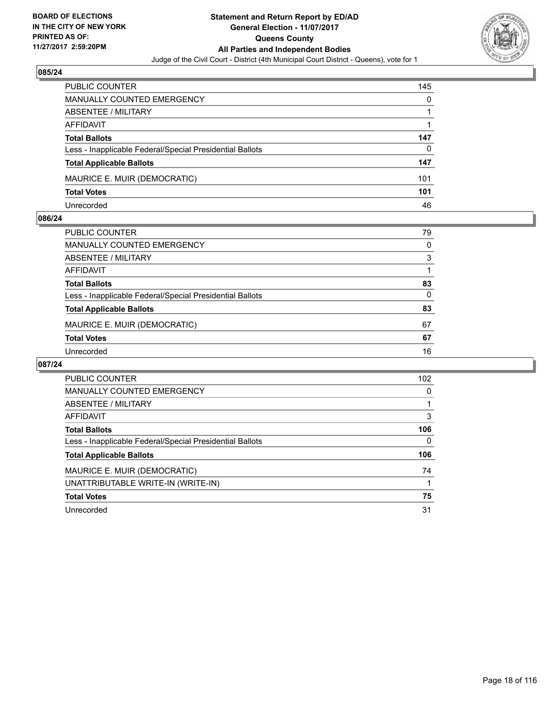

| <b>PUBLIC COUNTER</b>                                    | 145 |
|----------------------------------------------------------|-----|
| <b>MANUALLY COUNTED EMERGENCY</b>                        | 0   |
| ABSENTEE / MILITARY                                      |     |
| AFFIDAVIT                                                |     |
| <b>Total Ballots</b>                                     | 147 |
| Less - Inapplicable Federal/Special Presidential Ballots | 0   |
| <b>Total Applicable Ballots</b>                          | 147 |
| MAURICE E. MUIR (DEMOCRATIC)                             | 101 |
| <b>Total Votes</b>                                       | 101 |
| Unrecorded                                               | 46  |

#### **086/24**

| PUBLIC COUNTER                                           | 79 |
|----------------------------------------------------------|----|
| <b>MANUALLY COUNTED EMERGENCY</b>                        | 0  |
| <b>ABSENTEE / MILITARY</b>                               | 3  |
| AFFIDAVIT                                                |    |
| <b>Total Ballots</b>                                     | 83 |
| Less - Inapplicable Federal/Special Presidential Ballots | 0  |
| <b>Total Applicable Ballots</b>                          | 83 |
| MAURICE E. MUIR (DEMOCRATIC)                             | 67 |
| <b>Total Votes</b>                                       | 67 |
| Unrecorded                                               | 16 |
|                                                          |    |

| <b>PUBLIC COUNTER</b>                                    | 102 |
|----------------------------------------------------------|-----|
| <b>MANUALLY COUNTED EMERGENCY</b>                        | 0   |
| ABSENTEE / MILITARY                                      |     |
| AFFIDAVIT                                                | 3   |
| <b>Total Ballots</b>                                     | 106 |
| Less - Inapplicable Federal/Special Presidential Ballots | 0   |
| <b>Total Applicable Ballots</b>                          | 106 |
| MAURICE E. MUIR (DEMOCRATIC)                             | 74  |
| UNATTRIBUTABLE WRITE-IN (WRITE-IN)                       |     |
| <b>Total Votes</b>                                       | 75  |
| Unrecorded                                               | 31  |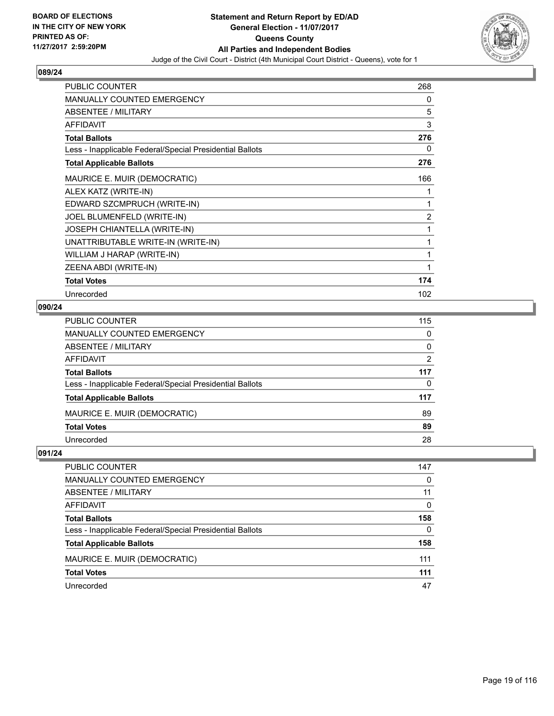

| <b>PUBLIC COUNTER</b>                                    | 268            |
|----------------------------------------------------------|----------------|
| <b>MANUALLY COUNTED EMERGENCY</b>                        | 0              |
| <b>ABSENTEE / MILITARY</b>                               | 5              |
| <b>AFFIDAVIT</b>                                         | 3              |
| <b>Total Ballots</b>                                     | 276            |
| Less - Inapplicable Federal/Special Presidential Ballots | 0              |
| <b>Total Applicable Ballots</b>                          | 276            |
| MAURICE E. MUIR (DEMOCRATIC)                             | 166            |
| ALEX KATZ (WRITE-IN)                                     | 1              |
| EDWARD SZCMPRUCH (WRITE-IN)                              | 1              |
| JOEL BLUMENFELD (WRITE-IN)                               | $\overline{2}$ |
| JOSEPH CHIANTELLA (WRITE-IN)                             | 1              |
| UNATTRIBUTABLE WRITE-IN (WRITE-IN)                       | 1              |
| WILLIAM J HARAP (WRITE-IN)                               | 1              |
| ZEENA ABDI (WRITE-IN)                                    | 1              |
| <b>Total Votes</b>                                       | 174            |
| Unrecorded                                               | 102            |

# **090/24**

| PUBLIC COUNTER                                           | 115 |
|----------------------------------------------------------|-----|
| MANUALLY COUNTED EMERGENCY                               | 0   |
| ABSENTEE / MILITARY                                      | 0   |
| AFFIDAVIT                                                | 2   |
| Total Ballots                                            | 117 |
| Less - Inapplicable Federal/Special Presidential Ballots | 0   |
| <b>Total Applicable Ballots</b>                          | 117 |
| MAURICE E. MUIR (DEMOCRATIC)                             | 89  |
| <b>Total Votes</b>                                       | 89  |
| Unrecorded                                               | 28  |

| PUBLIC COUNTER                                           | 147      |
|----------------------------------------------------------|----------|
| <b>MANUALLY COUNTED EMERGENCY</b>                        | $\Omega$ |
| ABSENTEE / MILITARY                                      | 11       |
| <b>AFFIDAVIT</b>                                         | 0        |
| <b>Total Ballots</b>                                     | 158      |
| Less - Inapplicable Federal/Special Presidential Ballots | 0        |
| <b>Total Applicable Ballots</b>                          | 158      |
| MAURICE E. MUIR (DEMOCRATIC)                             | 111      |
| <b>Total Votes</b>                                       | 111      |
| Unrecorded                                               | 47       |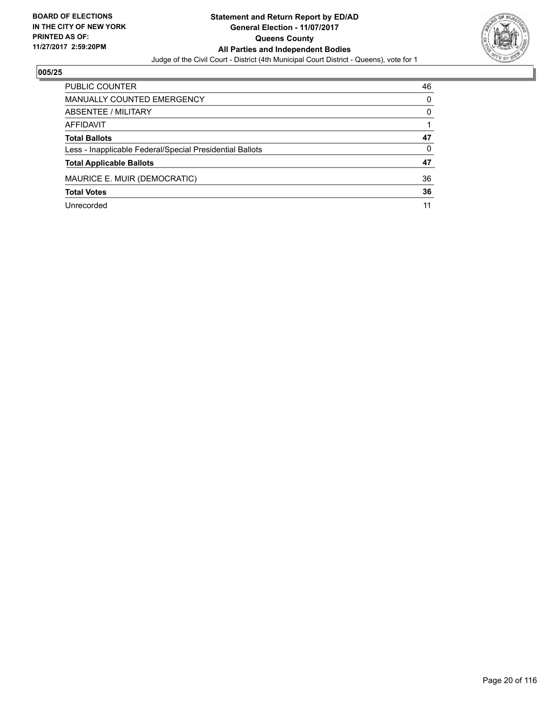

| <b>PUBLIC COUNTER</b>                                    | 46 |
|----------------------------------------------------------|----|
| <b>MANUALLY COUNTED EMERGENCY</b>                        | 0  |
| ABSENTEE / MILITARY                                      | 0  |
| AFFIDAVIT                                                |    |
| <b>Total Ballots</b>                                     | 47 |
| Less - Inapplicable Federal/Special Presidential Ballots | 0  |
| <b>Total Applicable Ballots</b>                          | 47 |
| MAURICE E. MUIR (DEMOCRATIC)                             | 36 |
| <b>Total Votes</b>                                       | 36 |
| Unrecorded                                               | 11 |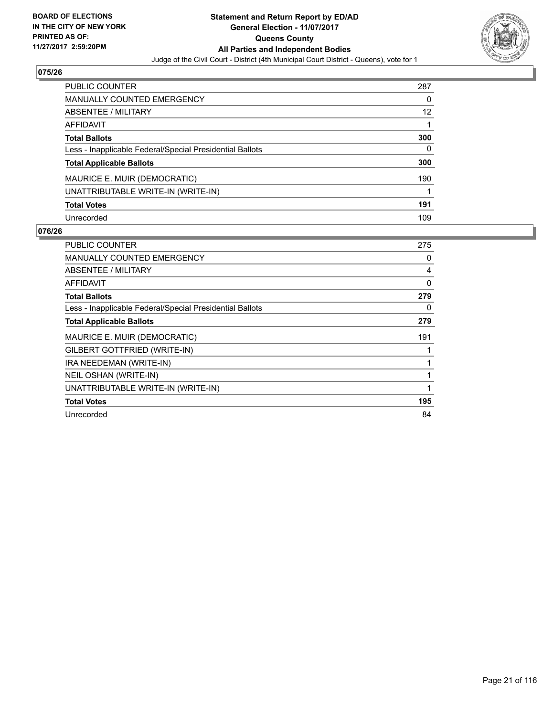

| PUBLIC COUNTER                                           | 287 |
|----------------------------------------------------------|-----|
| <b>MANUALLY COUNTED EMERGENCY</b>                        | 0   |
| ABSENTEE / MILITARY                                      | 12  |
| AFFIDAVIT                                                |     |
| <b>Total Ballots</b>                                     | 300 |
| Less - Inapplicable Federal/Special Presidential Ballots | 0   |
| <b>Total Applicable Ballots</b>                          | 300 |
| MAURICE E. MUIR (DEMOCRATIC)                             | 190 |
| UNATTRIBUTABLE WRITE-IN (WRITE-IN)                       |     |
| <b>Total Votes</b>                                       | 191 |
| Unrecorded                                               | 109 |

| PUBLIC COUNTER                                           | 275          |
|----------------------------------------------------------|--------------|
| MANUALLY COUNTED EMERGENCY                               | 0            |
| ABSENTEE / MILITARY                                      | 4            |
| AFFIDAVIT                                                | $\mathbf{0}$ |
| <b>Total Ballots</b>                                     | 279          |
| Less - Inapplicable Federal/Special Presidential Ballots | 0            |
| <b>Total Applicable Ballots</b>                          | 279          |
| MAURICE E. MUIR (DEMOCRATIC)                             | 191          |
| GILBERT GOTTFRIED (WRITE-IN)                             |              |
| IRA NEEDEMAN (WRITE-IN)                                  |              |
| NEIL OSHAN (WRITE-IN)                                    | 1            |
| UNATTRIBUTABLE WRITE-IN (WRITE-IN)                       | 1            |
| <b>Total Votes</b>                                       | 195          |
| Unrecorded                                               | 84           |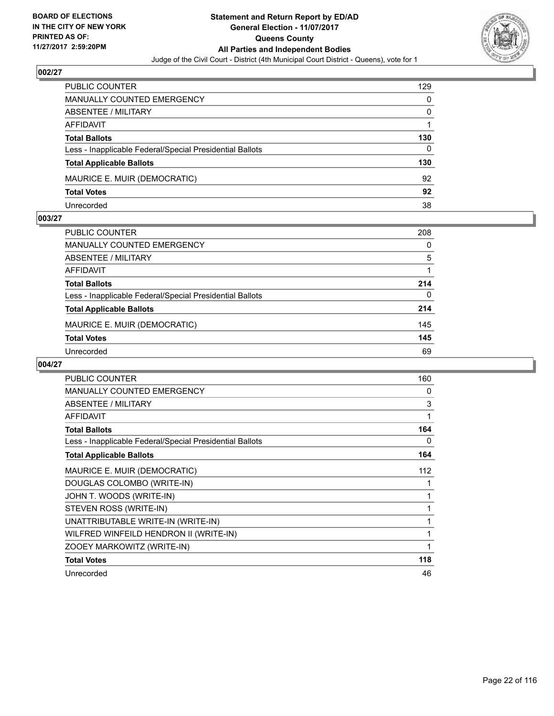

| <b>PUBLIC COUNTER</b>                                    | 129 |
|----------------------------------------------------------|-----|
| <b>MANUALLY COUNTED EMERGENCY</b>                        | 0   |
| <b>ABSENTEE / MILITARY</b>                               | 0   |
| AFFIDAVIT                                                |     |
| <b>Total Ballots</b>                                     | 130 |
| Less - Inapplicable Federal/Special Presidential Ballots | 0   |
| <b>Total Applicable Ballots</b>                          | 130 |
| MAURICE E. MUIR (DEMOCRATIC)                             | 92  |
| <b>Total Votes</b>                                       | 92  |
| Unrecorded                                               | 38  |

#### **003/27**

| PUBLIC COUNTER                                           | 208 |
|----------------------------------------------------------|-----|
| <b>MANUALLY COUNTED EMERGENCY</b>                        | 0   |
| ABSENTEE / MILITARY                                      | 5   |
| AFFIDAVIT                                                |     |
| <b>Total Ballots</b>                                     | 214 |
| Less - Inapplicable Federal/Special Presidential Ballots | 0   |
| <b>Total Applicable Ballots</b>                          | 214 |
| MAURICE E. MUIR (DEMOCRATIC)                             | 145 |
| <b>Total Votes</b>                                       | 145 |
| Unrecorded                                               | 69  |
|                                                          |     |

| <b>PUBLIC COUNTER</b>                                    | 160 |
|----------------------------------------------------------|-----|
| <b>MANUALLY COUNTED EMERGENCY</b>                        | 0   |
| ABSENTEE / MILITARY                                      | 3   |
| <b>AFFIDAVIT</b>                                         | 1   |
| <b>Total Ballots</b>                                     | 164 |
| Less - Inapplicable Federal/Special Presidential Ballots | 0   |
| <b>Total Applicable Ballots</b>                          | 164 |
| <b>MAURICE E. MUIR (DEMOCRATIC)</b>                      | 112 |
| DOUGLAS COLOMBO (WRITE-IN)                               | 1   |
| JOHN T. WOODS (WRITE-IN)                                 | 1   |
| STEVEN ROSS (WRITE-IN)                                   |     |
| UNATTRIBUTABLE WRITE-IN (WRITE-IN)                       | 1   |
| WILFRED WINFEILD HENDRON II (WRITE-IN)                   | 1   |
| ZOOEY MARKOWITZ (WRITE-IN)                               | 1   |
| <b>Total Votes</b>                                       | 118 |
| Unrecorded                                               | 46  |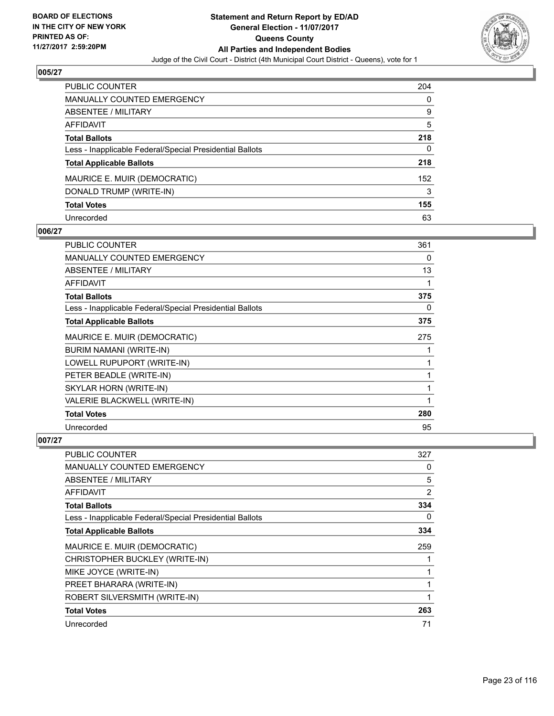

| <b>PUBLIC COUNTER</b>                                    | 204 |
|----------------------------------------------------------|-----|
| <b>MANUALLY COUNTED EMERGENCY</b>                        | 0   |
| ABSENTEE / MILITARY                                      | 9   |
| AFFIDAVIT                                                | 5   |
| <b>Total Ballots</b>                                     | 218 |
| Less - Inapplicable Federal/Special Presidential Ballots | 0   |
| <b>Total Applicable Ballots</b>                          | 218 |
| MAURICE E. MUIR (DEMOCRATIC)                             | 152 |
| DONALD TRUMP (WRITE-IN)                                  | 3   |
| <b>Total Votes</b>                                       | 155 |
| Unrecorded                                               | 63  |

## **006/27**

| <b>PUBLIC COUNTER</b>                                    | 361 |
|----------------------------------------------------------|-----|
| <b>MANUALLY COUNTED EMERGENCY</b>                        | 0   |
| ABSENTEE / MILITARY                                      | 13  |
| AFFIDAVIT                                                |     |
| <b>Total Ballots</b>                                     | 375 |
| Less - Inapplicable Federal/Special Presidential Ballots | 0   |
| <b>Total Applicable Ballots</b>                          | 375 |
| MAURICE E. MUIR (DEMOCRATIC)                             | 275 |
| BURIM NAMANI (WRITE-IN)                                  |     |
| LOWELL RUPUPORT (WRITE-IN)                               |     |
| PETER BEADLE (WRITE-IN)                                  |     |
| SKYLAR HORN (WRITE-IN)                                   |     |
| VALERIE BLACKWELL (WRITE-IN)                             | 1   |
| <b>Total Votes</b>                                       | 280 |
| Unrecorded                                               | 95  |

| <b>PUBLIC COUNTER</b>                                    | 327            |
|----------------------------------------------------------|----------------|
| <b>MANUALLY COUNTED EMERGENCY</b>                        | 0              |
| ABSENTEE / MILITARY                                      | 5              |
| AFFIDAVIT                                                | $\overline{2}$ |
| <b>Total Ballots</b>                                     | 334            |
| Less - Inapplicable Federal/Special Presidential Ballots | 0              |
| <b>Total Applicable Ballots</b>                          | 334            |
| MAURICE E. MUIR (DEMOCRATIC)                             | 259            |
| CHRISTOPHER BUCKLEY (WRITE-IN)                           |                |
| MIKE JOYCE (WRITE-IN)                                    | 1              |
| PREET BHARARA (WRITE-IN)                                 | 1              |
| ROBERT SILVERSMITH (WRITE-IN)                            | 1              |
| <b>Total Votes</b>                                       | 263            |
| Unrecorded                                               | 71             |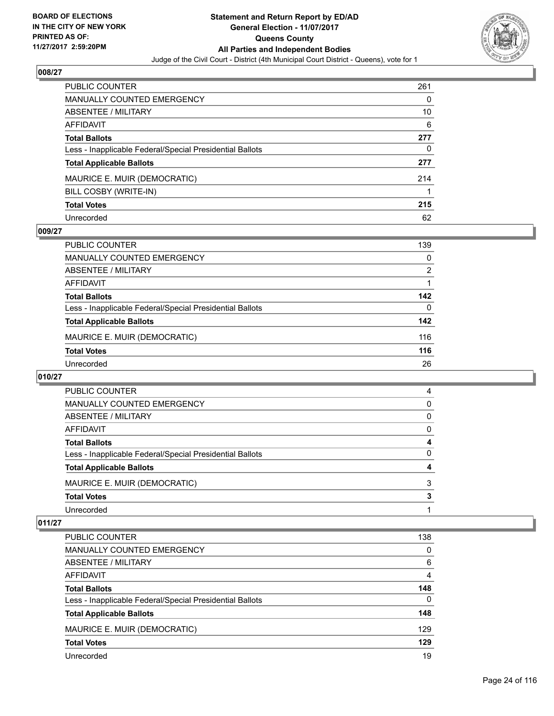

| PUBLIC COUNTER                                           | 261 |
|----------------------------------------------------------|-----|
| <b>MANUALLY COUNTED EMERGENCY</b>                        | 0   |
| <b>ABSENTEE / MILITARY</b>                               | 10  |
| AFFIDAVIT                                                | 6   |
| <b>Total Ballots</b>                                     | 277 |
| Less - Inapplicable Federal/Special Presidential Ballots | 0   |
| <b>Total Applicable Ballots</b>                          | 277 |
| MAURICE E. MUIR (DEMOCRATIC)                             | 214 |
| BILL COSBY (WRITE-IN)                                    |     |
| <b>Total Votes</b>                                       | 215 |
| Unrecorded                                               | 62  |

## **009/27**

| <b>PUBLIC COUNTER</b>                                    | 139 |
|----------------------------------------------------------|-----|
| <b>MANUALLY COUNTED EMERGENCY</b>                        | 0   |
| ABSENTEE / MILITARY                                      | 2   |
| AFFIDAVIT                                                |     |
| <b>Total Ballots</b>                                     | 142 |
| Less - Inapplicable Federal/Special Presidential Ballots | 0   |
| <b>Total Applicable Ballots</b>                          | 142 |
| MAURICE E. MUIR (DEMOCRATIC)                             | 116 |
| <b>Total Votes</b>                                       | 116 |
| Unrecorded                                               | 26  |

#### **010/27**

| PUBLIC COUNTER                                           | 4        |
|----------------------------------------------------------|----------|
| <b>MANUALLY COUNTED EMERGENCY</b>                        | $\Omega$ |
| ABSENTEE / MILITARY                                      | 0        |
| AFFIDAVIT                                                | 0        |
| <b>Total Ballots</b>                                     | 4        |
| Less - Inapplicable Federal/Special Presidential Ballots | 0        |
| <b>Total Applicable Ballots</b>                          | 4        |
| MAURICE E. MUIR (DEMOCRATIC)                             | 3        |
| <b>Total Votes</b>                                       | 3        |
| Unrecorded                                               |          |

| <b>PUBLIC COUNTER</b>                                    | 138      |
|----------------------------------------------------------|----------|
| MANUALLY COUNTED EMERGENCY                               | 0        |
| ABSENTEE / MILITARY                                      | 6        |
| AFFIDAVIT                                                | 4        |
| <b>Total Ballots</b>                                     | 148      |
| Less - Inapplicable Federal/Special Presidential Ballots | $\Omega$ |
| <b>Total Applicable Ballots</b>                          | 148      |
| MAURICE E. MUIR (DEMOCRATIC)                             | 129      |
| <b>Total Votes</b>                                       | 129      |
| Unrecorded                                               | 19       |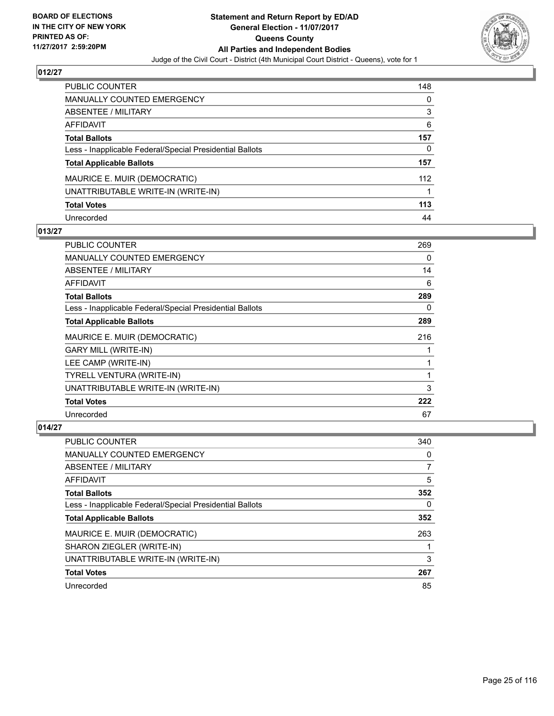

| <b>PUBLIC COUNTER</b>                                    | 148 |
|----------------------------------------------------------|-----|
| <b>MANUALLY COUNTED EMERGENCY</b>                        | 0   |
| <b>ABSENTEE / MILITARY</b>                               | 3   |
| <b>AFFIDAVIT</b>                                         | 6   |
| <b>Total Ballots</b>                                     | 157 |
| Less - Inapplicable Federal/Special Presidential Ballots | 0   |
| <b>Total Applicable Ballots</b>                          | 157 |
| MAURICE E. MUIR (DEMOCRATIC)                             | 112 |
| UNATTRIBUTABLE WRITE-IN (WRITE-IN)                       |     |
| <b>Total Votes</b>                                       | 113 |
| Unrecorded                                               | 44  |

## **013/27**

| <b>PUBLIC COUNTER</b>                                    | 269 |
|----------------------------------------------------------|-----|
| <b>MANUALLY COUNTED EMERGENCY</b>                        | 0   |
| ABSENTEE / MILITARY                                      | 14  |
| <b>AFFIDAVIT</b>                                         | 6   |
| <b>Total Ballots</b>                                     | 289 |
| Less - Inapplicable Federal/Special Presidential Ballots | 0   |
| <b>Total Applicable Ballots</b>                          | 289 |
| MAURICE E. MUIR (DEMOCRATIC)                             | 216 |
| <b>GARY MILL (WRITE-IN)</b>                              |     |
| LEE CAMP (WRITE-IN)                                      |     |
| TYRELL VENTURA (WRITE-IN)                                |     |
| UNATTRIBUTABLE WRITE-IN (WRITE-IN)                       | 3   |
| <b>Total Votes</b>                                       | 222 |
| Unrecorded                                               | 67  |

| <b>PUBLIC COUNTER</b>                                    | 340 |
|----------------------------------------------------------|-----|
| <b>MANUALLY COUNTED EMERGENCY</b>                        | 0   |
| ABSENTEE / MILITARY                                      | 7   |
| AFFIDAVIT                                                | 5   |
| <b>Total Ballots</b>                                     | 352 |
| Less - Inapplicable Federal/Special Presidential Ballots | 0   |
| <b>Total Applicable Ballots</b>                          | 352 |
| MAURICE E. MUIR (DEMOCRATIC)                             | 263 |
| SHARON ZIEGLER (WRITE-IN)                                |     |
| UNATTRIBUTABLE WRITE-IN (WRITE-IN)                       | 3   |
| <b>Total Votes</b>                                       | 267 |
|                                                          |     |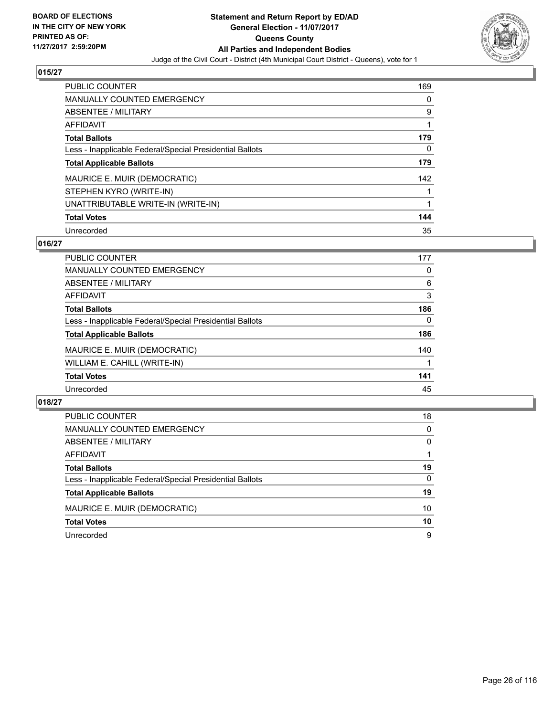

| <b>PUBLIC COUNTER</b>                                    | 169 |
|----------------------------------------------------------|-----|
| <b>MANUALLY COUNTED EMERGENCY</b>                        | 0   |
| ABSENTEE / MILITARY                                      | 9   |
| AFFIDAVIT                                                |     |
| <b>Total Ballots</b>                                     | 179 |
| Less - Inapplicable Federal/Special Presidential Ballots | 0   |
| <b>Total Applicable Ballots</b>                          | 179 |
| MAURICE E. MUIR (DEMOCRATIC)                             | 142 |
| STEPHEN KYRO (WRITE-IN)                                  |     |
| UNATTRIBUTABLE WRITE-IN (WRITE-IN)                       | 1   |
| <b>Total Votes</b>                                       | 144 |
| Unrecorded                                               | 35  |

## **016/27**

| <b>PUBLIC COUNTER</b>                                    | 177 |
|----------------------------------------------------------|-----|
| <b>MANUALLY COUNTED EMERGENCY</b>                        | 0   |
| ABSENTEE / MILITARY                                      | 6   |
| AFFIDAVIT                                                | 3   |
| <b>Total Ballots</b>                                     | 186 |
| Less - Inapplicable Federal/Special Presidential Ballots | 0   |
| <b>Total Applicable Ballots</b>                          | 186 |
| MAURICE E. MUIR (DEMOCRATIC)                             | 140 |
| WILLIAM E. CAHILL (WRITE-IN)                             |     |
| <b>Total Votes</b>                                       | 141 |
| Unrecorded                                               | 45  |

| <b>PUBLIC COUNTER</b>                                    | 18       |
|----------------------------------------------------------|----------|
| MANUALLY COUNTED EMERGENCY                               | $\Omega$ |
| <b>ABSENTEE / MILITARY</b>                               | 0        |
| AFFIDAVIT                                                |          |
| <b>Total Ballots</b>                                     | 19       |
| Less - Inapplicable Federal/Special Presidential Ballots | 0        |
| <b>Total Applicable Ballots</b>                          | 19       |
| MAURICE E. MUIR (DEMOCRATIC)                             | 10       |
| <b>Total Votes</b>                                       | 10       |
| Unrecorded                                               | 9        |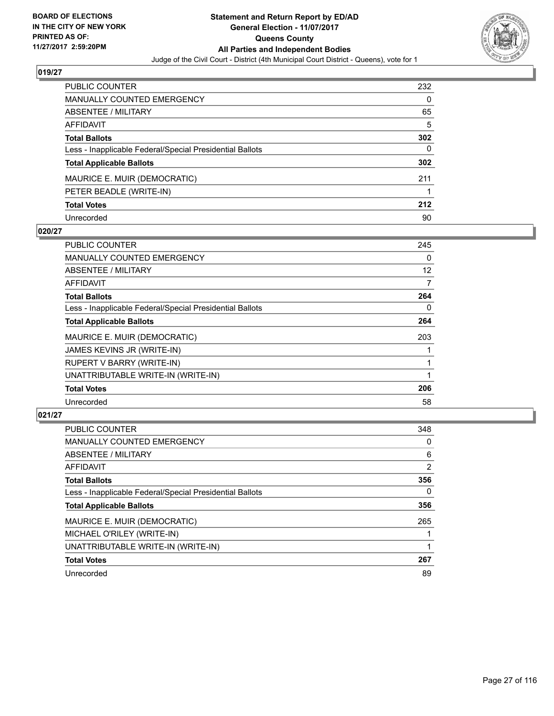

| PUBLIC COUNTER                                           | 232 |
|----------------------------------------------------------|-----|
| <b>MANUALLY COUNTED EMERGENCY</b>                        | 0   |
| <b>ABSENTEE / MILITARY</b>                               | 65  |
| AFFIDAVIT                                                | 5   |
| <b>Total Ballots</b>                                     | 302 |
| Less - Inapplicable Federal/Special Presidential Ballots | 0   |
| <b>Total Applicable Ballots</b>                          | 302 |
| MAURICE E. MUIR (DEMOCRATIC)                             | 211 |
| PETER BEADLE (WRITE-IN)                                  |     |
| <b>Total Votes</b>                                       | 212 |
| Unrecorded                                               | 90  |

#### **020/27**

| PUBLIC COUNTER                                           | 245 |
|----------------------------------------------------------|-----|
| <b>MANUALLY COUNTED EMERGENCY</b>                        | 0   |
| ABSENTEE / MILITARY                                      | 12  |
| AFFIDAVIT                                                | 7   |
| <b>Total Ballots</b>                                     | 264 |
| Less - Inapplicable Federal/Special Presidential Ballots | 0   |
| <b>Total Applicable Ballots</b>                          | 264 |
| MAURICE E. MUIR (DEMOCRATIC)                             | 203 |
| JAMES KEVINS JR (WRITE-IN)                               |     |
| RUPERT V BARRY (WRITE-IN)                                |     |
| UNATTRIBUTABLE WRITE-IN (WRITE-IN)                       |     |
| <b>Total Votes</b>                                       | 206 |
| Unrecorded                                               | 58  |

| <b>PUBLIC COUNTER</b>                                    | 348 |
|----------------------------------------------------------|-----|
| <b>MANUALLY COUNTED EMERGENCY</b>                        | 0   |
| ABSENTEE / MILITARY                                      | 6   |
| AFFIDAVIT                                                | 2   |
| <b>Total Ballots</b>                                     | 356 |
| Less - Inapplicable Federal/Special Presidential Ballots | 0   |
| <b>Total Applicable Ballots</b>                          | 356 |
| MAURICE E. MUIR (DEMOCRATIC)                             | 265 |
| MICHAEL O'RILEY (WRITE-IN)                               |     |
| UNATTRIBUTABLE WRITE-IN (WRITE-IN)                       |     |
| <b>Total Votes</b>                                       | 267 |
| Unrecorded                                               | 89  |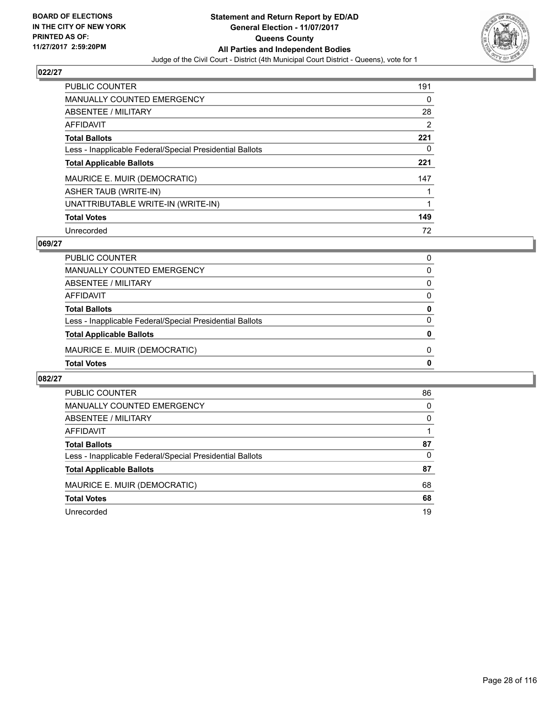

| <b>PUBLIC COUNTER</b>                                    | 191 |
|----------------------------------------------------------|-----|
| MANUALLY COUNTED EMERGENCY                               | 0   |
| ABSENTEE / MILITARY                                      | 28  |
| AFFIDAVIT                                                | 2   |
| <b>Total Ballots</b>                                     | 221 |
| Less - Inapplicable Federal/Special Presidential Ballots | 0   |
| <b>Total Applicable Ballots</b>                          | 221 |
| MAURICE E. MUIR (DEMOCRATIC)                             | 147 |
| <b>ASHER TAUB (WRITE-IN)</b>                             |     |
| UNATTRIBUTABLE WRITE-IN (WRITE-IN)                       |     |
| <b>Total Votes</b>                                       | 149 |
| Unrecorded                                               | 72  |

## **069/27**

| <b>Total Votes</b>                                       | 0 |
|----------------------------------------------------------|---|
| MAURICE E. MUIR (DEMOCRATIC)                             | 0 |
| <b>Total Applicable Ballots</b>                          | 0 |
| Less - Inapplicable Federal/Special Presidential Ballots | 0 |
| <b>Total Ballots</b>                                     | 0 |
| AFFIDAVIT                                                | 0 |
| ABSENTEE / MILITARY                                      | 0 |
| MANUALLY COUNTED EMERGENCY                               | 0 |
| PUBLIC COUNTER                                           | 0 |

| <b>PUBLIC COUNTER</b>                                    | 86 |
|----------------------------------------------------------|----|
| <b>MANUALLY COUNTED EMERGENCY</b>                        | 0  |
| ABSENTEE / MILITARY                                      | 0  |
| AFFIDAVIT                                                |    |
| <b>Total Ballots</b>                                     | 87 |
| Less - Inapplicable Federal/Special Presidential Ballots | 0  |
| <b>Total Applicable Ballots</b>                          | 87 |
| MAURICE E. MUIR (DEMOCRATIC)                             | 68 |
| <b>Total Votes</b>                                       | 68 |
| Unrecorded                                               | 19 |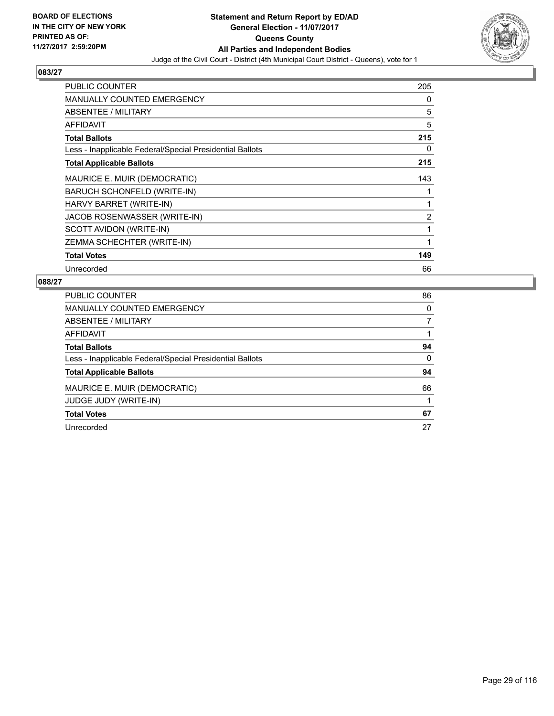

| <b>PUBLIC COUNTER</b>                                    | 205 |
|----------------------------------------------------------|-----|
| <b>MANUALLY COUNTED EMERGENCY</b>                        | 0   |
| <b>ABSENTEE / MILITARY</b>                               | 5   |
| AFFIDAVIT                                                | 5   |
| <b>Total Ballots</b>                                     | 215 |
| Less - Inapplicable Federal/Special Presidential Ballots | 0   |
| <b>Total Applicable Ballots</b>                          | 215 |
| MAURICE E. MUIR (DEMOCRATIC)                             | 143 |
| BARUCH SCHONFELD (WRITE-IN)                              |     |
| HARVY BARRET (WRITE-IN)                                  | 1   |
| JACOB ROSENWASSER (WRITE-IN)                             | 2   |
| SCOTT AVIDON (WRITE-IN)                                  | 1   |
| ZEMMA SCHECHTER (WRITE-IN)                               | 1   |
| <b>Total Votes</b>                                       | 149 |
| Unrecorded                                               | 66  |

| <b>PUBLIC COUNTER</b>                                    | 86 |
|----------------------------------------------------------|----|
| <b>MANUALLY COUNTED EMERGENCY</b>                        | 0  |
| ABSENTEE / MILITARY                                      | 7  |
| AFFIDAVIT                                                |    |
| <b>Total Ballots</b>                                     | 94 |
| Less - Inapplicable Federal/Special Presidential Ballots | 0  |
| <b>Total Applicable Ballots</b>                          | 94 |
| MAURICE E. MUIR (DEMOCRATIC)                             | 66 |
| <b>JUDGE JUDY (WRITE-IN)</b>                             |    |
| <b>Total Votes</b>                                       | 67 |
| Unrecorded                                               | 27 |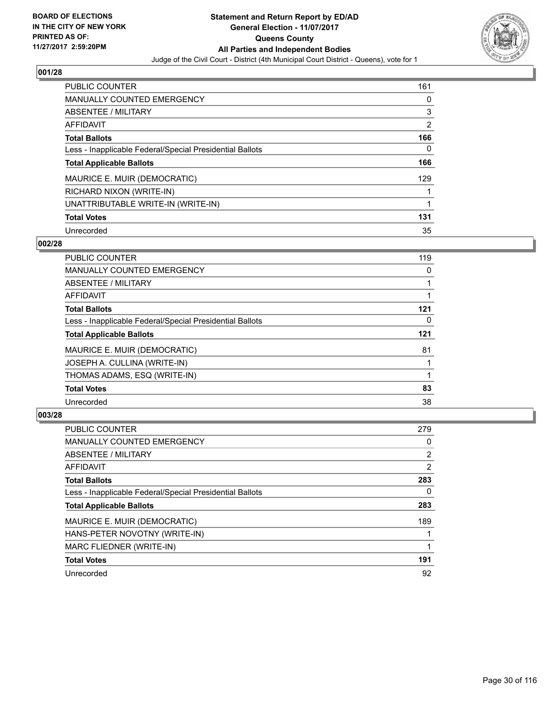

| <b>PUBLIC COUNTER</b>                                    | 161            |
|----------------------------------------------------------|----------------|
| <b>MANUALLY COUNTED EMERGENCY</b>                        | 0              |
| ABSENTEE / MILITARY                                      | 3              |
| AFFIDAVIT                                                | $\overline{2}$ |
| <b>Total Ballots</b>                                     | 166            |
| Less - Inapplicable Federal/Special Presidential Ballots | 0              |
| <b>Total Applicable Ballots</b>                          | 166            |
| MAURICE E. MUIR (DEMOCRATIC)                             | 129            |
| RICHARD NIXON (WRITE-IN)                                 |                |
| UNATTRIBUTABLE WRITE-IN (WRITE-IN)                       |                |
| <b>Total Votes</b>                                       | 131            |
| Unrecorded                                               | 35             |

#### **002/28**

| <b>PUBLIC COUNTER</b>                                    | 119 |
|----------------------------------------------------------|-----|
| <b>MANUALLY COUNTED EMERGENCY</b>                        | 0   |
| ABSENTEE / MILITARY                                      |     |
| <b>AFFIDAVIT</b>                                         |     |
| <b>Total Ballots</b>                                     | 121 |
| Less - Inapplicable Federal/Special Presidential Ballots | 0   |
| <b>Total Applicable Ballots</b>                          | 121 |
| MAURICE E. MUIR (DEMOCRATIC)                             | 81  |
| JOSEPH A. CULLINA (WRITE-IN)                             |     |
| THOMAS ADAMS, ESQ (WRITE-IN)                             |     |
| <b>Total Votes</b>                                       | 83  |
| Unrecorded                                               | 38  |

| <b>PUBLIC COUNTER</b>                                    | 279            |
|----------------------------------------------------------|----------------|
| <b>MANUALLY COUNTED EMERGENCY</b>                        | 0              |
| ABSENTEE / MILITARY                                      | $\overline{2}$ |
| AFFIDAVIT                                                | 2              |
| <b>Total Ballots</b>                                     | 283            |
| Less - Inapplicable Federal/Special Presidential Ballots | 0              |
| <b>Total Applicable Ballots</b>                          | 283            |
| MAURICE E. MUIR (DEMOCRATIC)                             | 189            |
| HANS-PETER NOVOTNY (WRITE-IN)                            |                |
| MARC FLIEDNER (WRITE-IN)                                 |                |
| <b>Total Votes</b>                                       | 191            |
| Unrecorded                                               | 92             |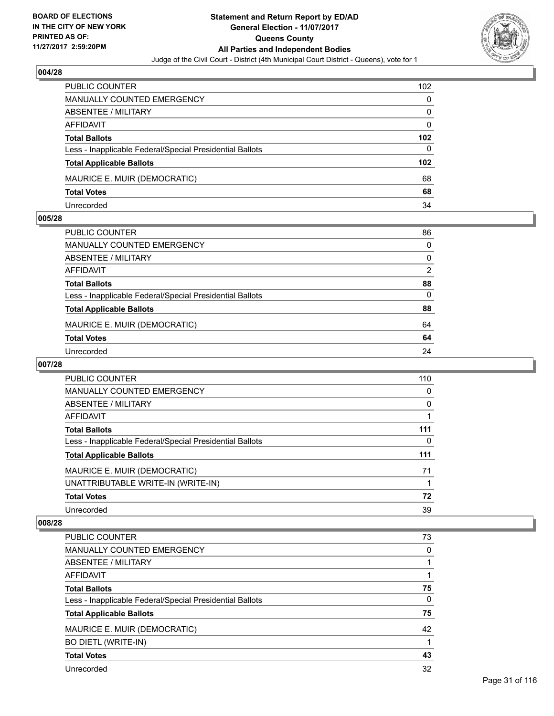

| <b>PUBLIC COUNTER</b>                                    | 102      |
|----------------------------------------------------------|----------|
| MANUALLY COUNTED EMERGENCY                               | 0        |
| ABSENTEE / MILITARY                                      | 0        |
| AFFIDAVIT                                                | $\Omega$ |
| <b>Total Ballots</b>                                     | 102      |
| Less - Inapplicable Federal/Special Presidential Ballots | 0        |
| <b>Total Applicable Ballots</b>                          | 102      |
| MAURICE E. MUIR (DEMOCRATIC)                             | 68       |
| <b>Total Votes</b>                                       | 68       |
| Unrecorded                                               | 34       |

#### **005/28**

| PUBLIC COUNTER                                           | 86       |
|----------------------------------------------------------|----------|
| <b>MANUALLY COUNTED EMERGENCY</b>                        | $\Omega$ |
| <b>ABSENTEE / MILITARY</b>                               | $\Omega$ |
| <b>AFFIDAVIT</b>                                         | 2        |
| <b>Total Ballots</b>                                     | 88       |
| Less - Inapplicable Federal/Special Presidential Ballots | $\Omega$ |
| <b>Total Applicable Ballots</b>                          | 88       |
| MAURICE E. MUIR (DEMOCRATIC)                             | 64       |
| <b>Total Votes</b>                                       | 64       |
| Unrecorded                                               | 24       |

# **007/28**

| <b>PUBLIC COUNTER</b>                                    | 110 |
|----------------------------------------------------------|-----|
| MANUALLY COUNTED EMERGENCY                               | 0   |
| ABSENTEE / MILITARY                                      | 0   |
| AFFIDAVIT                                                |     |
| <b>Total Ballots</b>                                     | 111 |
| Less - Inapplicable Federal/Special Presidential Ballots | 0   |
| <b>Total Applicable Ballots</b>                          | 111 |
| MAURICE E. MUIR (DEMOCRATIC)                             | 71  |
| UNATTRIBUTABLE WRITE-IN (WRITE-IN)                       |     |
| <b>Total Votes</b>                                       | 72  |
| Unrecorded                                               | 39  |

| <b>PUBLIC COUNTER</b>                                    | 73 |
|----------------------------------------------------------|----|
| <b>MANUALLY COUNTED EMERGENCY</b>                        | 0  |
| ABSENTEE / MILITARY                                      |    |
| AFFIDAVIT                                                |    |
| <b>Total Ballots</b>                                     | 75 |
| Less - Inapplicable Federal/Special Presidential Ballots | 0  |
| <b>Total Applicable Ballots</b>                          | 75 |
| MAURICE E. MUIR (DEMOCRATIC)                             | 42 |
| <b>BO DIETL (WRITE-IN)</b>                               |    |
| <b>Total Votes</b>                                       | 43 |
| Unrecorded                                               | 32 |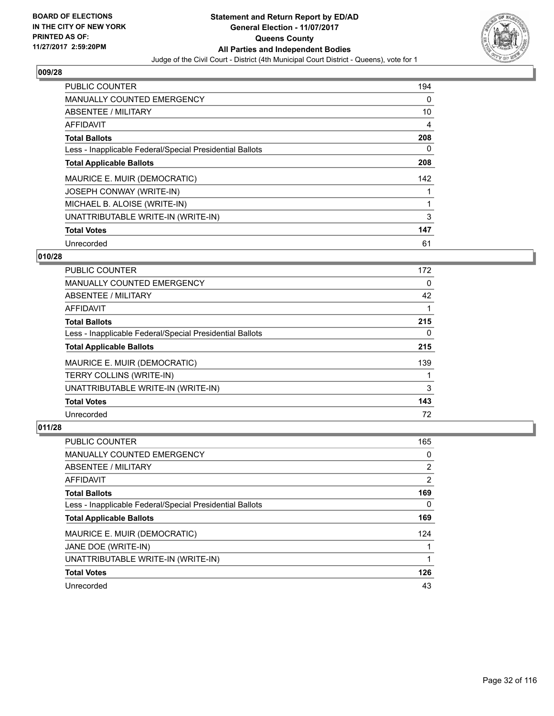

| <b>PUBLIC COUNTER</b>                                    | 194 |
|----------------------------------------------------------|-----|
| <b>MANUALLY COUNTED EMERGENCY</b>                        | 0   |
| ABSENTEE / MILITARY                                      | 10  |
| <b>AFFIDAVIT</b>                                         | 4   |
| <b>Total Ballots</b>                                     | 208 |
| Less - Inapplicable Federal/Special Presidential Ballots | 0   |
| <b>Total Applicable Ballots</b>                          | 208 |
| MAURICE E. MUIR (DEMOCRATIC)                             | 142 |
| JOSEPH CONWAY (WRITE-IN)                                 |     |
| MICHAEL B. ALOISE (WRITE-IN)                             |     |
| UNATTRIBUTABLE WRITE-IN (WRITE-IN)                       | 3   |
| <b>Total Votes</b>                                       | 147 |
| Unrecorded                                               | 61  |

## **010/28**

| <b>PUBLIC COUNTER</b>                                    | 172 |
|----------------------------------------------------------|-----|
| MANUALLY COUNTED EMERGENCY                               | 0   |
| ABSENTEE / MILITARY                                      | 42  |
| <b>AFFIDAVIT</b>                                         |     |
| <b>Total Ballots</b>                                     | 215 |
| Less - Inapplicable Federal/Special Presidential Ballots | 0   |
| <b>Total Applicable Ballots</b>                          | 215 |
| MAURICE E. MUIR (DEMOCRATIC)                             | 139 |
| <b>TERRY COLLINS (WRITE-IN)</b>                          |     |
| UNATTRIBUTABLE WRITE-IN (WRITE-IN)                       | 3   |
| <b>Total Votes</b>                                       | 143 |
| Unrecorded                                               | 72  |

| PUBLIC COUNTER                                           | 165 |
|----------------------------------------------------------|-----|
| <b>MANUALLY COUNTED EMERGENCY</b>                        | 0   |
| ABSENTEE / MILITARY                                      | 2   |
| AFFIDAVIT                                                | 2   |
| <b>Total Ballots</b>                                     | 169 |
| Less - Inapplicable Federal/Special Presidential Ballots | 0   |
| <b>Total Applicable Ballots</b>                          | 169 |
| MAURICE E. MUIR (DEMOCRATIC)                             | 124 |
| JANE DOE (WRITE-IN)                                      |     |
| UNATTRIBUTABLE WRITE-IN (WRITE-IN)                       |     |
| <b>Total Votes</b>                                       | 126 |
| Unrecorded                                               | 43  |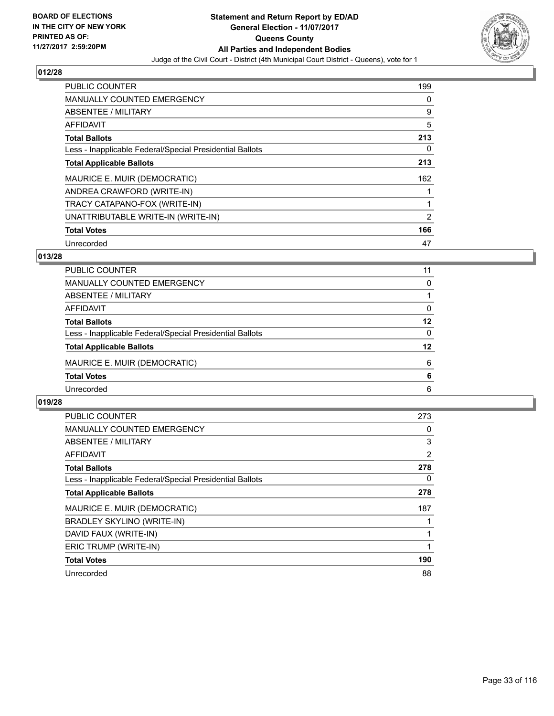

| PUBLIC COUNTER                                           | 199 |
|----------------------------------------------------------|-----|
| <b>MANUALLY COUNTED EMERGENCY</b>                        | 0   |
| ABSENTEE / MILITARY                                      | 9   |
| AFFIDAVIT                                                | 5   |
| <b>Total Ballots</b>                                     | 213 |
| Less - Inapplicable Federal/Special Presidential Ballots | 0   |
| <b>Total Applicable Ballots</b>                          | 213 |
| MAURICE E. MUIR (DEMOCRATIC)                             | 162 |
| ANDREA CRAWFORD (WRITE-IN)                               |     |
| TRACY CATAPANO-FOX (WRITE-IN)                            |     |
| UNATTRIBUTABLE WRITE-IN (WRITE-IN)                       | 2   |
| <b>Total Votes</b>                                       | 166 |
| Unrecorded                                               | 47  |

# **013/28**

| PUBLIC COUNTER                                           | 11 |
|----------------------------------------------------------|----|
| MANUALLY COUNTED EMERGENCY                               | 0  |
| ABSENTEE / MILITARY                                      |    |
| AFFIDAVIT                                                | 0  |
| <b>Total Ballots</b>                                     | 12 |
| Less - Inapplicable Federal/Special Presidential Ballots | 0  |
| <b>Total Applicable Ballots</b>                          | 12 |
| MAURICE E. MUIR (DEMOCRATIC)                             | 6  |
| <b>Total Votes</b>                                       | 6  |
| Unrecorded                                               | 6  |
|                                                          |    |

| <b>PUBLIC COUNTER</b>                                    | 273 |
|----------------------------------------------------------|-----|
| <b>MANUALLY COUNTED EMERGENCY</b>                        | 0   |
| ABSENTEE / MILITARY                                      | 3   |
| <b>AFFIDAVIT</b>                                         | 2   |
| <b>Total Ballots</b>                                     | 278 |
| Less - Inapplicable Federal/Special Presidential Ballots | 0   |
| <b>Total Applicable Ballots</b>                          | 278 |
| MAURICE E. MUIR (DEMOCRATIC)                             | 187 |
| BRADLEY SKYLINO (WRITE-IN)                               |     |
| DAVID FAUX (WRITE-IN)                                    |     |
| ERIC TRUMP (WRITE-IN)                                    | 1   |
| <b>Total Votes</b>                                       | 190 |
| Unrecorded                                               | 88  |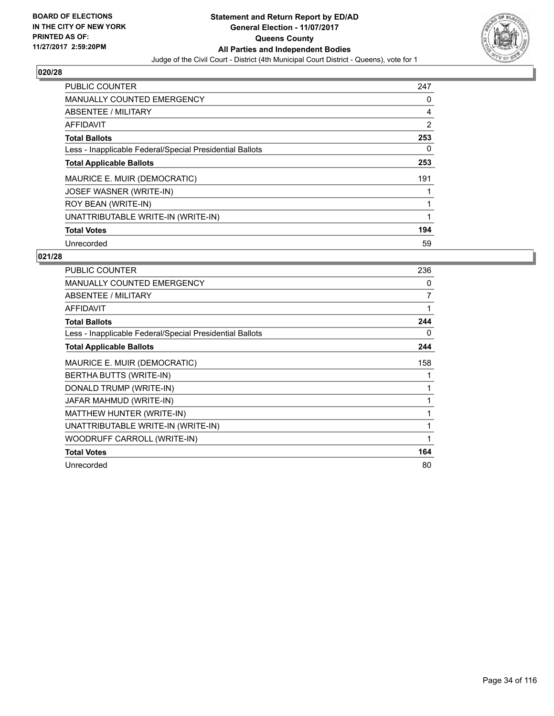

| <b>PUBLIC COUNTER</b>                                    | 247 |
|----------------------------------------------------------|-----|
| <b>MANUALLY COUNTED EMERGENCY</b>                        | 0   |
| ABSENTEE / MILITARY                                      | 4   |
| AFFIDAVIT                                                | 2   |
| <b>Total Ballots</b>                                     | 253 |
| Less - Inapplicable Federal/Special Presidential Ballots | 0   |
| <b>Total Applicable Ballots</b>                          | 253 |
| MAURICE E. MUIR (DEMOCRATIC)                             | 191 |
| JOSEF WASNER (WRITE-IN)                                  |     |
| ROY BEAN (WRITE-IN)                                      |     |
| UNATTRIBUTABLE WRITE-IN (WRITE-IN)                       |     |
| <b>Total Votes</b>                                       | 194 |
| Unrecorded                                               | 59  |

| <b>PUBLIC COUNTER</b>                                    | 236 |
|----------------------------------------------------------|-----|
| <b>MANUALLY COUNTED EMERGENCY</b>                        | 0   |
| ABSENTEE / MILITARY                                      | 7   |
| <b>AFFIDAVIT</b>                                         | 1   |
| <b>Total Ballots</b>                                     | 244 |
| Less - Inapplicable Federal/Special Presidential Ballots | 0   |
| <b>Total Applicable Ballots</b>                          | 244 |
| MAURICE E. MUIR (DEMOCRATIC)                             | 158 |
| BERTHA BUTTS (WRITE-IN)                                  | 1   |
| DONALD TRUMP (WRITE-IN)                                  | 1   |
| JAFAR MAHMUD (WRITE-IN)                                  |     |
| MATTHEW HUNTER (WRITE-IN)                                | 1   |
| UNATTRIBUTABLE WRITE-IN (WRITE-IN)                       | 1   |
| WOODRUFF CARROLL (WRITE-IN)                              | 1   |
| <b>Total Votes</b>                                       | 164 |
| Unrecorded                                               | 80  |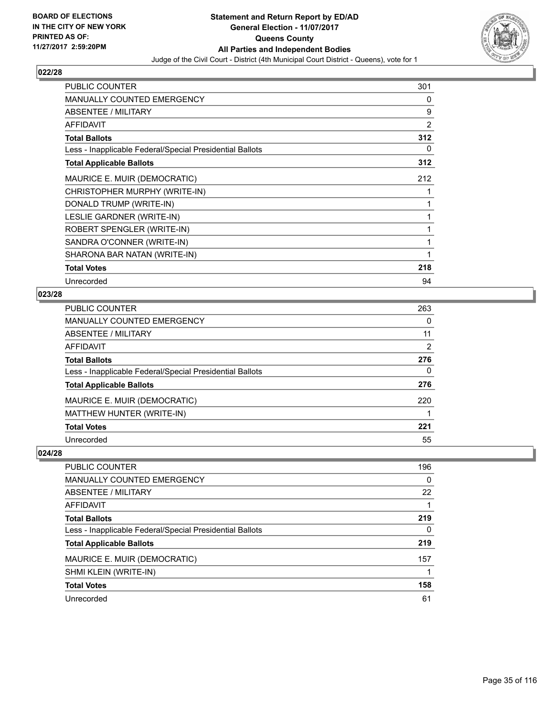

| <b>PUBLIC COUNTER</b>                                    | 301            |
|----------------------------------------------------------|----------------|
| <b>MANUALLY COUNTED EMERGENCY</b>                        | 0              |
| ABSENTEE / MILITARY                                      | 9              |
| <b>AFFIDAVIT</b>                                         | $\overline{2}$ |
| <b>Total Ballots</b>                                     | 312            |
| Less - Inapplicable Federal/Special Presidential Ballots | 0              |
| <b>Total Applicable Ballots</b>                          | 312            |
| MAURICE E. MUIR (DEMOCRATIC)                             | 212            |
| CHRISTOPHER MURPHY (WRITE-IN)                            | 1              |
| DONALD TRUMP (WRITE-IN)                                  | 1              |
| LESLIE GARDNER (WRITE-IN)                                | 1              |
| ROBERT SPENGLER (WRITE-IN)                               | 1              |
| SANDRA O'CONNER (WRITE-IN)                               | 1              |
| SHARONA BAR NATAN (WRITE-IN)                             | 1              |
| <b>Total Votes</b>                                       | 218            |
| Unrecorded                                               | 94             |

# **023/28**

| <b>PUBLIC COUNTER</b>                                    | 263 |
|----------------------------------------------------------|-----|
| <b>MANUALLY COUNTED EMERGENCY</b>                        | 0   |
| ABSENTEE / MILITARY                                      | 11  |
| AFFIDAVIT                                                | 2   |
| <b>Total Ballots</b>                                     | 276 |
| Less - Inapplicable Federal/Special Presidential Ballots | 0   |
| <b>Total Applicable Ballots</b>                          | 276 |
| MAURICE E. MUIR (DEMOCRATIC)                             | 220 |
| MATTHEW HUNTER (WRITE-IN)                                |     |
| <b>Total Votes</b>                                       | 221 |
| Unrecorded                                               | 55  |

| PUBLIC COUNTER                                           | 196      |
|----------------------------------------------------------|----------|
| MANUALLY COUNTED EMERGENCY                               | $\Omega$ |
| ABSENTEE / MILITARY                                      | 22       |
| AFFIDAVIT                                                |          |
| <b>Total Ballots</b>                                     | 219      |
| Less - Inapplicable Federal/Special Presidential Ballots | 0        |
| <b>Total Applicable Ballots</b>                          | 219      |
| MAURICE E. MUIR (DEMOCRATIC)                             | 157      |
| SHMI KLEIN (WRITE-IN)                                    |          |
| <b>Total Votes</b>                                       | 158      |
| Unrecorded                                               | 61       |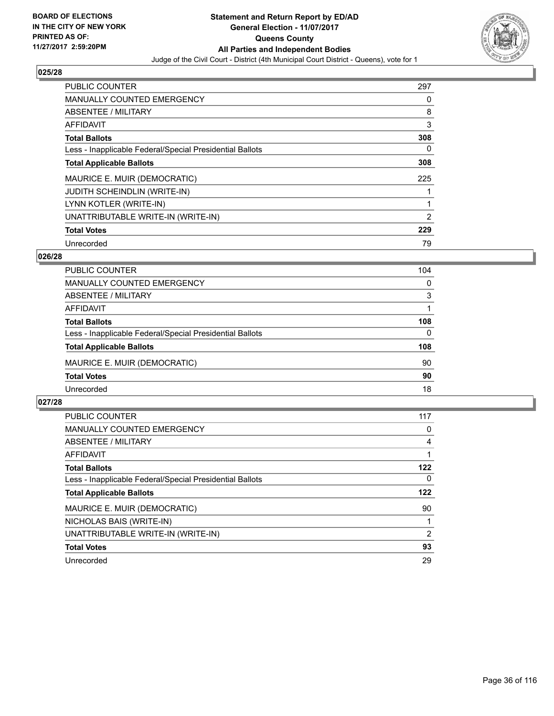

| <b>PUBLIC COUNTER</b>                                    | 297 |
|----------------------------------------------------------|-----|
| <b>MANUALLY COUNTED EMERGENCY</b>                        | 0   |
| ABSENTEE / MILITARY                                      | 8   |
| <b>AFFIDAVIT</b>                                         | 3   |
| <b>Total Ballots</b>                                     | 308 |
| Less - Inapplicable Federal/Special Presidential Ballots | 0   |
| <b>Total Applicable Ballots</b>                          | 308 |
| MAURICE E. MUIR (DEMOCRATIC)                             | 225 |
| <b>JUDITH SCHEINDLIN (WRITE-IN)</b>                      |     |
| LYNN KOTLER (WRITE-IN)                                   |     |
| UNATTRIBUTABLE WRITE-IN (WRITE-IN)                       | 2   |
| <b>Total Votes</b>                                       | 229 |
| Unrecorded                                               | 79  |

# **026/28**

| <b>PUBLIC COUNTER</b>                                    | 104      |
|----------------------------------------------------------|----------|
| MANUALLY COUNTED EMERGENCY                               | $\Omega$ |
| ABSENTEE / MILITARY                                      | 3        |
| AFFIDAVIT                                                |          |
| <b>Total Ballots</b>                                     | 108      |
| Less - Inapplicable Federal/Special Presidential Ballots | 0        |
| <b>Total Applicable Ballots</b>                          | 108      |
| MAURICE E. MUIR (DEMOCRATIC)                             | 90       |
| <b>Total Votes</b>                                       | 90       |
| Unrecorded                                               | 18       |

| <b>PUBLIC COUNTER</b>                                    | 117      |
|----------------------------------------------------------|----------|
| MANUALLY COUNTED EMERGENCY                               | 0        |
| ABSENTEE / MILITARY                                      | 4        |
| <b>AFFIDAVIT</b>                                         |          |
| <b>Total Ballots</b>                                     | 122      |
| Less - Inapplicable Federal/Special Presidential Ballots | $\Omega$ |
| <b>Total Applicable Ballots</b>                          | 122      |
| MAURICE E. MUIR (DEMOCRATIC)                             | 90       |
| NICHOLAS BAIS (WRITE-IN)                                 |          |
| UNATTRIBUTABLE WRITE-IN (WRITE-IN)                       | 2        |
| <b>Total Votes</b>                                       | 93       |
| Unrecorded                                               | 29       |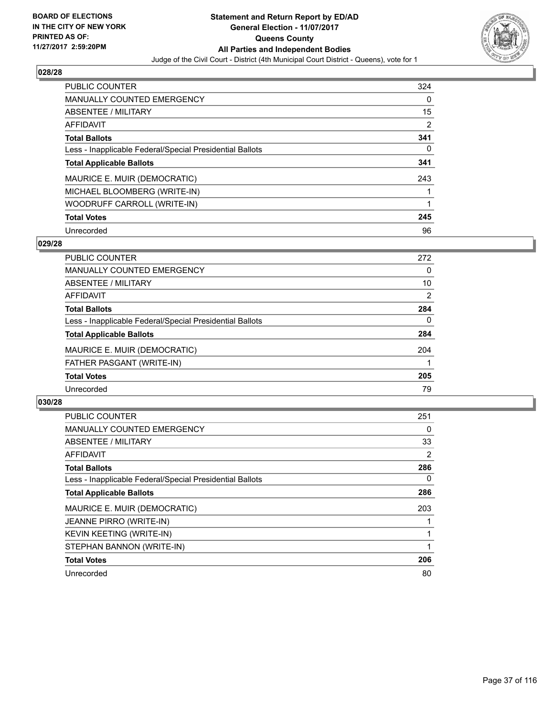

| <b>PUBLIC COUNTER</b>                                    | 324 |
|----------------------------------------------------------|-----|
| <b>MANUALLY COUNTED EMERGENCY</b>                        | 0   |
| ABSENTEE / MILITARY                                      | 15  |
| <b>AFFIDAVIT</b>                                         | 2   |
| <b>Total Ballots</b>                                     | 341 |
| Less - Inapplicable Federal/Special Presidential Ballots | 0   |
| <b>Total Applicable Ballots</b>                          | 341 |
| MAURICE E. MUIR (DEMOCRATIC)                             | 243 |
| MICHAEL BLOOMBERG (WRITE-IN)                             |     |
| WOODRUFF CARROLL (WRITE-IN)                              |     |
| <b>Total Votes</b>                                       | 245 |
| Unrecorded                                               | 96  |

#### **029/28**

| <b>PUBLIC COUNTER</b>                                    | 272            |
|----------------------------------------------------------|----------------|
| <b>MANUALLY COUNTED EMERGENCY</b>                        | 0              |
| ABSENTEE / MILITARY                                      | 10             |
| <b>AFFIDAVIT</b>                                         | $\overline{2}$ |
| <b>Total Ballots</b>                                     | 284            |
| Less - Inapplicable Federal/Special Presidential Ballots | 0              |
| <b>Total Applicable Ballots</b>                          | 284            |
| MAURICE E. MUIR (DEMOCRATIC)                             | 204            |
| FATHER PASGANT (WRITE-IN)                                |                |
| <b>Total Votes</b>                                       | 205            |
| Unrecorded                                               | 79             |

| <b>PUBLIC COUNTER</b>                                    | 251 |
|----------------------------------------------------------|-----|
| <b>MANUALLY COUNTED EMERGENCY</b>                        | 0   |
| ABSENTEE / MILITARY                                      | 33  |
| AFFIDAVIT                                                | 2   |
| <b>Total Ballots</b>                                     | 286 |
| Less - Inapplicable Federal/Special Presidential Ballots | 0   |
| <b>Total Applicable Ballots</b>                          | 286 |
| MAURICE E. MUIR (DEMOCRATIC)                             | 203 |
| JEANNE PIRRO (WRITE-IN)                                  |     |
| <b>KEVIN KEETING (WRITE-IN)</b>                          |     |
| STEPHAN BANNON (WRITE-IN)                                |     |
| <b>Total Votes</b>                                       | 206 |
| Unrecorded                                               | 80  |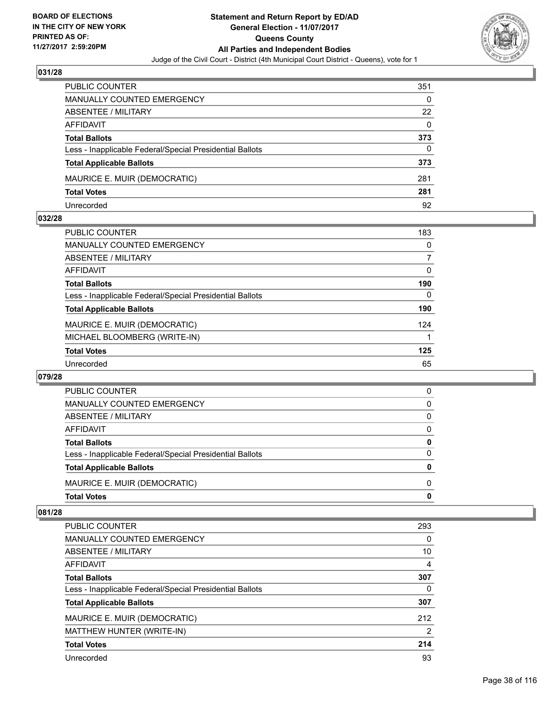

| <b>PUBLIC COUNTER</b>                                    | 351 |
|----------------------------------------------------------|-----|
| <b>MANUALLY COUNTED EMERGENCY</b>                        | 0   |
| ABSENTEE / MILITARY                                      | 22  |
| AFFIDAVIT                                                | 0   |
| <b>Total Ballots</b>                                     | 373 |
| Less - Inapplicable Federal/Special Presidential Ballots | 0   |
| <b>Total Applicable Ballots</b>                          | 373 |
| MAURICE E. MUIR (DEMOCRATIC)                             | 281 |
| <b>Total Votes</b>                                       | 281 |
| Unrecorded                                               | 92  |

#### **032/28**

| <b>PUBLIC COUNTER</b>                                    | 183 |
|----------------------------------------------------------|-----|
| <b>MANUALLY COUNTED EMERGENCY</b>                        | 0   |
| ABSENTEE / MILITARY                                      | 7   |
| AFFIDAVIT                                                | 0   |
| <b>Total Ballots</b>                                     | 190 |
| Less - Inapplicable Federal/Special Presidential Ballots | 0   |
| <b>Total Applicable Ballots</b>                          | 190 |
| MAURICE E. MUIR (DEMOCRATIC)                             | 124 |
| MICHAEL BLOOMBERG (WRITE-IN)                             |     |
| <b>Total Votes</b>                                       | 125 |
| Unrecorded                                               | 65  |
|                                                          |     |

#### **079/28**

| PUBLIC COUNTER                                           | 0 |
|----------------------------------------------------------|---|
| MANUALLY COUNTED EMERGENCY                               | 0 |
| ABSENTEE / MILITARY                                      | 0 |
| AFFIDAVIT                                                | 0 |
| <b>Total Ballots</b>                                     | 0 |
| Less - Inapplicable Federal/Special Presidential Ballots | 0 |
| <b>Total Applicable Ballots</b>                          | O |
| MAURICE E. MUIR (DEMOCRATIC)                             | 0 |
| <b>Total Votes</b>                                       | O |

| <b>PUBLIC COUNTER</b>                                    | 293            |
|----------------------------------------------------------|----------------|
| <b>MANUALLY COUNTED EMERGENCY</b>                        | 0              |
| ABSENTEE / MILITARY                                      | 10             |
| AFFIDAVIT                                                | 4              |
| <b>Total Ballots</b>                                     | 307            |
| Less - Inapplicable Federal/Special Presidential Ballots | 0              |
| <b>Total Applicable Ballots</b>                          | 307            |
| MAURICE E. MUIR (DEMOCRATIC)                             | 212            |
| MATTHEW HUNTER (WRITE-IN)                                | $\overline{2}$ |
| <b>Total Votes</b>                                       | 214            |
| Unrecorded                                               | 93             |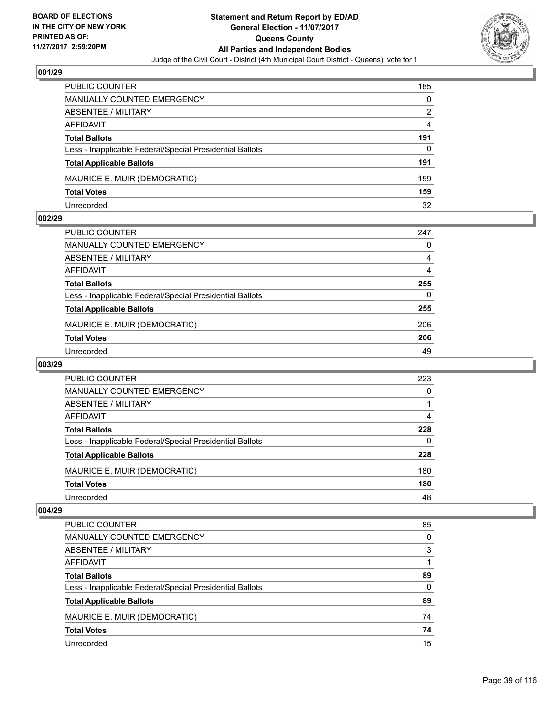

| <b>PUBLIC COUNTER</b>                                    | 185 |
|----------------------------------------------------------|-----|
| <b>MANUALLY COUNTED EMERGENCY</b>                        | 0   |
| <b>ABSENTEE / MILITARY</b>                               | 2   |
| AFFIDAVIT                                                | 4   |
| <b>Total Ballots</b>                                     | 191 |
| Less - Inapplicable Federal/Special Presidential Ballots | 0   |
| <b>Total Applicable Ballots</b>                          | 191 |
| MAURICE E. MUIR (DEMOCRATIC)                             | 159 |
| <b>Total Votes</b>                                       | 159 |
| Unrecorded                                               | 32  |

#### **002/29**

| PUBLIC COUNTER                                           | 247 |
|----------------------------------------------------------|-----|
| <b>MANUALLY COUNTED EMERGENCY</b>                        | 0   |
| <b>ABSENTEE / MILITARY</b>                               | 4   |
| <b>AFFIDAVIT</b>                                         | 4   |
| <b>Total Ballots</b>                                     | 255 |
| Less - Inapplicable Federal/Special Presidential Ballots | 0   |
| <b>Total Applicable Ballots</b>                          | 255 |
| MAURICE E. MUIR (DEMOCRATIC)                             | 206 |
| <b>Total Votes</b>                                       | 206 |
| Unrecorded                                               | 49  |

# **003/29**

| <b>PUBLIC COUNTER</b>                                    | 223 |
|----------------------------------------------------------|-----|
| MANUALLY COUNTED EMERGENCY                               | 0   |
| ABSENTEE / MILITARY                                      |     |
| AFFIDAVIT                                                | 4   |
| <b>Total Ballots</b>                                     | 228 |
| Less - Inapplicable Federal/Special Presidential Ballots | 0   |
| <b>Total Applicable Ballots</b>                          | 228 |
| MAURICE E. MUIR (DEMOCRATIC)                             | 180 |
| <b>Total Votes</b>                                       | 180 |
| Unrecorded                                               | 48  |

| <b>PUBLIC COUNTER</b>                                    | 85 |
|----------------------------------------------------------|----|
| MANUALLY COUNTED EMERGENCY                               | 0  |
| <b>ABSENTEE / MILITARY</b>                               | 3  |
| AFFIDAVIT                                                |    |
| <b>Total Ballots</b>                                     | 89 |
| Less - Inapplicable Federal/Special Presidential Ballots | 0  |
| <b>Total Applicable Ballots</b>                          | 89 |
| MAURICE E. MUIR (DEMOCRATIC)                             | 74 |
| <b>Total Votes</b>                                       | 74 |
| Unrecorded                                               | 15 |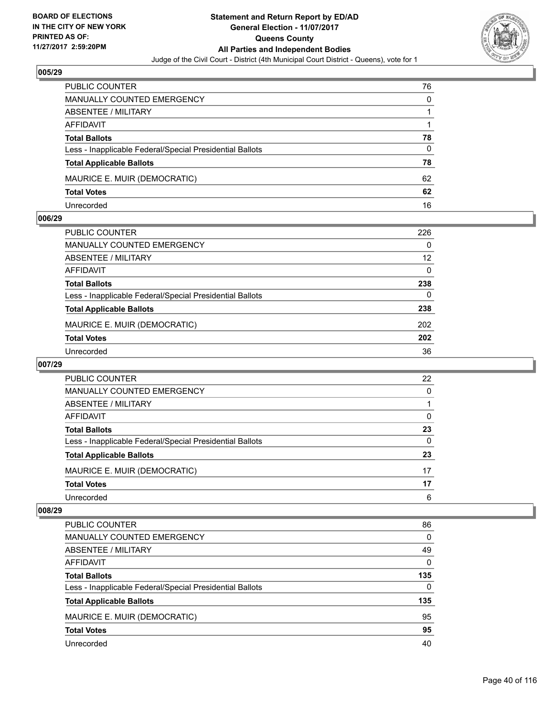

| <b>PUBLIC COUNTER</b>                                    | 76 |
|----------------------------------------------------------|----|
| MANUALLY COUNTED EMERGENCY                               | 0  |
| ABSENTEE / MILITARY                                      |    |
| AFFIDAVIT                                                |    |
| <b>Total Ballots</b>                                     | 78 |
| Less - Inapplicable Federal/Special Presidential Ballots | 0  |
| <b>Total Applicable Ballots</b>                          | 78 |
| MAURICE E. MUIR (DEMOCRATIC)                             | 62 |
| <b>Total Votes</b>                                       | 62 |
| Unrecorded                                               | 16 |

#### **006/29**

| PUBLIC COUNTER                                           | 226 |
|----------------------------------------------------------|-----|
| <b>MANUALLY COUNTED EMERGENCY</b>                        | 0   |
| ABSENTEE / MILITARY                                      | 12  |
| AFFIDAVIT                                                | 0   |
| <b>Total Ballots</b>                                     | 238 |
| Less - Inapplicable Federal/Special Presidential Ballots | 0   |
| <b>Total Applicable Ballots</b>                          | 238 |
| MAURICE E. MUIR (DEMOCRATIC)                             | 202 |
| <b>Total Votes</b>                                       | 202 |
| Unrecorded                                               | 36  |
|                                                          |     |

# **007/29**

| PUBLIC COUNTER                                           | 22 |
|----------------------------------------------------------|----|
| <b>MANUALLY COUNTED EMERGENCY</b>                        | 0  |
| ABSENTEE / MILITARY                                      |    |
| AFFIDAVIT                                                | 0  |
| <b>Total Ballots</b>                                     | 23 |
| Less - Inapplicable Federal/Special Presidential Ballots | 0  |
| <b>Total Applicable Ballots</b>                          | 23 |
| MAURICE E. MUIR (DEMOCRATIC)                             | 17 |
| <b>Total Votes</b>                                       | 17 |
| Unrecorded                                               | 6  |

| PUBLIC COUNTER                                           | 86  |
|----------------------------------------------------------|-----|
| <b>MANUALLY COUNTED EMERGENCY</b>                        | 0   |
| ABSENTEE / MILITARY                                      | 49  |
| AFFIDAVIT                                                | 0   |
| <b>Total Ballots</b>                                     | 135 |
| Less - Inapplicable Federal/Special Presidential Ballots | 0   |
| <b>Total Applicable Ballots</b>                          | 135 |
| MAURICE E. MUIR (DEMOCRATIC)                             | 95  |
| <b>Total Votes</b>                                       | 95  |
| Unrecorded                                               | 40  |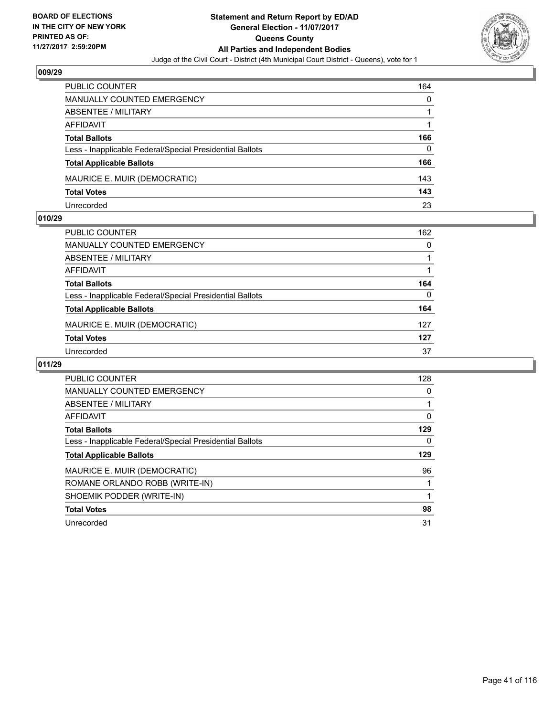

| <b>PUBLIC COUNTER</b>                                    | 164 |
|----------------------------------------------------------|-----|
| MANUALLY COUNTED EMERGENCY                               | 0   |
| ABSENTEE / MILITARY                                      |     |
| AFFIDAVIT                                                |     |
| <b>Total Ballots</b>                                     | 166 |
| Less - Inapplicable Federal/Special Presidential Ballots | 0   |
| <b>Total Applicable Ballots</b>                          | 166 |
| MAURICE E. MUIR (DEMOCRATIC)                             | 143 |
| <b>Total Votes</b>                                       | 143 |
| Unrecorded                                               | 23  |

#### **010/29**

| PUBLIC COUNTER                                           | 162      |
|----------------------------------------------------------|----------|
| <b>MANUALLY COUNTED EMERGENCY</b>                        | 0        |
| ABSENTEE / MILITARY                                      |          |
| AFFIDAVIT                                                |          |
| <b>Total Ballots</b>                                     | 164      |
| Less - Inapplicable Federal/Special Presidential Ballots | $\Omega$ |
| <b>Total Applicable Ballots</b>                          | 164      |
| MAURICE E. MUIR (DEMOCRATIC)                             | 127      |
| <b>Total Votes</b>                                       | 127      |
| Unrecorded                                               | 37       |
|                                                          |          |

| <b>PUBLIC COUNTER</b>                                    | 128 |
|----------------------------------------------------------|-----|
| <b>MANUALLY COUNTED EMERGENCY</b>                        | 0   |
| <b>ABSENTEE / MILITARY</b>                               |     |
| <b>AFFIDAVIT</b>                                         | 0   |
| <b>Total Ballots</b>                                     | 129 |
| Less - Inapplicable Federal/Special Presidential Ballots | 0   |
| <b>Total Applicable Ballots</b>                          | 129 |
| MAURICE E. MUIR (DEMOCRATIC)                             | 96  |
| ROMANE ORLANDO ROBB (WRITE-IN)                           |     |
| SHOEMIK PODDER (WRITE-IN)                                |     |
| <b>Total Votes</b>                                       | 98  |
| Unrecorded                                               | 31  |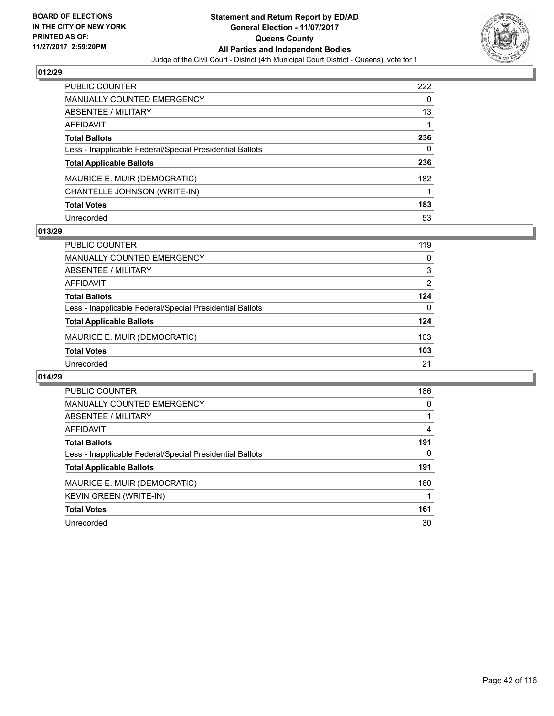

| <b>PUBLIC COUNTER</b>                                    | 222 |
|----------------------------------------------------------|-----|
| <b>MANUALLY COUNTED EMERGENCY</b>                        | 0   |
| ABSENTEE / MILITARY                                      | 13  |
| <b>AFFIDAVIT</b>                                         |     |
| <b>Total Ballots</b>                                     | 236 |
| Less - Inapplicable Federal/Special Presidential Ballots | 0   |
| <b>Total Applicable Ballots</b>                          | 236 |
| MAURICE E. MUIR (DEMOCRATIC)                             | 182 |
| CHANTELLE JOHNSON (WRITE-IN)                             |     |
| <b>Total Votes</b>                                       | 183 |
| Unrecorded                                               | 53  |

### **013/29**

| <b>PUBLIC COUNTER</b>                                    | 119 |
|----------------------------------------------------------|-----|
| MANUALLY COUNTED EMERGENCY                               | 0   |
| ABSENTEE / MILITARY                                      | 3   |
| AFFIDAVIT                                                | 2   |
| <b>Total Ballots</b>                                     | 124 |
| Less - Inapplicable Federal/Special Presidential Ballots | 0   |
| <b>Total Applicable Ballots</b>                          | 124 |
| MAURICE E. MUIR (DEMOCRATIC)                             | 103 |
| <b>Total Votes</b>                                       | 103 |
| Unrecorded                                               | 21  |

| <b>PUBLIC COUNTER</b>                                    | 186 |
|----------------------------------------------------------|-----|
| <b>MANUALLY COUNTED EMERGENCY</b>                        | 0   |
| ABSENTEE / MILITARY                                      |     |
| AFFIDAVIT                                                | 4   |
| <b>Total Ballots</b>                                     | 191 |
| Less - Inapplicable Federal/Special Presidential Ballots | 0   |
| <b>Total Applicable Ballots</b>                          | 191 |
| MAURICE E. MUIR (DEMOCRATIC)                             | 160 |
| <b>KEVIN GREEN (WRITE-IN)</b>                            |     |
| <b>Total Votes</b>                                       | 161 |
| Unrecorded                                               | 30  |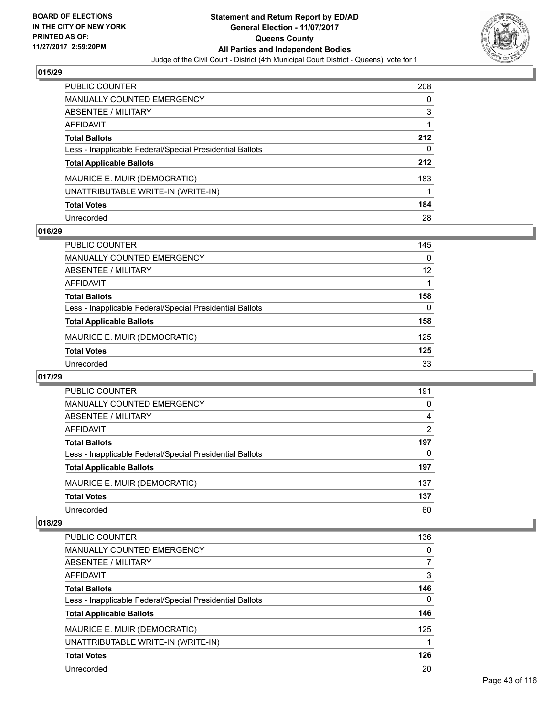

| <b>PUBLIC COUNTER</b>                                    | 208 |
|----------------------------------------------------------|-----|
| <b>MANUALLY COUNTED EMERGENCY</b>                        | 0   |
| ABSENTEE / MILITARY                                      | 3   |
| <b>AFFIDAVIT</b>                                         |     |
| <b>Total Ballots</b>                                     | 212 |
| Less - Inapplicable Federal/Special Presidential Ballots | 0   |
| <b>Total Applicable Ballots</b>                          | 212 |
| MAURICE E. MUIR (DEMOCRATIC)                             | 183 |
| UNATTRIBUTABLE WRITE-IN (WRITE-IN)                       |     |
| <b>Total Votes</b>                                       | 184 |
| Unrecorded                                               | 28  |

### **016/29**

| <b>PUBLIC COUNTER</b>                                    | 145 |
|----------------------------------------------------------|-----|
| MANUALLY COUNTED EMERGENCY                               | 0   |
| ABSENTEE / MILITARY                                      | 12  |
| AFFIDAVIT                                                |     |
| <b>Total Ballots</b>                                     | 158 |
| Less - Inapplicable Federal/Special Presidential Ballots | 0   |
| <b>Total Applicable Ballots</b>                          | 158 |
| MAURICE E. MUIR (DEMOCRATIC)                             | 125 |
| <b>Total Votes</b>                                       | 125 |
| Unrecorded                                               | 33  |

#### **017/29**

| <b>PUBLIC COUNTER</b>                                    | 191 |
|----------------------------------------------------------|-----|
| <b>MANUALLY COUNTED EMERGENCY</b>                        | 0   |
| ABSENTEE / MILITARY                                      | 4   |
| AFFIDAVIT                                                | 2   |
| <b>Total Ballots</b>                                     | 197 |
| Less - Inapplicable Federal/Special Presidential Ballots | 0   |
| <b>Total Applicable Ballots</b>                          | 197 |
| MAURICE E. MUIR (DEMOCRATIC)                             | 137 |
| <b>Total Votes</b>                                       | 137 |
| Unrecorded                                               | 60  |

| <b>PUBLIC COUNTER</b>                                    | 136 |
|----------------------------------------------------------|-----|
| <b>MANUALLY COUNTED EMERGENCY</b>                        | 0   |
| <b>ABSENTEE / MILITARY</b>                               | 7   |
| AFFIDAVIT                                                | 3   |
| <b>Total Ballots</b>                                     | 146 |
| Less - Inapplicable Federal/Special Presidential Ballots | 0   |
| <b>Total Applicable Ballots</b>                          | 146 |
| MAURICE E. MUIR (DEMOCRATIC)                             | 125 |
| UNATTRIBUTABLE WRITE-IN (WRITE-IN)                       |     |
| <b>Total Votes</b>                                       | 126 |
| Unrecorded                                               | 20  |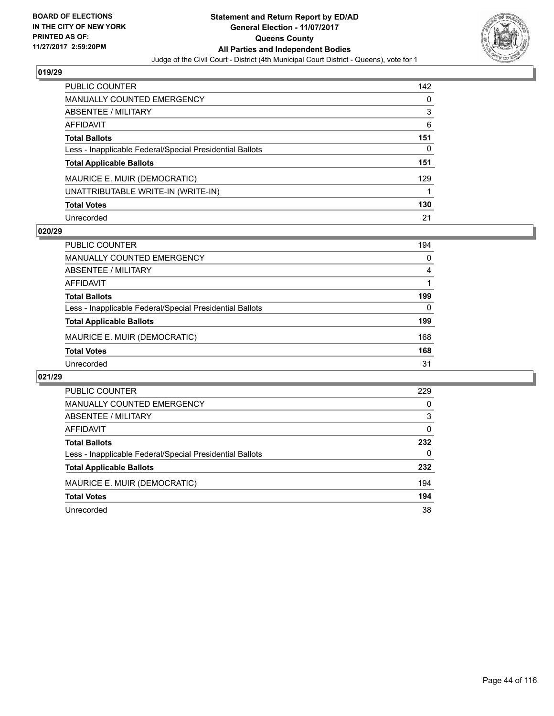

| <b>PUBLIC COUNTER</b>                                    | 142 |
|----------------------------------------------------------|-----|
| <b>MANUALLY COUNTED EMERGENCY</b>                        | 0   |
| <b>ABSENTEE / MILITARY</b>                               | 3   |
| <b>AFFIDAVIT</b>                                         | 6   |
| <b>Total Ballots</b>                                     | 151 |
| Less - Inapplicable Federal/Special Presidential Ballots | 0   |
| <b>Total Applicable Ballots</b>                          | 151 |
| MAURICE E. MUIR (DEMOCRATIC)                             | 129 |
| UNATTRIBUTABLE WRITE-IN (WRITE-IN)                       |     |
| <b>Total Votes</b>                                       | 130 |
| Unrecorded                                               | 21  |

#### **020/29**

| <b>PUBLIC COUNTER</b>                                    | 194      |
|----------------------------------------------------------|----------|
| MANUALLY COUNTED EMERGENCY                               | 0        |
| ABSENTEE / MILITARY                                      | 4        |
| AFFIDAVIT                                                |          |
| <b>Total Ballots</b>                                     | 199      |
| Less - Inapplicable Federal/Special Presidential Ballots | $\Omega$ |
| <b>Total Applicable Ballots</b>                          | 199      |
| MAURICE E. MUIR (DEMOCRATIC)                             | 168      |
| <b>Total Votes</b>                                       | 168      |
| Unrecorded                                               | 31       |

| PUBLIC COUNTER                                           | 229 |
|----------------------------------------------------------|-----|
| <b>MANUALLY COUNTED EMERGENCY</b>                        | 0   |
| ABSENTEE / MILITARY                                      | 3   |
| AFFIDAVIT                                                | 0   |
| <b>Total Ballots</b>                                     | 232 |
| Less - Inapplicable Federal/Special Presidential Ballots | 0   |
| <b>Total Applicable Ballots</b>                          | 232 |
| MAURICE E. MUIR (DEMOCRATIC)                             | 194 |
| <b>Total Votes</b>                                       | 194 |
| Unrecorded                                               | 38  |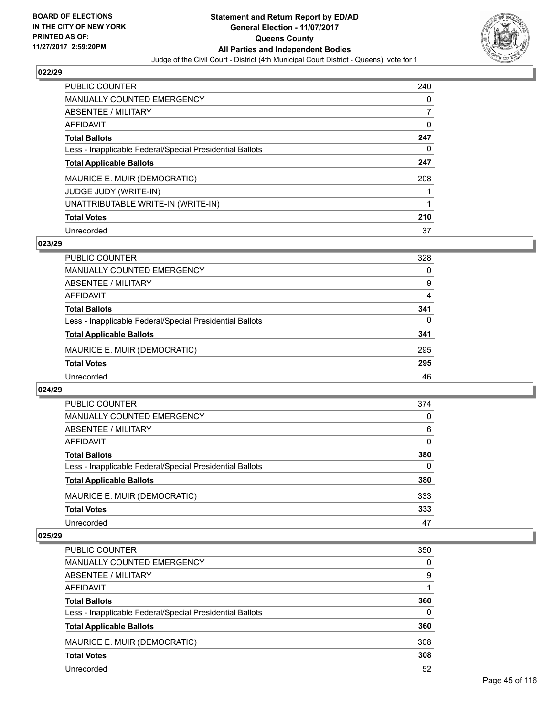

| <b>PUBLIC COUNTER</b>                                    | 240 |
|----------------------------------------------------------|-----|
| <b>MANUALLY COUNTED EMERGENCY</b>                        | 0   |
| ABSENTEE / MILITARY                                      | 7   |
| AFFIDAVIT                                                | 0   |
| <b>Total Ballots</b>                                     | 247 |
| Less - Inapplicable Federal/Special Presidential Ballots | 0   |
| <b>Total Applicable Ballots</b>                          | 247 |
| MAURICE E. MUIR (DEMOCRATIC)                             | 208 |
| <b>JUDGE JUDY (WRITE-IN)</b>                             |     |
| UNATTRIBUTABLE WRITE-IN (WRITE-IN)                       |     |
| <b>Total Votes</b>                                       | 210 |
| Unrecorded                                               | 37  |

### **023/29**

| <b>PUBLIC COUNTER</b>                                    | 328 |
|----------------------------------------------------------|-----|
| MANUALLY COUNTED EMERGENCY                               | 0   |
| ABSENTEE / MILITARY                                      | 9   |
| AFFIDAVIT                                                | 4   |
| <b>Total Ballots</b>                                     | 341 |
| Less - Inapplicable Federal/Special Presidential Ballots | 0   |
| <b>Total Applicable Ballots</b>                          | 341 |
| MAURICE E. MUIR (DEMOCRATIC)                             | 295 |
| <b>Total Votes</b>                                       | 295 |
| Unrecorded                                               | 46  |

#### **024/29**

| <b>PUBLIC COUNTER</b>                                    | 374 |
|----------------------------------------------------------|-----|
| MANUALLY COUNTED EMERGENCY                               | 0   |
| ABSENTEE / MILITARY                                      | 6   |
| AFFIDAVIT                                                | 0   |
| <b>Total Ballots</b>                                     | 380 |
| Less - Inapplicable Federal/Special Presidential Ballots | 0   |
| <b>Total Applicable Ballots</b>                          | 380 |
| MAURICE E. MUIR (DEMOCRATIC)                             | 333 |
| <b>Total Votes</b>                                       | 333 |
| Unrecorded                                               | 47  |

| <b>PUBLIC COUNTER</b>                                    | 350 |
|----------------------------------------------------------|-----|
| MANUALLY COUNTED EMERGENCY                               | 0   |
| ABSENTEE / MILITARY                                      | 9   |
| AFFIDAVIT                                                |     |
| <b>Total Ballots</b>                                     | 360 |
| Less - Inapplicable Federal/Special Presidential Ballots | 0   |
| <b>Total Applicable Ballots</b>                          | 360 |
| MAURICE E. MUIR (DEMOCRATIC)                             | 308 |
| <b>Total Votes</b>                                       | 308 |
| Unrecorded                                               | 52  |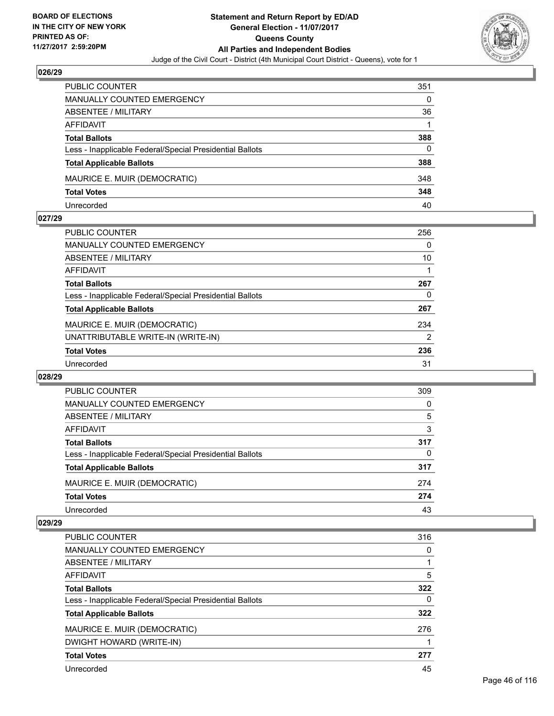

| PUBLIC COUNTER                                           | 351 |
|----------------------------------------------------------|-----|
| <b>MANUALLY COUNTED EMERGENCY</b>                        | 0   |
| ABSENTEE / MILITARY                                      | 36  |
| AFFIDAVIT                                                |     |
| <b>Total Ballots</b>                                     | 388 |
| Less - Inapplicable Federal/Special Presidential Ballots | 0   |
| <b>Total Applicable Ballots</b>                          | 388 |
| MAURICE E. MUIR (DEMOCRATIC)                             | 348 |
| <b>Total Votes</b>                                       | 348 |
| Unrecorded                                               | 40  |

#### **027/29**

| <b>PUBLIC COUNTER</b>                                    | 256            |
|----------------------------------------------------------|----------------|
| <b>MANUALLY COUNTED EMERGENCY</b>                        | 0              |
| ABSENTEE / MILITARY                                      | 10             |
| AFFIDAVIT                                                |                |
| <b>Total Ballots</b>                                     | 267            |
| Less - Inapplicable Federal/Special Presidential Ballots | 0              |
| <b>Total Applicable Ballots</b>                          | 267            |
| MAURICE E. MUIR (DEMOCRATIC)                             | 234            |
| UNATTRIBUTABLE WRITE-IN (WRITE-IN)                       | $\overline{2}$ |
| <b>Total Votes</b>                                       | 236            |
| Unrecorded                                               | 31             |
|                                                          |                |

#### **028/29**

| PUBLIC COUNTER                                           | 309 |
|----------------------------------------------------------|-----|
| <b>MANUALLY COUNTED EMERGENCY</b>                        | 0   |
| <b>ABSENTEE / MILITARY</b>                               | 5   |
| AFFIDAVIT                                                | 3   |
| <b>Total Ballots</b>                                     | 317 |
| Less - Inapplicable Federal/Special Presidential Ballots | 0   |
| <b>Total Applicable Ballots</b>                          | 317 |
| MAURICE E. MUIR (DEMOCRATIC)                             | 274 |
| <b>Total Votes</b>                                       | 274 |
| Unrecorded                                               | 43  |

| <b>PUBLIC COUNTER</b>                                    | 316 |
|----------------------------------------------------------|-----|
| MANUALLY COUNTED EMERGENCY                               | 0   |
| ABSENTEE / MILITARY                                      |     |
| AFFIDAVIT                                                | 5   |
| <b>Total Ballots</b>                                     | 322 |
| Less - Inapplicable Federal/Special Presidential Ballots | 0   |
| <b>Total Applicable Ballots</b>                          | 322 |
| MAURICE E. MUIR (DEMOCRATIC)                             | 276 |
| DWIGHT HOWARD (WRITE-IN)                                 |     |
| <b>Total Votes</b>                                       | 277 |
| Unrecorded                                               | 45  |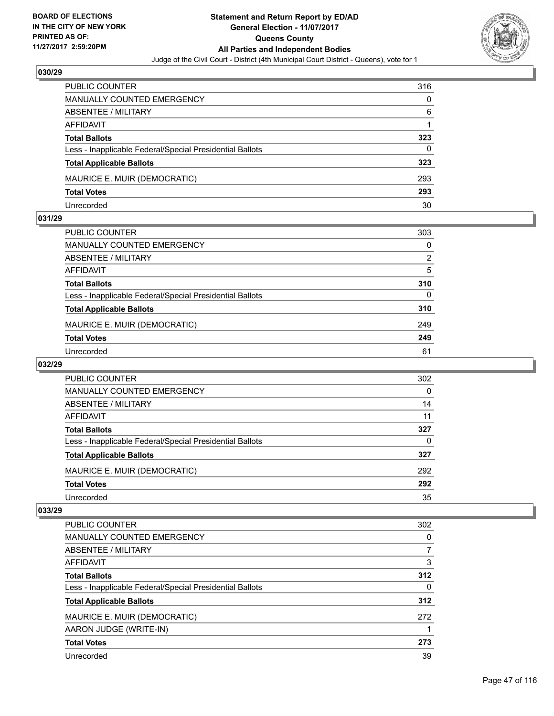

| <b>PUBLIC COUNTER</b>                                    | 316 |
|----------------------------------------------------------|-----|
| <b>MANUALLY COUNTED EMERGENCY</b>                        | 0   |
| ABSENTEE / MILITARY                                      | 6   |
| AFFIDAVIT                                                |     |
| <b>Total Ballots</b>                                     | 323 |
| Less - Inapplicable Federal/Special Presidential Ballots | 0   |
| <b>Total Applicable Ballots</b>                          | 323 |
| MAURICE E. MUIR (DEMOCRATIC)                             | 293 |
| <b>Total Votes</b>                                       | 293 |
| Unrecorded                                               | 30  |

#### **031/29**

| <b>PUBLIC COUNTER</b>                                    | 303            |
|----------------------------------------------------------|----------------|
| MANUALLY COUNTED EMERGENCY                               | 0              |
| ABSENTEE / MILITARY                                      | $\overline{2}$ |
| AFFIDAVIT                                                | 5              |
| <b>Total Ballots</b>                                     | 310            |
| Less - Inapplicable Federal/Special Presidential Ballots | 0              |
| <b>Total Applicable Ballots</b>                          | 310            |
| MAURICE E. MUIR (DEMOCRATIC)                             | 249            |
| <b>Total Votes</b>                                       | 249            |
| Unrecorded                                               | 61             |

# **032/29**

| <b>PUBLIC COUNTER</b>                                    | 302      |
|----------------------------------------------------------|----------|
| MANUALLY COUNTED EMERGENCY                               | $\Omega$ |
| ABSENTEE / MILITARY                                      | 14       |
| AFFIDAVIT                                                | 11       |
| <b>Total Ballots</b>                                     | 327      |
| Less - Inapplicable Federal/Special Presidential Ballots | 0        |
| <b>Total Applicable Ballots</b>                          | 327      |
| MAURICE E. MUIR (DEMOCRATIC)                             | 292      |
| <b>Total Votes</b>                                       | 292      |
| Unrecorded                                               | 35       |

| <b>PUBLIC COUNTER</b>                                    | 302 |
|----------------------------------------------------------|-----|
| <b>MANUALLY COUNTED EMERGENCY</b>                        | 0   |
| ABSENTEE / MILITARY                                      |     |
| AFFIDAVIT                                                | 3   |
| <b>Total Ballots</b>                                     | 312 |
| Less - Inapplicable Federal/Special Presidential Ballots | 0   |
| <b>Total Applicable Ballots</b>                          | 312 |
| MAURICE E. MUIR (DEMOCRATIC)                             | 272 |
| AARON JUDGE (WRITE-IN)                                   |     |
| <b>Total Votes</b>                                       | 273 |
| Unrecorded                                               | 39  |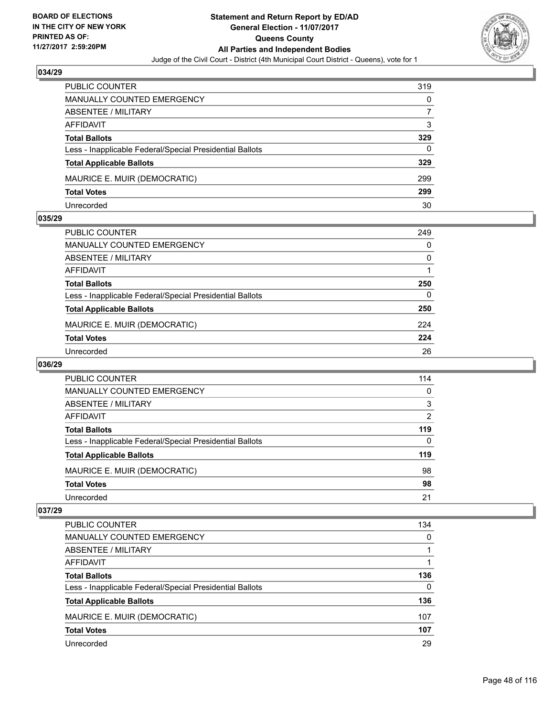

| <b>PUBLIC COUNTER</b>                                    | 319 |
|----------------------------------------------------------|-----|
| <b>MANUALLY COUNTED EMERGENCY</b>                        | 0   |
| ABSENTEE / MILITARY                                      |     |
| AFFIDAVIT                                                | 3   |
| <b>Total Ballots</b>                                     | 329 |
| Less - Inapplicable Federal/Special Presidential Ballots | 0   |
| <b>Total Applicable Ballots</b>                          | 329 |
| MAURICE E. MUIR (DEMOCRATIC)                             | 299 |
| <b>Total Votes</b>                                       | 299 |
| Unrecorded                                               | 30  |

#### **035/29**

| PUBLIC COUNTER                                           | 249      |
|----------------------------------------------------------|----------|
| <b>MANUALLY COUNTED EMERGENCY</b>                        | 0        |
| <b>ABSENTEE / MILITARY</b>                               | 0        |
| <b>AFFIDAVIT</b>                                         |          |
| <b>Total Ballots</b>                                     | 250      |
| Less - Inapplicable Federal/Special Presidential Ballots | $\Omega$ |
| <b>Total Applicable Ballots</b>                          | 250      |
| MAURICE E. MUIR (DEMOCRATIC)                             | 224      |
| <b>Total Votes</b>                                       | 224      |
| Unrecorded                                               | 26       |
|                                                          |          |

## **036/29**

| PUBLIC COUNTER                                           | 114 |
|----------------------------------------------------------|-----|
| MANUALLY COUNTED EMERGENCY                               | 0   |
| ABSENTEE / MILITARY                                      | 3   |
| AFFIDAVIT                                                | 2   |
| <b>Total Ballots</b>                                     | 119 |
| Less - Inapplicable Federal/Special Presidential Ballots | 0   |
| <b>Total Applicable Ballots</b>                          | 119 |
| MAURICE E. MUIR (DEMOCRATIC)                             | 98  |
| <b>Total Votes</b>                                       | 98  |
| Unrecorded                                               | 21  |

| <b>PUBLIC COUNTER</b>                                    | 134 |
|----------------------------------------------------------|-----|
| <b>MANUALLY COUNTED EMERGENCY</b>                        | 0   |
| <b>ABSENTEE / MILITARY</b>                               |     |
| AFFIDAVIT                                                |     |
| <b>Total Ballots</b>                                     | 136 |
| Less - Inapplicable Federal/Special Presidential Ballots | 0   |
| <b>Total Applicable Ballots</b>                          | 136 |
| MAURICE E. MUIR (DEMOCRATIC)                             | 107 |
| <b>Total Votes</b>                                       | 107 |
| Unrecorded                                               | 29  |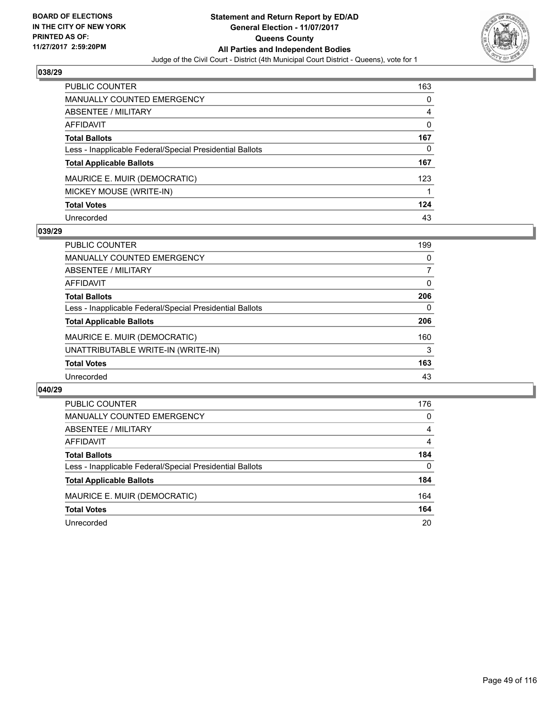

| <b>PUBLIC COUNTER</b>                                    | 163 |
|----------------------------------------------------------|-----|
| <b>MANUALLY COUNTED EMERGENCY</b>                        | 0   |
| <b>ABSENTEE / MILITARY</b>                               | 4   |
| <b>AFFIDAVIT</b>                                         | 0   |
| <b>Total Ballots</b>                                     | 167 |
| Less - Inapplicable Federal/Special Presidential Ballots | 0   |
| <b>Total Applicable Ballots</b>                          | 167 |
| MAURICE E. MUIR (DEMOCRATIC)                             | 123 |
| MICKEY MOUSE (WRITE-IN)                                  |     |
| <b>Total Votes</b>                                       | 124 |
| Unrecorded                                               | 43  |

### **039/29**

| <b>PUBLIC COUNTER</b>                                    | 199 |
|----------------------------------------------------------|-----|
| MANUALLY COUNTED EMERGENCY                               | 0   |
| ABSENTEE / MILITARY                                      | 7   |
| AFFIDAVIT                                                | 0   |
| <b>Total Ballots</b>                                     | 206 |
| Less - Inapplicable Federal/Special Presidential Ballots | 0   |
| <b>Total Applicable Ballots</b>                          | 206 |
| MAURICE E. MUIR (DEMOCRATIC)                             | 160 |
| UNATTRIBUTABLE WRITE-IN (WRITE-IN)                       | 3   |
| <b>Total Votes</b>                                       | 163 |
| Unrecorded                                               | 43  |

| PUBLIC COUNTER                                           | 176      |
|----------------------------------------------------------|----------|
| <b>MANUALLY COUNTED EMERGENCY</b>                        | 0        |
| <b>ABSENTEE / MILITARY</b>                               | 4        |
| AFFIDAVIT                                                | 4        |
| <b>Total Ballots</b>                                     | 184      |
| Less - Inapplicable Federal/Special Presidential Ballots | $\Omega$ |
| <b>Total Applicable Ballots</b>                          | 184      |
| MAURICE E. MUIR (DEMOCRATIC)                             | 164      |
| <b>Total Votes</b>                                       | 164      |
| Unrecorded                                               | 20       |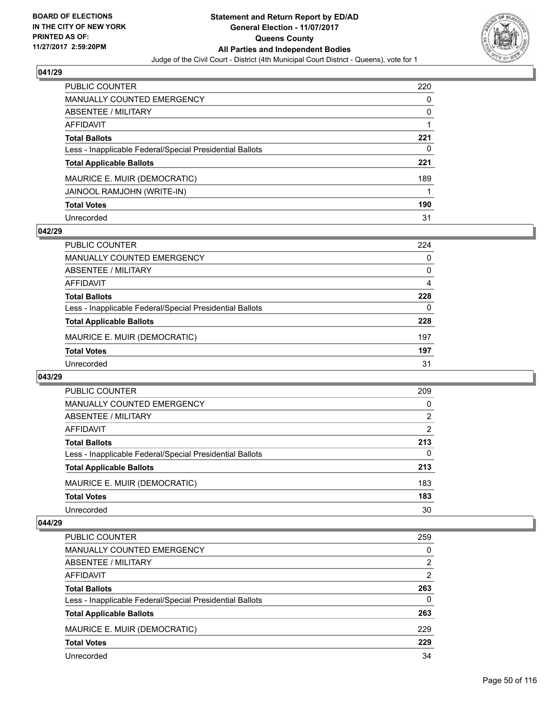

| <b>PUBLIC COUNTER</b>                                    | 220 |
|----------------------------------------------------------|-----|
| <b>MANUALLY COUNTED EMERGENCY</b>                        | 0   |
| ABSENTEE / MILITARY                                      | 0   |
| <b>AFFIDAVIT</b>                                         |     |
| <b>Total Ballots</b>                                     | 221 |
| Less - Inapplicable Federal/Special Presidential Ballots | 0   |
| <b>Total Applicable Ballots</b>                          | 221 |
| MAURICE E. MUIR (DEMOCRATIC)                             | 189 |
| JAINOOL RAMJOHN (WRITE-IN)                               |     |
| <b>Total Votes</b>                                       | 190 |
| Unrecorded                                               | 31  |

## **042/29**

| <b>PUBLIC COUNTER</b>                                    | 224 |
|----------------------------------------------------------|-----|
| MANUALLY COUNTED EMERGENCY                               | 0   |
| ABSENTEE / MILITARY                                      | 0   |
| AFFIDAVIT                                                | 4   |
| <b>Total Ballots</b>                                     | 228 |
| Less - Inapplicable Federal/Special Presidential Ballots | 0   |
| <b>Total Applicable Ballots</b>                          | 228 |
| MAURICE E. MUIR (DEMOCRATIC)                             | 197 |
| <b>Total Votes</b>                                       | 197 |
| Unrecorded                                               | 31  |

#### **043/29**

| PUBLIC COUNTER                                           | 209            |
|----------------------------------------------------------|----------------|
| <b>MANUALLY COUNTED EMERGENCY</b>                        | 0              |
| <b>ABSENTEE / MILITARY</b>                               | $\overline{2}$ |
| AFFIDAVIT                                                | 2              |
| <b>Total Ballots</b>                                     | 213            |
| Less - Inapplicable Federal/Special Presidential Ballots | 0              |
| <b>Total Applicable Ballots</b>                          | 213            |
| MAURICE E. MUIR (DEMOCRATIC)                             | 183            |
| <b>Total Votes</b>                                       | 183            |
| Unrecorded                                               | 30             |

| PUBLIC COUNTER                                           | 259            |
|----------------------------------------------------------|----------------|
| MANUALLY COUNTED EMERGENCY                               | 0              |
| ABSENTEE / MILITARY                                      | 2              |
| AFFIDAVIT                                                | $\overline{2}$ |
| <b>Total Ballots</b>                                     | 263            |
| Less - Inapplicable Federal/Special Presidential Ballots | 0              |
| <b>Total Applicable Ballots</b>                          | 263            |
| MAURICE E. MUIR (DEMOCRATIC)                             | 229            |
| <b>Total Votes</b>                                       | 229            |
| Unrecorded                                               | 34             |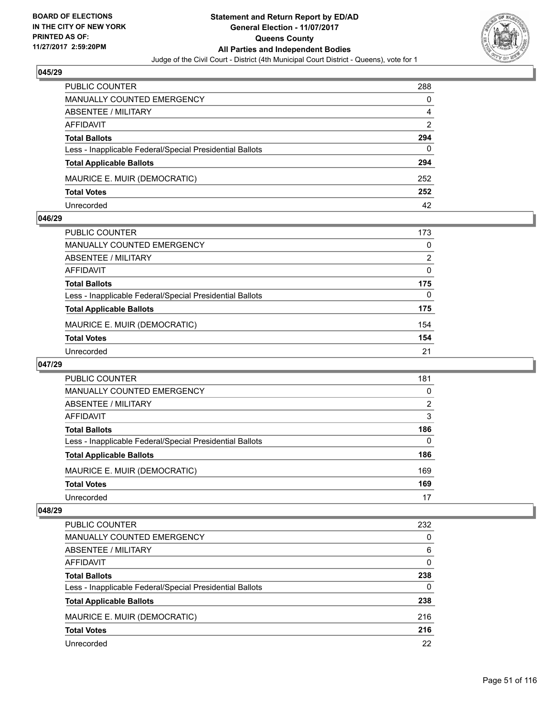

| <b>PUBLIC COUNTER</b>                                    | 288 |
|----------------------------------------------------------|-----|
| <b>MANUALLY COUNTED EMERGENCY</b>                        | 0   |
| <b>ABSENTEE / MILITARY</b>                               | 4   |
| AFFIDAVIT                                                | 2   |
| <b>Total Ballots</b>                                     | 294 |
| Less - Inapplicable Federal/Special Presidential Ballots | 0   |
| <b>Total Applicable Ballots</b>                          | 294 |
| MAURICE E. MUIR (DEMOCRATIC)                             | 252 |
| <b>Total Votes</b>                                       | 252 |
| Unrecorded                                               | 42  |

#### **046/29**

| PUBLIC COUNTER                                           | 173 |
|----------------------------------------------------------|-----|
| <b>MANUALLY COUNTED EMERGENCY</b>                        | 0   |
| ABSENTEE / MILITARY                                      | 2   |
| AFFIDAVIT                                                | 0   |
| <b>Total Ballots</b>                                     | 175 |
| Less - Inapplicable Federal/Special Presidential Ballots | 0   |
| <b>Total Applicable Ballots</b>                          | 175 |
| MAURICE E. MUIR (DEMOCRATIC)                             | 154 |
| <b>Total Votes</b>                                       | 154 |
| Unrecorded                                               | 21  |
|                                                          |     |

## **047/29**

| PUBLIC COUNTER                                           | 181 |
|----------------------------------------------------------|-----|
| <b>MANUALLY COUNTED EMERGENCY</b>                        | 0   |
| ABSENTEE / MILITARY                                      | 2   |
| AFFIDAVIT                                                | 3   |
| <b>Total Ballots</b>                                     | 186 |
| Less - Inapplicable Federal/Special Presidential Ballots | 0   |
| <b>Total Applicable Ballots</b>                          | 186 |
| MAURICE E. MUIR (DEMOCRATIC)                             | 169 |
| <b>Total Votes</b>                                       | 169 |
| Unrecorded                                               | 17  |

| <b>PUBLIC COUNTER</b>                                    | 232 |
|----------------------------------------------------------|-----|
| <b>MANUALLY COUNTED EMERGENCY</b>                        | 0   |
| <b>ABSENTEE / MILITARY</b>                               | 6   |
| AFFIDAVIT                                                | 0   |
| <b>Total Ballots</b>                                     | 238 |
| Less - Inapplicable Federal/Special Presidential Ballots | 0   |
| <b>Total Applicable Ballots</b>                          | 238 |
| MAURICE E. MUIR (DEMOCRATIC)                             | 216 |
| <b>Total Votes</b>                                       | 216 |
| Unrecorded                                               | 22  |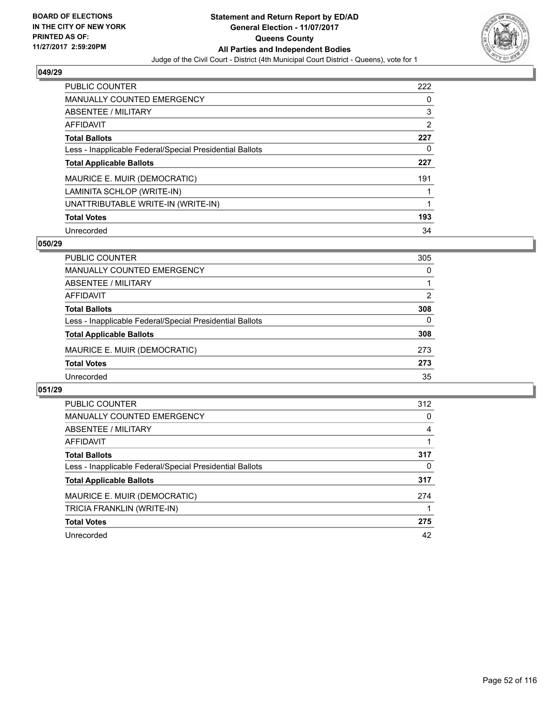

| <b>PUBLIC COUNTER</b>                                    | 222 |
|----------------------------------------------------------|-----|
| <b>MANUALLY COUNTED EMERGENCY</b>                        | 0   |
| ABSENTEE / MILITARY                                      | 3   |
| AFFIDAVIT                                                | 2   |
| <b>Total Ballots</b>                                     | 227 |
| Less - Inapplicable Federal/Special Presidential Ballots | 0   |
| <b>Total Applicable Ballots</b>                          | 227 |
| MAURICE E. MUIR (DEMOCRATIC)                             | 191 |
| LAMINITA SCHLOP (WRITE-IN)                               |     |
| UNATTRIBUTABLE WRITE-IN (WRITE-IN)                       |     |
| <b>Total Votes</b>                                       | 193 |
| Unrecorded                                               | 34  |

### **050/29**

| <b>PUBLIC COUNTER</b>                                    | 305      |
|----------------------------------------------------------|----------|
| <b>MANUALLY COUNTED EMERGENCY</b>                        | 0        |
| ABSENTEE / MILITARY                                      |          |
| AFFIDAVIT                                                | 2        |
| <b>Total Ballots</b>                                     | 308      |
| Less - Inapplicable Federal/Special Presidential Ballots | $\Omega$ |
| <b>Total Applicable Ballots</b>                          | 308      |
| MAURICE E. MUIR (DEMOCRATIC)                             | 273      |
| <b>Total Votes</b>                                       | 273      |
| Unrecorded                                               | 35       |

| <b>PUBLIC COUNTER</b>                                    | 312 |
|----------------------------------------------------------|-----|
| <b>MANUALLY COUNTED EMERGENCY</b>                        | 0   |
| ABSENTEE / MILITARY                                      | 4   |
| <b>AFFIDAVIT</b>                                         |     |
| <b>Total Ballots</b>                                     | 317 |
| Less - Inapplicable Federal/Special Presidential Ballots | 0   |
| <b>Total Applicable Ballots</b>                          | 317 |
| MAURICE E. MUIR (DEMOCRATIC)                             | 274 |
| TRICIA FRANKLIN (WRITE-IN)                               |     |
| <b>Total Votes</b>                                       | 275 |
| Unrecorded                                               | 42  |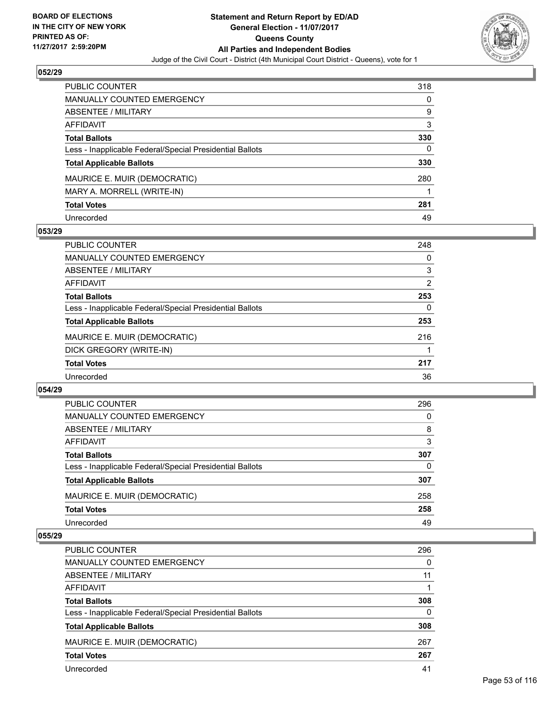

| PUBLIC COUNTER                                           | 318 |
|----------------------------------------------------------|-----|
| <b>MANUALLY COUNTED EMERGENCY</b>                        | 0   |
| ABSENTEE / MILITARY                                      | 9   |
| AFFIDAVIT                                                | 3   |
| <b>Total Ballots</b>                                     | 330 |
| Less - Inapplicable Federal/Special Presidential Ballots | 0   |
| <b>Total Applicable Ballots</b>                          | 330 |
| MAURICE E. MUIR (DEMOCRATIC)                             | 280 |
| MARY A. MORRELL (WRITE-IN)                               |     |
| <b>Total Votes</b>                                       | 281 |
| Unrecorded                                               | 49  |

## **053/29**

| <b>PUBLIC COUNTER</b>                                    | 248 |
|----------------------------------------------------------|-----|
| <b>MANUALLY COUNTED EMERGENCY</b>                        | 0   |
| ABSENTEE / MILITARY                                      | 3   |
| AFFIDAVIT                                                | 2   |
| <b>Total Ballots</b>                                     | 253 |
| Less - Inapplicable Federal/Special Presidential Ballots | 0   |
| <b>Total Applicable Ballots</b>                          | 253 |
| MAURICE E. MUIR (DEMOCRATIC)                             | 216 |
| DICK GREGORY (WRITE-IN)                                  |     |
| <b>Total Votes</b>                                       | 217 |
| Unrecorded                                               | 36  |

#### **054/29**

| <b>PUBLIC COUNTER</b>                                    | 296 |
|----------------------------------------------------------|-----|
| MANUALLY COUNTED EMERGENCY                               | 0   |
| ABSENTEE / MILITARY                                      | 8   |
| AFFIDAVIT                                                | 3   |
| <b>Total Ballots</b>                                     | 307 |
| Less - Inapplicable Federal/Special Presidential Ballots | 0   |
| <b>Total Applicable Ballots</b>                          | 307 |
| MAURICE E. MUIR (DEMOCRATIC)                             | 258 |
| <b>Total Votes</b>                                       | 258 |
| Unrecorded                                               | 49  |
|                                                          |     |

| <b>PUBLIC COUNTER</b>                                    | 296 |
|----------------------------------------------------------|-----|
| MANUALLY COUNTED EMERGENCY                               | 0   |
| ABSENTEE / MILITARY                                      | 11  |
| AFFIDAVIT                                                |     |
| <b>Total Ballots</b>                                     | 308 |
| Less - Inapplicable Federal/Special Presidential Ballots | 0   |
| <b>Total Applicable Ballots</b>                          | 308 |
| MAURICE E. MUIR (DEMOCRATIC)                             | 267 |
| <b>Total Votes</b>                                       | 267 |
| Unrecorded                                               | 41  |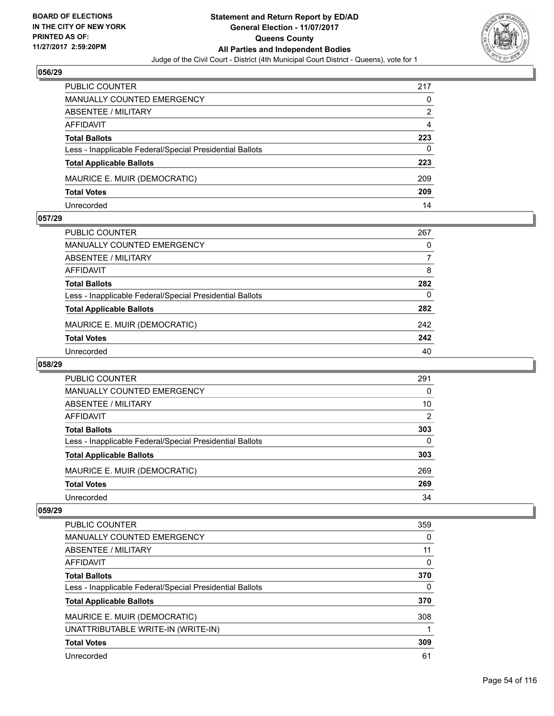

| <b>PUBLIC COUNTER</b>                                    | 217 |
|----------------------------------------------------------|-----|
| <b>MANUALLY COUNTED EMERGENCY</b>                        | 0   |
| ABSENTEE / MILITARY                                      | 2   |
| AFFIDAVIT                                                | 4   |
| <b>Total Ballots</b>                                     | 223 |
| Less - Inapplicable Federal/Special Presidential Ballots | 0   |
| <b>Total Applicable Ballots</b>                          | 223 |
| MAURICE E. MUIR (DEMOCRATIC)                             | 209 |
| <b>Total Votes</b>                                       | 209 |
| Unrecorded                                               | 14  |

#### **057/29**

| <b>PUBLIC COUNTER</b>                                    | 267 |
|----------------------------------------------------------|-----|
| MANUALLY COUNTED EMERGENCY                               | 0   |
| ABSENTEE / MILITARY                                      | 7   |
| AFFIDAVIT                                                | 8   |
| <b>Total Ballots</b>                                     | 282 |
| Less - Inapplicable Federal/Special Presidential Ballots | 0   |
| <b>Total Applicable Ballots</b>                          | 282 |
| MAURICE E. MUIR (DEMOCRATIC)                             | 242 |
| <b>Total Votes</b>                                       | 242 |
| Unrecorded                                               | 40  |
|                                                          |     |

## **058/29**

| PUBLIC COUNTER                                           | 291 |
|----------------------------------------------------------|-----|
| MANUALLY COUNTED EMERGENCY                               | 0   |
| ABSENTEE / MILITARY                                      | 10  |
| AFFIDAVIT                                                | 2   |
| <b>Total Ballots</b>                                     | 303 |
| Less - Inapplicable Federal/Special Presidential Ballots | 0   |
| <b>Total Applicable Ballots</b>                          | 303 |
| MAURICE E. MUIR (DEMOCRATIC)                             | 269 |
| <b>Total Votes</b>                                       | 269 |
| Unrecorded                                               | 34  |

| <b>PUBLIC COUNTER</b>                                    | 359 |
|----------------------------------------------------------|-----|
| <b>MANUALLY COUNTED EMERGENCY</b>                        | 0   |
| ABSENTEE / MILITARY                                      | 11  |
| AFFIDAVIT                                                | 0   |
| <b>Total Ballots</b>                                     | 370 |
| Less - Inapplicable Federal/Special Presidential Ballots | 0   |
| <b>Total Applicable Ballots</b>                          | 370 |
| MAURICE E. MUIR (DEMOCRATIC)                             | 308 |
| UNATTRIBUTABLE WRITE-IN (WRITE-IN)                       |     |
| <b>Total Votes</b>                                       | 309 |
| Unrecorded                                               | 61  |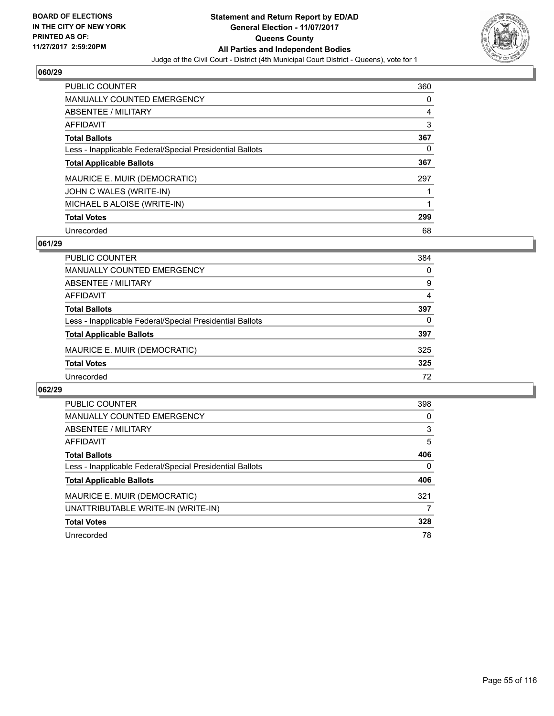

| <b>PUBLIC COUNTER</b>                                    | 360 |
|----------------------------------------------------------|-----|
| <b>MANUALLY COUNTED EMERGENCY</b>                        | 0   |
| ABSENTEE / MILITARY                                      | 4   |
| <b>AFFIDAVIT</b>                                         | 3   |
| <b>Total Ballots</b>                                     | 367 |
| Less - Inapplicable Federal/Special Presidential Ballots | 0   |
| <b>Total Applicable Ballots</b>                          | 367 |
| MAURICE E. MUIR (DEMOCRATIC)                             | 297 |
|                                                          |     |
| JOHN C WALES (WRITE-IN)                                  |     |
| MICHAEL B ALOISE (WRITE-IN)                              |     |
| <b>Total Votes</b>                                       | 299 |

#### **061/29**

| <b>PUBLIC COUNTER</b>                                    | 384 |
|----------------------------------------------------------|-----|
| MANUALLY COUNTED EMERGENCY                               | 0   |
| ABSENTEE / MILITARY                                      | 9   |
| AFFIDAVIT                                                | 4   |
| <b>Total Ballots</b>                                     | 397 |
| Less - Inapplicable Federal/Special Presidential Ballots | 0   |
| <b>Total Applicable Ballots</b>                          | 397 |
| MAURICE E. MUIR (DEMOCRATIC)                             | 325 |
| <b>Total Votes</b>                                       | 325 |
| Unrecorded                                               | 72  |

| <b>PUBLIC COUNTER</b>                                    | 398 |
|----------------------------------------------------------|-----|
| <b>MANUALLY COUNTED EMERGENCY</b>                        | 0   |
| ABSENTEE / MILITARY                                      | 3   |
| AFFIDAVIT                                                | 5   |
| <b>Total Ballots</b>                                     | 406 |
| Less - Inapplicable Federal/Special Presidential Ballots | 0   |
| <b>Total Applicable Ballots</b>                          | 406 |
| MAURICE E. MUIR (DEMOCRATIC)                             | 321 |
| UNATTRIBUTABLE WRITE-IN (WRITE-IN)                       |     |
| <b>Total Votes</b>                                       | 328 |
| Unrecorded                                               | 78  |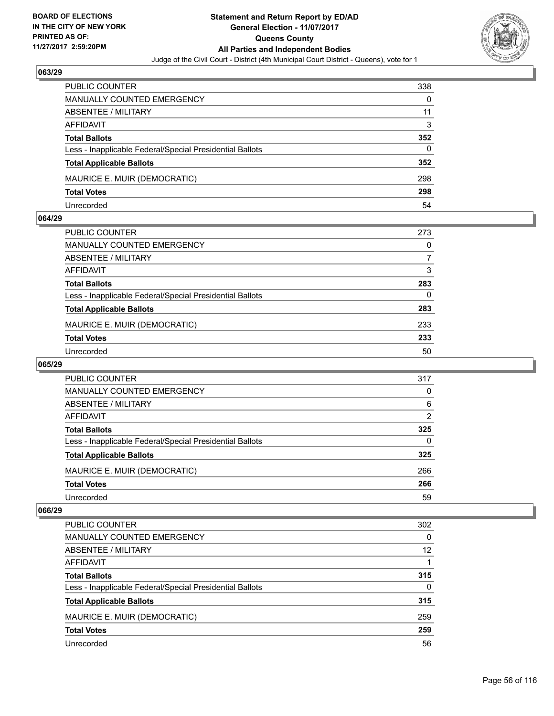

| <b>PUBLIC COUNTER</b>                                    | 338 |
|----------------------------------------------------------|-----|
| <b>MANUALLY COUNTED EMERGENCY</b>                        | 0   |
| ABSENTEE / MILITARY                                      | 11  |
| AFFIDAVIT                                                | 3   |
| <b>Total Ballots</b>                                     | 352 |
| Less - Inapplicable Federal/Special Presidential Ballots | 0   |
| <b>Total Applicable Ballots</b>                          | 352 |
| MAURICE E. MUIR (DEMOCRATIC)                             | 298 |
| <b>Total Votes</b>                                       | 298 |
| Unrecorded                                               | 54  |

#### **064/29**

| PUBLIC COUNTER                                           | 273      |
|----------------------------------------------------------|----------|
| <b>MANUALLY COUNTED EMERGENCY</b>                        | 0        |
| ABSENTEE / MILITARY                                      | 7        |
| AFFIDAVIT                                                | 3        |
| <b>Total Ballots</b>                                     | 283      |
| Less - Inapplicable Federal/Special Presidential Ballots | $\Omega$ |
| <b>Total Applicable Ballots</b>                          | 283      |
| MAURICE E. MUIR (DEMOCRATIC)                             | 233      |
| <b>Total Votes</b>                                       | 233      |
| Unrecorded                                               | 50       |
|                                                          |          |

#### **065/29**

| <b>PUBLIC COUNTER</b>                                    | 317      |
|----------------------------------------------------------|----------|
| <b>MANUALLY COUNTED EMERGENCY</b>                        | 0        |
| ABSENTEE / MILITARY                                      | 6        |
| AFFIDAVIT                                                | 2        |
| <b>Total Ballots</b>                                     | 325      |
| Less - Inapplicable Federal/Special Presidential Ballots | $\Omega$ |
| <b>Total Applicable Ballots</b>                          | 325      |
| MAURICE E. MUIR (DEMOCRATIC)                             | 266      |
| <b>Total Votes</b>                                       | 266      |
| Unrecorded                                               | 59       |

| <b>PUBLIC COUNTER</b>                                    | 302 |
|----------------------------------------------------------|-----|
| <b>MANUALLY COUNTED EMERGENCY</b>                        | 0   |
| <b>ABSENTEE / MILITARY</b>                               | 12  |
| AFFIDAVIT                                                |     |
| <b>Total Ballots</b>                                     | 315 |
| Less - Inapplicable Federal/Special Presidential Ballots | 0   |
| <b>Total Applicable Ballots</b>                          | 315 |
| MAURICE E. MUIR (DEMOCRATIC)                             | 259 |
| <b>Total Votes</b>                                       | 259 |
| Unrecorded                                               | 56  |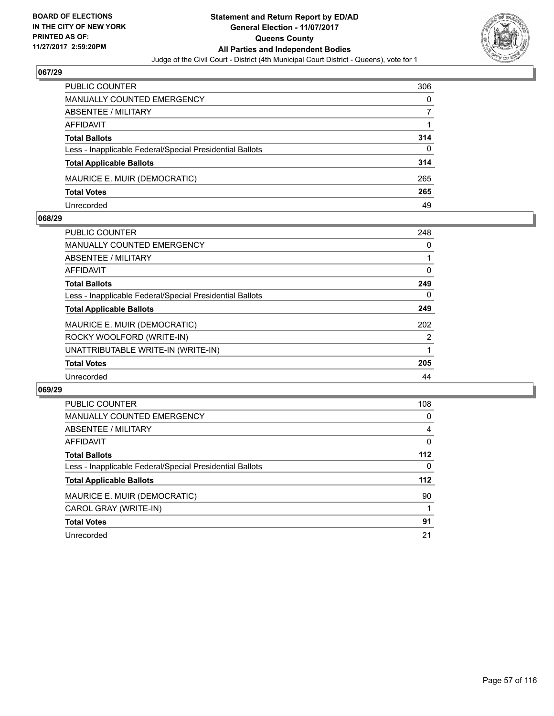

| <b>PUBLIC COUNTER</b>                                    | 306 |
|----------------------------------------------------------|-----|
| <b>MANUALLY COUNTED EMERGENCY</b>                        | 0   |
| ABSENTEE / MILITARY                                      |     |
| AFFIDAVIT                                                |     |
| <b>Total Ballots</b>                                     | 314 |
| Less - Inapplicable Federal/Special Presidential Ballots | 0   |
| <b>Total Applicable Ballots</b>                          | 314 |
| MAURICE E. MUIR (DEMOCRATIC)                             | 265 |
| <b>Total Votes</b>                                       | 265 |
| Unrecorded                                               | 49  |

#### **068/29**

| PUBLIC COUNTER                                           | 248 |
|----------------------------------------------------------|-----|
| <b>MANUALLY COUNTED EMERGENCY</b>                        | 0   |
| ABSENTEE / MILITARY                                      |     |
| AFFIDAVIT                                                | 0   |
| <b>Total Ballots</b>                                     | 249 |
| Less - Inapplicable Federal/Special Presidential Ballots | 0   |
| <b>Total Applicable Ballots</b>                          | 249 |
| MAURICE E. MUIR (DEMOCRATIC)                             | 202 |
| ROCKY WOOLFORD (WRITE-IN)                                | 2   |
| UNATTRIBUTABLE WRITE-IN (WRITE-IN)                       |     |
| <b>Total Votes</b>                                       | 205 |
| Unrecorded                                               | 44  |
|                                                          |     |

| <b>PUBLIC COUNTER</b>                                    | 108   |
|----------------------------------------------------------|-------|
| <b>MANUALLY COUNTED EMERGENCY</b>                        | 0     |
| ABSENTEE / MILITARY                                      | 4     |
| <b>AFFIDAVIT</b>                                         | 0     |
| <b>Total Ballots</b>                                     | 112   |
| Less - Inapplicable Federal/Special Presidential Ballots | 0     |
| <b>Total Applicable Ballots</b>                          | $112$ |
| MAURICE E. MUIR (DEMOCRATIC)                             | 90    |
| CAROL GRAY (WRITE-IN)                                    |       |
| <b>Total Votes</b>                                       | 91    |
| Unrecorded                                               | 21    |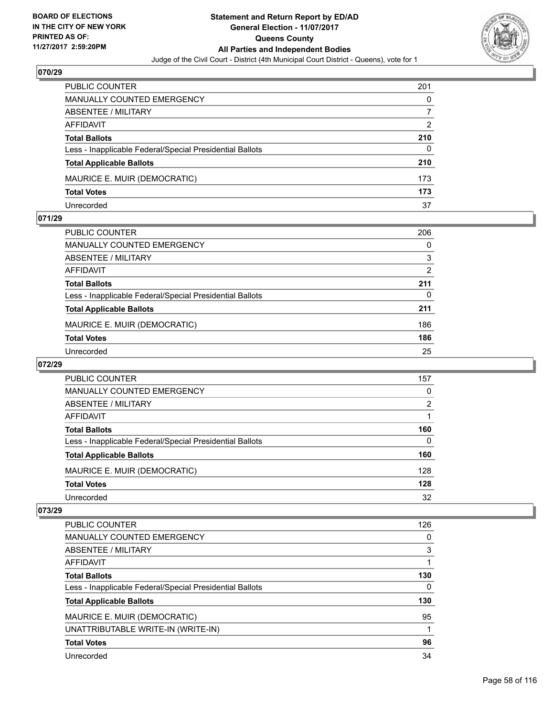

| <b>PUBLIC COUNTER</b>                                    | 201 |
|----------------------------------------------------------|-----|
| <b>MANUALLY COUNTED EMERGENCY</b>                        | 0   |
| ABSENTEE / MILITARY                                      |     |
| AFFIDAVIT                                                | 2   |
| <b>Total Ballots</b>                                     | 210 |
| Less - Inapplicable Federal/Special Presidential Ballots | 0   |
| <b>Total Applicable Ballots</b>                          | 210 |
| MAURICE E. MUIR (DEMOCRATIC)                             | 173 |
| <b>Total Votes</b>                                       | 173 |
| Unrecorded                                               | 37  |

#### **071/29**

| PUBLIC COUNTER                                           | 206 |
|----------------------------------------------------------|-----|
| MANUALLY COUNTED EMERGENCY                               | 0   |
| ABSENTEE / MILITARY                                      | 3   |
| AFFIDAVIT                                                | 2   |
| <b>Total Ballots</b>                                     | 211 |
| Less - Inapplicable Federal/Special Presidential Ballots | 0   |
| <b>Total Applicable Ballots</b>                          | 211 |
| MAURICE E. MUIR (DEMOCRATIC)                             | 186 |
| <b>Total Votes</b>                                       | 186 |
| Unrecorded                                               | 25  |
|                                                          |     |

# **072/29**

| PUBLIC COUNTER                                           | 157 |
|----------------------------------------------------------|-----|
| <b>MANUALLY COUNTED EMERGENCY</b>                        | 0   |
| ABSENTEE / MILITARY                                      | 2   |
| AFFIDAVIT                                                |     |
| <b>Total Ballots</b>                                     | 160 |
| Less - Inapplicable Federal/Special Presidential Ballots | 0   |
| <b>Total Applicable Ballots</b>                          | 160 |
| MAURICE E. MUIR (DEMOCRATIC)                             | 128 |
| <b>Total Votes</b>                                       | 128 |
| Unrecorded                                               | 32  |

| <b>PUBLIC COUNTER</b>                                    | 126 |
|----------------------------------------------------------|-----|
| <b>MANUALLY COUNTED EMERGENCY</b>                        | 0   |
| ABSENTEE / MILITARY                                      | 3   |
| AFFIDAVIT                                                |     |
| <b>Total Ballots</b>                                     | 130 |
| Less - Inapplicable Federal/Special Presidential Ballots | 0   |
| <b>Total Applicable Ballots</b>                          | 130 |
| MAURICE E. MUIR (DEMOCRATIC)                             | 95  |
| UNATTRIBUTABLE WRITE-IN (WRITE-IN)                       |     |
| <b>Total Votes</b>                                       | 96  |
| Unrecorded                                               | 34  |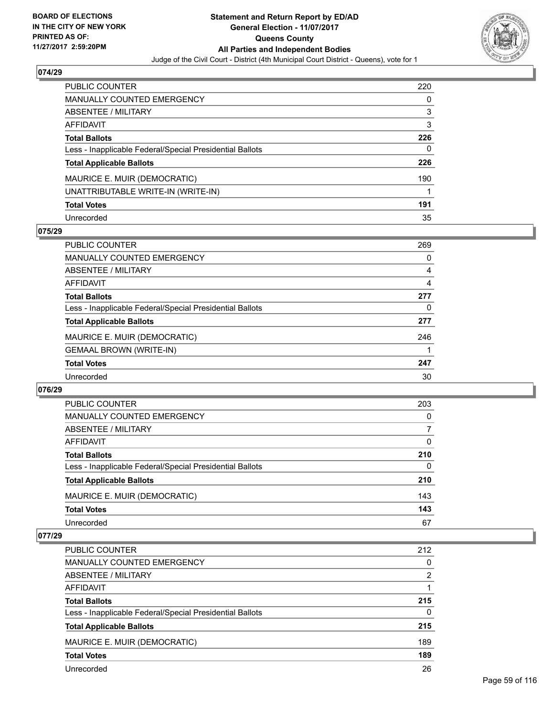

| <b>PUBLIC COUNTER</b>                                    | 220 |
|----------------------------------------------------------|-----|
| MANUALLY COUNTED EMERGENCY                               | 0   |
| <b>ABSENTEE / MILITARY</b>                               | 3   |
| <b>AFFIDAVIT</b>                                         | 3   |
| <b>Total Ballots</b>                                     | 226 |
| Less - Inapplicable Federal/Special Presidential Ballots | 0   |
| <b>Total Applicable Ballots</b>                          | 226 |
| MAURICE E. MUIR (DEMOCRATIC)                             | 190 |
| UNATTRIBUTABLE WRITE-IN (WRITE-IN)                       |     |
| <b>Total Votes</b>                                       | 191 |
| Unrecorded                                               | 35  |

## **075/29**

| <b>PUBLIC COUNTER</b>                                    | 269 |
|----------------------------------------------------------|-----|
| MANUALLY COUNTED EMERGENCY                               | 0   |
| ABSENTEE / MILITARY                                      | 4   |
| AFFIDAVIT                                                | 4   |
| <b>Total Ballots</b>                                     | 277 |
| Less - Inapplicable Federal/Special Presidential Ballots | 0   |
| <b>Total Applicable Ballots</b>                          | 277 |
| MAURICE E. MUIR (DEMOCRATIC)                             | 246 |
| <b>GEMAAL BROWN (WRITE-IN)</b>                           |     |
| <b>Total Votes</b>                                       | 247 |
| Unrecorded                                               | 30  |

### **076/29**

| PUBLIC COUNTER                                           | 203 |
|----------------------------------------------------------|-----|
| MANUALLY COUNTED EMERGENCY                               | 0   |
| ABSENTEE / MILITARY                                      | 7   |
| AFFIDAVIT                                                | 0   |
| <b>Total Ballots</b>                                     | 210 |
| Less - Inapplicable Federal/Special Presidential Ballots | 0   |
| <b>Total Applicable Ballots</b>                          | 210 |
| MAURICE E. MUIR (DEMOCRATIC)                             | 143 |
| <b>Total Votes</b>                                       | 143 |
| Unrecorded                                               | 67  |

| <b>PUBLIC COUNTER</b>                                    | 212 |
|----------------------------------------------------------|-----|
| MANUALLY COUNTED EMERGENCY                               | 0   |
| ABSENTEE / MILITARY                                      | 2   |
| AFFIDAVIT                                                |     |
| <b>Total Ballots</b>                                     | 215 |
| Less - Inapplicable Federal/Special Presidential Ballots | 0   |
| <b>Total Applicable Ballots</b>                          | 215 |
| MAURICE E. MUIR (DEMOCRATIC)                             | 189 |
| <b>Total Votes</b>                                       | 189 |
| Unrecorded                                               | 26  |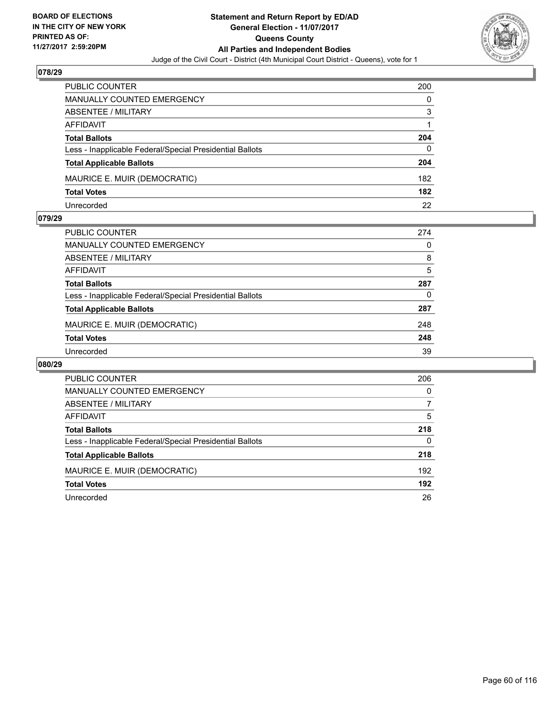

| <b>PUBLIC COUNTER</b>                                    | 200 |
|----------------------------------------------------------|-----|
| MANUALLY COUNTED EMERGENCY                               | 0   |
| ABSENTEE / MILITARY                                      | 3   |
| AFFIDAVIT                                                |     |
| <b>Total Ballots</b>                                     | 204 |
| Less - Inapplicable Federal/Special Presidential Ballots | 0   |
| <b>Total Applicable Ballots</b>                          | 204 |
| MAURICE E. MUIR (DEMOCRATIC)                             | 182 |
| <b>Total Votes</b>                                       | 182 |
| Unrecorded                                               | 22  |

#### **079/29**

| <b>PUBLIC COUNTER</b>                                    | 274 |
|----------------------------------------------------------|-----|
| MANUALLY COUNTED EMERGENCY                               | 0   |
| ABSENTEE / MILITARY                                      | 8   |
| AFFIDAVIT                                                | 5   |
| <b>Total Ballots</b>                                     | 287 |
| Less - Inapplicable Federal/Special Presidential Ballots | 0   |
| <b>Total Applicable Ballots</b>                          | 287 |
| MAURICE E. MUIR (DEMOCRATIC)                             | 248 |
| <b>Total Votes</b>                                       | 248 |
| Unrecorded                                               | 39  |
|                                                          |     |

| PUBLIC COUNTER                                           | 206 |
|----------------------------------------------------------|-----|
| <b>MANUALLY COUNTED EMERGENCY</b>                        | 0   |
| ABSENTEE / MILITARY                                      |     |
| AFFIDAVIT                                                | 5   |
| <b>Total Ballots</b>                                     | 218 |
| Less - Inapplicable Federal/Special Presidential Ballots | 0   |
| <b>Total Applicable Ballots</b>                          | 218 |
| MAURICE E. MUIR (DEMOCRATIC)                             | 192 |
| <b>Total Votes</b>                                       | 192 |
| Unrecorded                                               | 26  |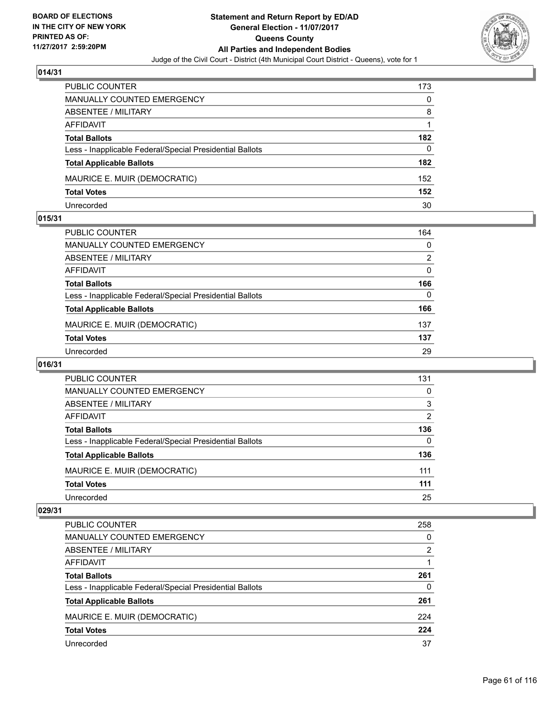

| <b>PUBLIC COUNTER</b>                                    | 173 |
|----------------------------------------------------------|-----|
| <b>MANUALLY COUNTED EMERGENCY</b>                        | 0   |
| ABSENTEE / MILITARY                                      | 8   |
| AFFIDAVIT                                                |     |
| <b>Total Ballots</b>                                     | 182 |
| Less - Inapplicable Federal/Special Presidential Ballots | 0   |
| <b>Total Applicable Ballots</b>                          | 182 |
| MAURICE E. MUIR (DEMOCRATIC)                             | 152 |
| <b>Total Votes</b>                                       | 152 |
| Unrecorded                                               | 30  |

#### **015/31**

| PUBLIC COUNTER                                           | 164 |
|----------------------------------------------------------|-----|
| <b>MANUALLY COUNTED EMERGENCY</b>                        | 0   |
| ABSENTEE / MILITARY                                      | 2   |
| AFFIDAVIT                                                | 0   |
| <b>Total Ballots</b>                                     | 166 |
| Less - Inapplicable Federal/Special Presidential Ballots | 0   |
| <b>Total Applicable Ballots</b>                          | 166 |
| MAURICE E. MUIR (DEMOCRATIC)                             | 137 |
| <b>Total Votes</b>                                       | 137 |
| Unrecorded                                               | 29  |
|                                                          |     |

# **016/31**

| <b>PUBLIC COUNTER</b>                                    | 131            |
|----------------------------------------------------------|----------------|
| <b>MANUALLY COUNTED EMERGENCY</b>                        | 0              |
| ABSENTEE / MILITARY                                      | 3              |
| AFFIDAVIT                                                | $\overline{2}$ |
| <b>Total Ballots</b>                                     | 136            |
| Less - Inapplicable Federal/Special Presidential Ballots | 0              |
| <b>Total Applicable Ballots</b>                          | 136            |
| MAURICE E. MUIR (DEMOCRATIC)                             | 111            |
| <b>Total Votes</b>                                       | 111            |
| Unrecorded                                               | 25             |

| <b>PUBLIC COUNTER</b>                                    | 258 |
|----------------------------------------------------------|-----|
| <b>MANUALLY COUNTED EMERGENCY</b>                        | 0   |
| <b>ABSENTEE / MILITARY</b>                               | 2   |
| AFFIDAVIT                                                |     |
| <b>Total Ballots</b>                                     | 261 |
| Less - Inapplicable Federal/Special Presidential Ballots | 0   |
| <b>Total Applicable Ballots</b>                          | 261 |
| MAURICE E. MUIR (DEMOCRATIC)                             | 224 |
| <b>Total Votes</b>                                       | 224 |
| Unrecorded                                               | 37  |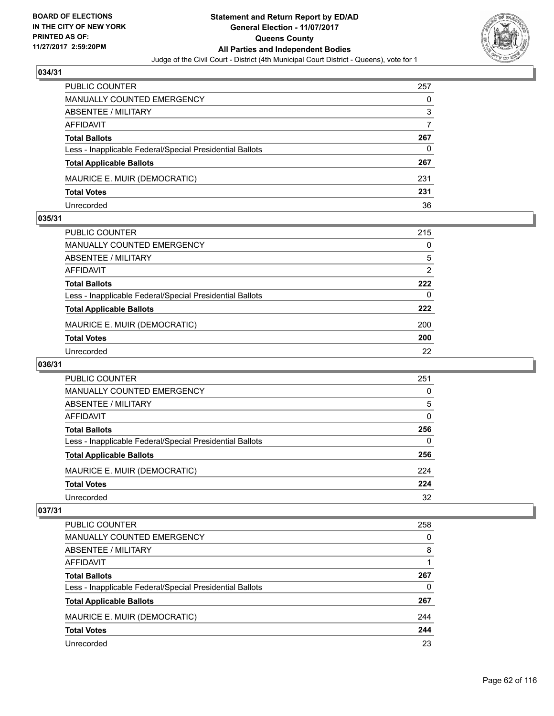

| PUBLIC COUNTER                                           | 257 |
|----------------------------------------------------------|-----|
| <b>MANUALLY COUNTED EMERGENCY</b>                        | 0   |
| ABSENTEE / MILITARY                                      | 3   |
| AFFIDAVIT                                                |     |
| <b>Total Ballots</b>                                     | 267 |
| Less - Inapplicable Federal/Special Presidential Ballots | 0   |
| <b>Total Applicable Ballots</b>                          | 267 |
| MAURICE E. MUIR (DEMOCRATIC)                             | 231 |
| <b>Total Votes</b>                                       | 231 |
| Unrecorded                                               | 36  |

#### **035/31**

| <b>PUBLIC COUNTER</b>                                    | 215 |
|----------------------------------------------------------|-----|
| MANUALLY COUNTED EMERGENCY                               | 0   |
| ABSENTEE / MILITARY                                      | 5   |
| AFFIDAVIT                                                | 2   |
| <b>Total Ballots</b>                                     | 222 |
| Less - Inapplicable Federal/Special Presidential Ballots | 0   |
| <b>Total Applicable Ballots</b>                          | 222 |
| MAURICE E. MUIR (DEMOCRATIC)                             | 200 |
| <b>Total Votes</b>                                       | 200 |
| Unrecorded                                               | 22  |

# **036/31**

| PUBLIC COUNTER                                           | 251 |
|----------------------------------------------------------|-----|
| MANUALLY COUNTED EMERGENCY                               | 0   |
| ABSENTEE / MILITARY                                      | 5   |
| AFFIDAVIT                                                | 0   |
| <b>Total Ballots</b>                                     | 256 |
| Less - Inapplicable Federal/Special Presidential Ballots | 0   |
| <b>Total Applicable Ballots</b>                          | 256 |
| MAURICE E. MUIR (DEMOCRATIC)                             | 224 |
| <b>Total Votes</b>                                       | 224 |
| Unrecorded                                               | 32  |

| <b>PUBLIC COUNTER</b>                                    | 258 |
|----------------------------------------------------------|-----|
| <b>MANUALLY COUNTED EMERGENCY</b>                        | 0   |
| <b>ABSENTEE / MILITARY</b>                               | 8   |
| AFFIDAVIT                                                |     |
| <b>Total Ballots</b>                                     | 267 |
| Less - Inapplicable Federal/Special Presidential Ballots | 0   |
| <b>Total Applicable Ballots</b>                          | 267 |
| MAURICE E. MUIR (DEMOCRATIC)                             | 244 |
| <b>Total Votes</b>                                       | 244 |
| Unrecorded                                               | 23  |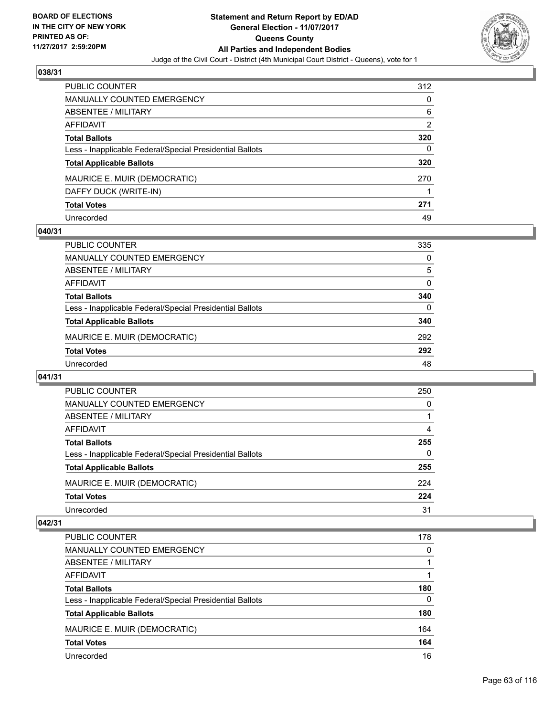

| PUBLIC COUNTER                                           | 312 |
|----------------------------------------------------------|-----|
| <b>MANUALLY COUNTED EMERGENCY</b>                        | 0   |
| ABSENTEE / MILITARY                                      | 6   |
| AFFIDAVIT                                                | 2   |
| <b>Total Ballots</b>                                     | 320 |
| Less - Inapplicable Federal/Special Presidential Ballots | 0   |
| <b>Total Applicable Ballots</b>                          | 320 |
| MAURICE E. MUIR (DEMOCRATIC)                             | 270 |
| DAFFY DUCK (WRITE-IN)                                    |     |
| <b>Total Votes</b>                                       | 271 |
| Unrecorded                                               | 49  |

## **040/31**

| <b>PUBLIC COUNTER</b>                                    | 335      |
|----------------------------------------------------------|----------|
| MANUALLY COUNTED EMERGENCY                               | 0        |
| ABSENTEE / MILITARY                                      | 5        |
| AFFIDAVIT                                                | $\Omega$ |
| <b>Total Ballots</b>                                     | 340      |
| Less - Inapplicable Federal/Special Presidential Ballots | 0        |
| <b>Total Applicable Ballots</b>                          | 340      |
| MAURICE E. MUIR (DEMOCRATIC)                             | 292      |
| <b>Total Votes</b>                                       | 292      |
| Unrecorded                                               | 48       |

#### **041/31**

| PUBLIC COUNTER                                           | 250      |
|----------------------------------------------------------|----------|
| <b>MANUALLY COUNTED EMERGENCY</b>                        | 0        |
| ABSENTEE / MILITARY                                      |          |
| AFFIDAVIT                                                | 4        |
| <b>Total Ballots</b>                                     | 255      |
| Less - Inapplicable Federal/Special Presidential Ballots | $\Omega$ |
| <b>Total Applicable Ballots</b>                          | 255      |
| MAURICE E. MUIR (DEMOCRATIC)                             | 224      |
| <b>Total Votes</b>                                       | 224      |
| Unrecorded                                               | 31       |

| <b>PUBLIC COUNTER</b>                                    | 178 |
|----------------------------------------------------------|-----|
| <b>MANUALLY COUNTED EMERGENCY</b>                        | 0   |
| ABSENTEE / MILITARY                                      |     |
| AFFIDAVIT                                                |     |
| <b>Total Ballots</b>                                     | 180 |
| Less - Inapplicable Federal/Special Presidential Ballots | 0   |
| <b>Total Applicable Ballots</b>                          | 180 |
| MAURICE E. MUIR (DEMOCRATIC)                             | 164 |
| <b>Total Votes</b>                                       | 164 |
| Unrecorded                                               | 16  |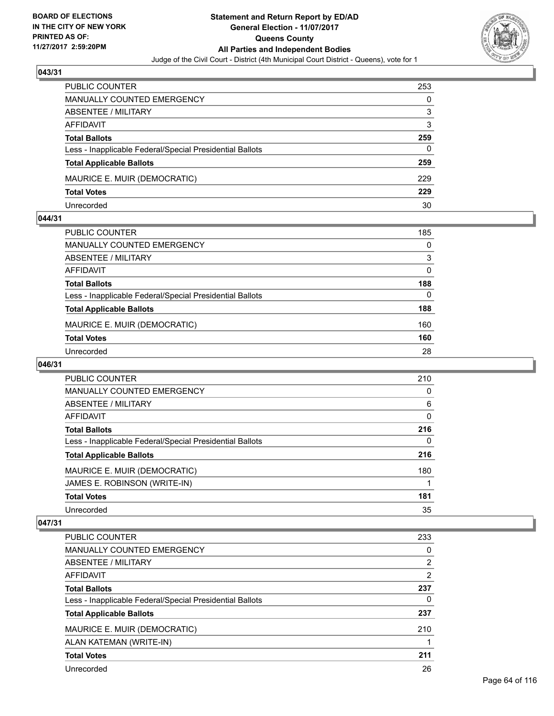

| <b>PUBLIC COUNTER</b>                                    | 253 |
|----------------------------------------------------------|-----|
| MANUALLY COUNTED EMERGENCY                               | 0   |
| ABSENTEE / MILITARY                                      | 3   |
| AFFIDAVIT                                                | 3   |
| <b>Total Ballots</b>                                     | 259 |
| Less - Inapplicable Federal/Special Presidential Ballots | 0   |
| <b>Total Applicable Ballots</b>                          | 259 |
| MAURICE E. MUIR (DEMOCRATIC)                             | 229 |
| <b>Total Votes</b>                                       | 229 |
| Unrecorded                                               | 30  |

#### **044/31**

| PUBLIC COUNTER                                           | 185      |
|----------------------------------------------------------|----------|
| <b>MANUALLY COUNTED EMERGENCY</b>                        | $\Omega$ |
| ABSENTEE / MILITARY                                      | 3        |
| <b>AFFIDAVIT</b>                                         | $\Omega$ |
| <b>Total Ballots</b>                                     | 188      |
| Less - Inapplicable Federal/Special Presidential Ballots | $\Omega$ |
| <b>Total Applicable Ballots</b>                          | 188      |
| MAURICE E. MUIR (DEMOCRATIC)                             | 160      |
| <b>Total Votes</b>                                       | 160      |
| Unrecorded                                               | 28       |

## **046/31**

| <b>PUBLIC COUNTER</b>                                    | 210 |
|----------------------------------------------------------|-----|
| MANUALLY COUNTED EMERGENCY                               | 0   |
| ABSENTEE / MILITARY                                      | 6   |
| <b>AFFIDAVIT</b>                                         | 0   |
| <b>Total Ballots</b>                                     | 216 |
| Less - Inapplicable Federal/Special Presidential Ballots | 0   |
| <b>Total Applicable Ballots</b>                          | 216 |
| MAURICE E. MUIR (DEMOCRATIC)                             | 180 |
| JAMES E. ROBINSON (WRITE-IN)                             |     |
| <b>Total Votes</b>                                       | 181 |
| Unrecorded                                               | 35  |

| <b>PUBLIC COUNTER</b>                                    | 233            |
|----------------------------------------------------------|----------------|
| <b>MANUALLY COUNTED EMERGENCY</b>                        | 0              |
| ABSENTEE / MILITARY                                      | $\overline{2}$ |
| AFFIDAVIT                                                | 2              |
| <b>Total Ballots</b>                                     | 237            |
| Less - Inapplicable Federal/Special Presidential Ballots | 0              |
| <b>Total Applicable Ballots</b>                          | 237            |
| MAURICE E. MUIR (DEMOCRATIC)                             | 210            |
| ALAN KATEMAN (WRITE-IN)                                  |                |
| <b>Total Votes</b>                                       | 211            |
| Unrecorded                                               | 26             |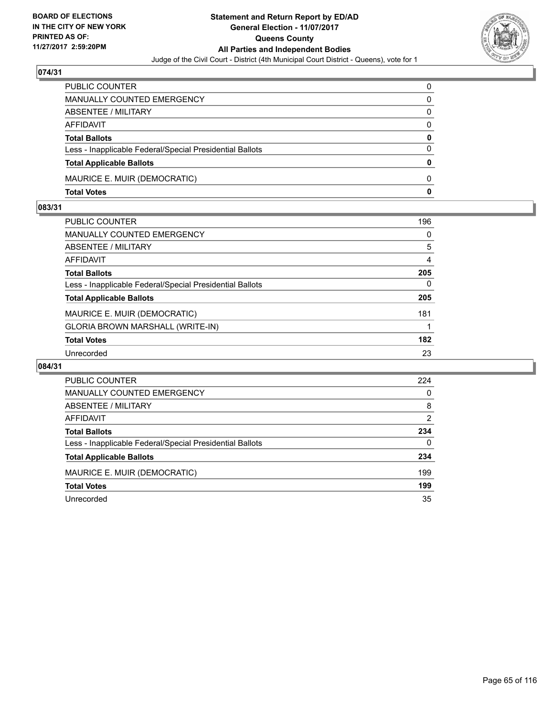

| PUBLIC COUNTER                                           | 0            |
|----------------------------------------------------------|--------------|
| MANUALLY COUNTED EMERGENCY                               | 0            |
| <b>ABSENTEE / MILITARY</b>                               | 0            |
| <b>AFFIDAVIT</b>                                         | $\Omega$     |
| <b>Total Ballots</b>                                     | 0            |
| Less - Inapplicable Federal/Special Presidential Ballots | $\Omega$     |
| <b>Total Applicable Ballots</b>                          | $\mathbf{0}$ |
| MAURICE E. MUIR (DEMOCRATIC)                             | 0            |
| <b>Total Votes</b>                                       | 0            |

## **083/31**

| <b>PUBLIC COUNTER</b>                                    | 196      |
|----------------------------------------------------------|----------|
| <b>MANUALLY COUNTED EMERGENCY</b>                        | $\Omega$ |
| <b>ABSENTEE / MILITARY</b>                               | 5        |
| <b>AFFIDAVIT</b>                                         | 4        |
| <b>Total Ballots</b>                                     | 205      |
| Less - Inapplicable Federal/Special Presidential Ballots | $\Omega$ |
| <b>Total Applicable Ballots</b>                          | 205      |
| MAURICE E. MUIR (DEMOCRATIC)                             | 181      |
| GLORIA BROWN MARSHALL (WRITE-IN)                         |          |
| <b>Total Votes</b>                                       | 182      |
| Unrecorded                                               | 23       |

| <b>PUBLIC COUNTER</b>                                    | 224 |
|----------------------------------------------------------|-----|
| <b>MANUALLY COUNTED EMERGENCY</b>                        | 0   |
| ABSENTEE / MILITARY                                      | 8   |
| AFFIDAVIT                                                | 2   |
| <b>Total Ballots</b>                                     | 234 |
| Less - Inapplicable Federal/Special Presidential Ballots | 0   |
| <b>Total Applicable Ballots</b>                          | 234 |
| MAURICE E. MUIR (DEMOCRATIC)                             | 199 |
| <b>Total Votes</b>                                       | 199 |
| Unrecorded                                               | 35  |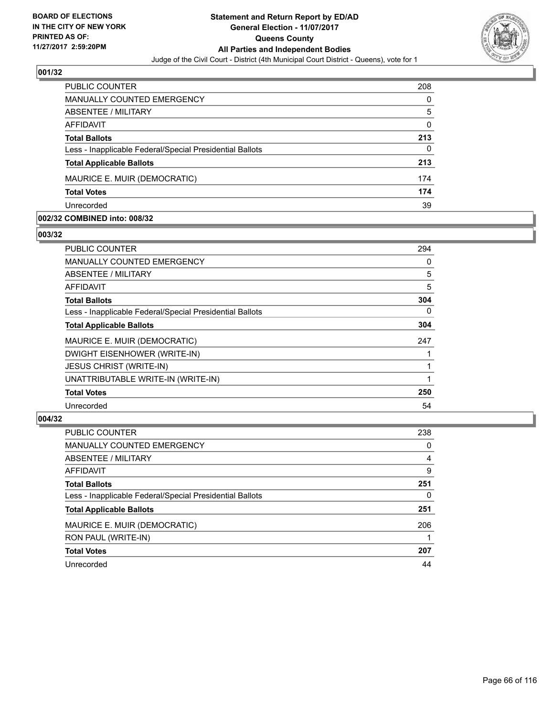

| <b>PUBLIC COUNTER</b>                                    | 208 |
|----------------------------------------------------------|-----|
| MANUALLY COUNTED EMERGENCY                               | 0   |
| ABSENTEE / MILITARY                                      | 5   |
| AFFIDAVIT                                                | 0   |
| <b>Total Ballots</b>                                     | 213 |
| Less - Inapplicable Federal/Special Presidential Ballots | 0   |
| <b>Total Applicable Ballots</b>                          | 213 |
| MAURICE E. MUIR (DEMOCRATIC)                             | 174 |
| <b>Total Votes</b>                                       | 174 |
| Unrecorded                                               | 39  |

#### **002/32 COMBINED into: 008/32**

#### **003/32**

| <b>PUBLIC COUNTER</b>                                    | 294 |
|----------------------------------------------------------|-----|
| <b>MANUALLY COUNTED EMERGENCY</b>                        | 0   |
| ABSENTEE / MILITARY                                      | 5   |
| AFFIDAVIT                                                | 5   |
| <b>Total Ballots</b>                                     | 304 |
| Less - Inapplicable Federal/Special Presidential Ballots | 0   |
| <b>Total Applicable Ballots</b>                          | 304 |
| MAURICE E. MUIR (DEMOCRATIC)                             | 247 |
| DWIGHT EISENHOWER (WRITE-IN)                             |     |
| <b>JESUS CHRIST (WRITE-IN)</b>                           |     |
| UNATTRIBUTABLE WRITE-IN (WRITE-IN)                       |     |
| <b>Total Votes</b>                                       | 250 |
| Unrecorded                                               | 54  |

| <b>PUBLIC COUNTER</b>                                    | 238 |
|----------------------------------------------------------|-----|
| <b>MANUALLY COUNTED EMERGENCY</b>                        | 0   |
| ABSENTEE / MILITARY                                      | 4   |
| AFFIDAVIT                                                | 9   |
| <b>Total Ballots</b>                                     | 251 |
| Less - Inapplicable Federal/Special Presidential Ballots | 0   |
| <b>Total Applicable Ballots</b>                          | 251 |
| MAURICE E. MUIR (DEMOCRATIC)                             | 206 |
| RON PAUL (WRITE-IN)                                      |     |
| <b>Total Votes</b>                                       | 207 |
| Unrecorded                                               | 44  |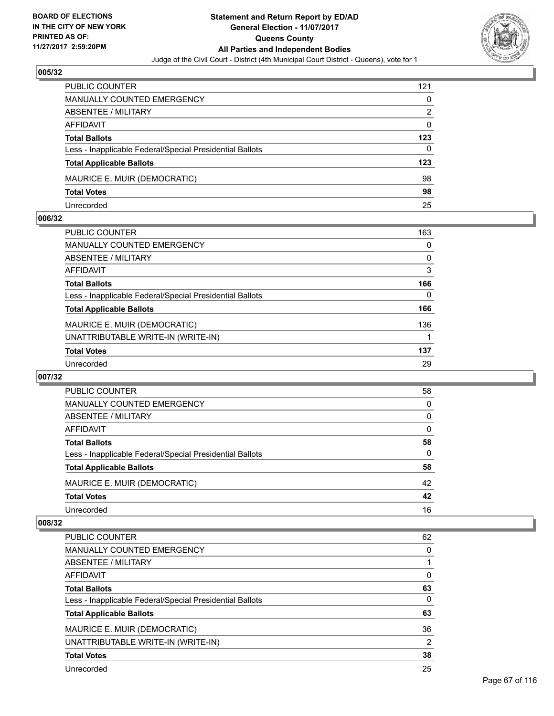

| <b>PUBLIC COUNTER</b>                                    | 121 |
|----------------------------------------------------------|-----|
| MANUALLY COUNTED EMERGENCY                               | 0   |
| ABSENTEE / MILITARY                                      | 2   |
| AFFIDAVIT                                                | 0   |
| <b>Total Ballots</b>                                     | 123 |
| Less - Inapplicable Federal/Special Presidential Ballots | 0   |
| <b>Total Applicable Ballots</b>                          | 123 |
| MAURICE E. MUIR (DEMOCRATIC)                             | 98  |
| <b>Total Votes</b>                                       | 98  |
| Unrecorded                                               | 25  |

#### **006/32**

| <b>PUBLIC COUNTER</b>                                    | 163 |
|----------------------------------------------------------|-----|
| MANUALLY COUNTED EMERGENCY                               | 0   |
| ABSENTEE / MILITARY                                      | 0   |
| AFFIDAVIT                                                | 3   |
| <b>Total Ballots</b>                                     | 166 |
| Less - Inapplicable Federal/Special Presidential Ballots | 0   |
| <b>Total Applicable Ballots</b>                          | 166 |
| MAURICE E. MUIR (DEMOCRATIC)                             | 136 |
| UNATTRIBUTABLE WRITE-IN (WRITE-IN)                       |     |
| <b>Total Votes</b>                                       | 137 |
| Unrecorded                                               | 29  |
|                                                          |     |

#### **007/32**

| <b>PUBLIC COUNTER</b>                                    | 58       |
|----------------------------------------------------------|----------|
| <b>MANUALLY COUNTED EMERGENCY</b>                        | 0        |
| ABSENTEE / MILITARY                                      | 0        |
| AFFIDAVIT                                                | 0        |
| <b>Total Ballots</b>                                     | 58       |
| Less - Inapplicable Federal/Special Presidential Ballots | $\Omega$ |
| <b>Total Applicable Ballots</b>                          | 58       |
| MAURICE E. MUIR (DEMOCRATIC)                             | 42       |
| <b>Total Votes</b>                                       | 42       |
| Unrecorded                                               | 16       |

| PUBLIC COUNTER                                           | 62 |
|----------------------------------------------------------|----|
| MANUALLY COUNTED EMERGENCY                               | 0  |
| ABSENTEE / MILITARY                                      |    |
| AFFIDAVIT                                                | 0  |
| <b>Total Ballots</b>                                     | 63 |
| Less - Inapplicable Federal/Special Presidential Ballots | 0  |
| <b>Total Applicable Ballots</b>                          | 63 |
| MAURICE E. MUIR (DEMOCRATIC)                             | 36 |
| UNATTRIBUTABLE WRITE-IN (WRITE-IN)                       | 2  |
| <b>Total Votes</b>                                       | 38 |
| Unrecorded                                               | 25 |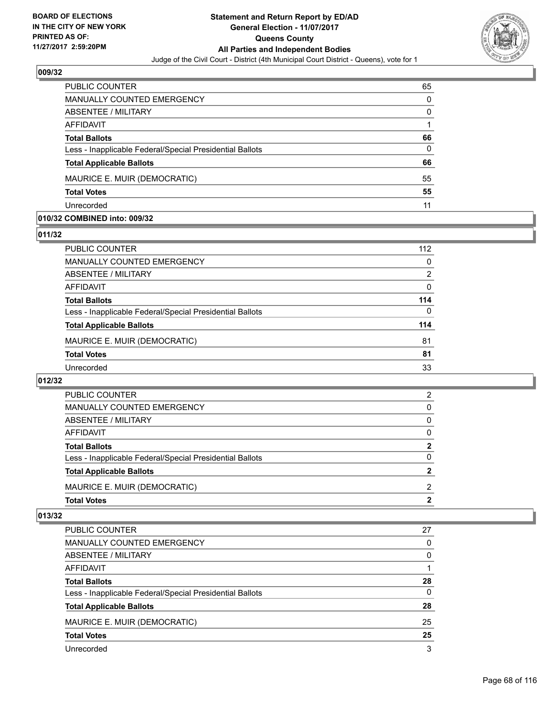

| <b>PUBLIC COUNTER</b>                                    | 65       |
|----------------------------------------------------------|----------|
| MANUALLY COUNTED EMERGENCY                               | 0        |
| <b>ABSENTEE / MILITARY</b>                               | 0        |
| AFFIDAVIT                                                |          |
| <b>Total Ballots</b>                                     | 66       |
| Less - Inapplicable Federal/Special Presidential Ballots | $\Omega$ |
| <b>Total Applicable Ballots</b>                          | 66       |
| MAURICE E. MUIR (DEMOCRATIC)                             | 55       |
| <b>Total Votes</b>                                       | 55       |
| Unrecorded                                               | 11       |

#### **010/32 COMBINED into: 009/32**

#### **011/32**

| PUBLIC COUNTER                                           | 112 |
|----------------------------------------------------------|-----|
| <b>MANUALLY COUNTED EMERGENCY</b>                        | 0   |
| ABSENTEE / MILITARY                                      | 2   |
| <b>AFFIDAVIT</b>                                         | 0   |
| <b>Total Ballots</b>                                     | 114 |
| Less - Inapplicable Federal/Special Presidential Ballots | 0   |
| <b>Total Applicable Ballots</b>                          | 114 |
| MAURICE E. MUIR (DEMOCRATIC)                             | 81  |
| <b>Total Votes</b>                                       | 81  |
| Unrecorded                                               | 33  |
|                                                          |     |

# **012/32**

| <b>Total Votes</b>                                       | 2            |
|----------------------------------------------------------|--------------|
| MAURICE E. MUIR (DEMOCRATIC)                             | 2            |
| <b>Total Applicable Ballots</b>                          | 2            |
| Less - Inapplicable Federal/Special Presidential Ballots | 0            |
| <b>Total Ballots</b>                                     | $\mathbf{2}$ |
| AFFIDAVIT                                                | 0            |
| <b>ABSENTEE / MILITARY</b>                               | 0            |
| MANUALLY COUNTED EMERGENCY                               | 0            |
| <b>PUBLIC COUNTER</b>                                    | 2            |

| <b>PUBLIC COUNTER</b>                                    | 27 |
|----------------------------------------------------------|----|
| <b>MANUALLY COUNTED EMERGENCY</b>                        | 0  |
| ABSENTEE / MILITARY                                      | 0  |
| AFFIDAVIT                                                |    |
| <b>Total Ballots</b>                                     | 28 |
| Less - Inapplicable Federal/Special Presidential Ballots | 0  |
| <b>Total Applicable Ballots</b>                          | 28 |
| MAURICE E. MUIR (DEMOCRATIC)                             | 25 |
| <b>Total Votes</b>                                       | 25 |
| Unrecorded                                               | 3  |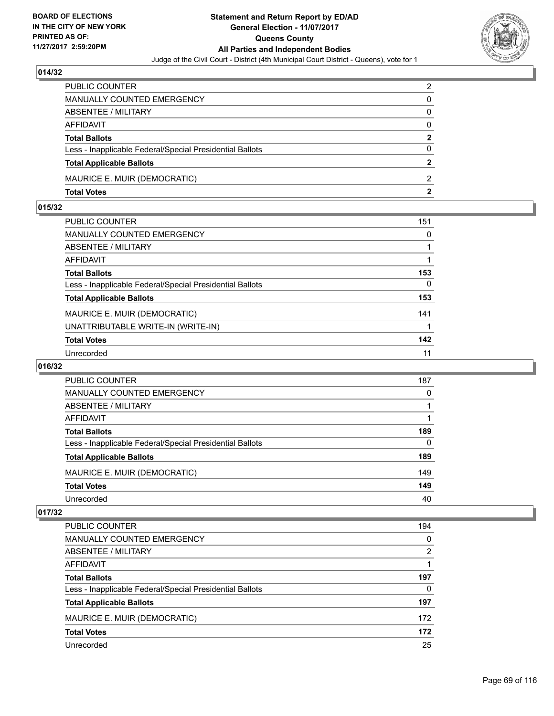

| PUBLIC COUNTER                                           | 2              |
|----------------------------------------------------------|----------------|
| <b>MANUALLY COUNTED EMERGENCY</b>                        | 0              |
| <b>ABSENTEE / MILITARY</b>                               | 0              |
| <b>AFFIDAVIT</b>                                         | $\Omega$       |
| <b>Total Ballots</b>                                     | $\mathbf{2}$   |
| Less - Inapplicable Federal/Special Presidential Ballots | $\Omega$       |
| <b>Total Applicable Ballots</b>                          | $\overline{2}$ |
| MAURICE E. MUIR (DEMOCRATIC)                             | $\mathcal{P}$  |
| <b>Total Votes</b>                                       | 2              |

## **015/32**

| PUBLIC COUNTER                                           | 151          |
|----------------------------------------------------------|--------------|
| MANUALLY COUNTED EMERGENCY                               | $\mathbf{0}$ |
| ABSENTEE / MILITARY                                      |              |
| AFFIDAVIT                                                |              |
| <b>Total Ballots</b>                                     | 153          |
| Less - Inapplicable Federal/Special Presidential Ballots | 0            |
| <b>Total Applicable Ballots</b>                          | 153          |
| MAURICE E. MUIR (DEMOCRATIC)                             | 141          |
| UNATTRIBUTABLE WRITE-IN (WRITE-IN)                       |              |
| <b>Total Votes</b>                                       | 142          |
| Unrecorded                                               | 11           |

## **016/32**

| <b>PUBLIC COUNTER</b>                                    | 187 |
|----------------------------------------------------------|-----|
| MANUALLY COUNTED EMERGENCY                               | 0   |
| ABSENTEE / MILITARY                                      |     |
| AFFIDAVIT                                                |     |
| <b>Total Ballots</b>                                     | 189 |
| Less - Inapplicable Federal/Special Presidential Ballots | 0   |
| <b>Total Applicable Ballots</b>                          | 189 |
| MAURICE E. MUIR (DEMOCRATIC)                             | 149 |
| <b>Total Votes</b>                                       | 149 |
| Unrecorded                                               | 40  |

| <b>PUBLIC COUNTER</b>                                    | 194            |
|----------------------------------------------------------|----------------|
| <b>MANUALLY COUNTED EMERGENCY</b>                        | 0              |
| ABSENTEE / MILITARY                                      | $\overline{2}$ |
| AFFIDAVIT                                                |                |
| <b>Total Ballots</b>                                     | 197            |
| Less - Inapplicable Federal/Special Presidential Ballots | 0              |
| <b>Total Applicable Ballots</b>                          | 197            |
| MAURICE E. MUIR (DEMOCRATIC)                             | 172            |
| <b>Total Votes</b>                                       | 172            |
| Unrecorded                                               | 25             |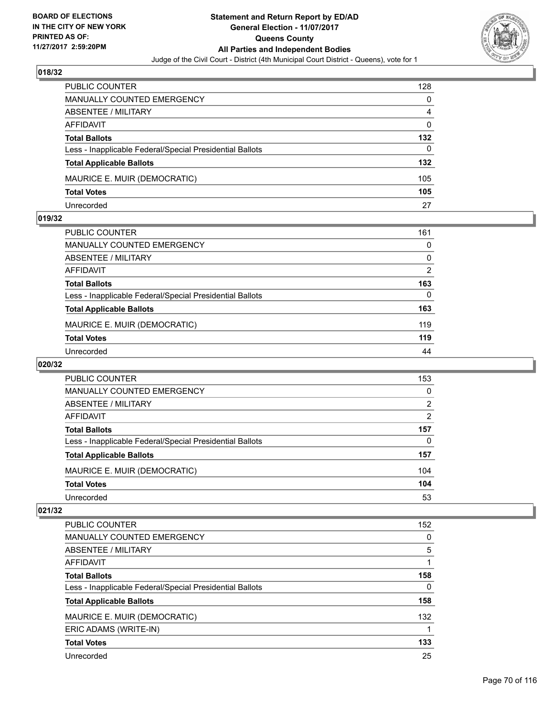

| <b>PUBLIC COUNTER</b>                                    | 128 |
|----------------------------------------------------------|-----|
| MANUALLY COUNTED EMERGENCY                               | 0   |
| <b>ABSENTEE / MILITARY</b>                               | 4   |
| AFFIDAVIT                                                | 0   |
| <b>Total Ballots</b>                                     | 132 |
| Less - Inapplicable Federal/Special Presidential Ballots | 0   |
| <b>Total Applicable Ballots</b>                          | 132 |
| MAURICE E. MUIR (DEMOCRATIC)                             | 105 |
| <b>Total Votes</b>                                       | 105 |
| Unrecorded                                               | 27  |

#### **019/32**

| PUBLIC COUNTER                                           | 161            |
|----------------------------------------------------------|----------------|
| <b>MANUALLY COUNTED EMERGENCY</b>                        | 0              |
| ABSENTEE / MILITARY                                      | 0              |
| AFFIDAVIT                                                | $\overline{2}$ |
| <b>Total Ballots</b>                                     | 163            |
| Less - Inapplicable Federal/Special Presidential Ballots | 0              |
| <b>Total Applicable Ballots</b>                          | 163            |
| MAURICE E. MUIR (DEMOCRATIC)                             | 119            |
| <b>Total Votes</b>                                       | 119            |
| Unrecorded                                               | 44             |
|                                                          |                |

# **020/32**

| <b>PUBLIC COUNTER</b>                                    | 153            |
|----------------------------------------------------------|----------------|
| MANUALLY COUNTED EMERGENCY                               | 0              |
| ABSENTEE / MILITARY                                      | 2              |
| AFFIDAVIT                                                | $\overline{2}$ |
| <b>Total Ballots</b>                                     | 157            |
| Less - Inapplicable Federal/Special Presidential Ballots | 0              |
| <b>Total Applicable Ballots</b>                          | 157            |
| MAURICE E. MUIR (DEMOCRATIC)                             | 104            |
| <b>Total Votes</b>                                       | 104            |
| Unrecorded                                               | 53             |

| <b>PUBLIC COUNTER</b>                                    | 152 |
|----------------------------------------------------------|-----|
| <b>MANUALLY COUNTED EMERGENCY</b>                        | 0   |
| ABSENTEE / MILITARY                                      | 5   |
| AFFIDAVIT                                                |     |
| <b>Total Ballots</b>                                     | 158 |
| Less - Inapplicable Federal/Special Presidential Ballots | 0   |
| <b>Total Applicable Ballots</b>                          | 158 |
| MAURICE E. MUIR (DEMOCRATIC)                             | 132 |
| ERIC ADAMS (WRITE-IN)                                    | 1   |
| <b>Total Votes</b>                                       | 133 |
| Unrecorded                                               | 25  |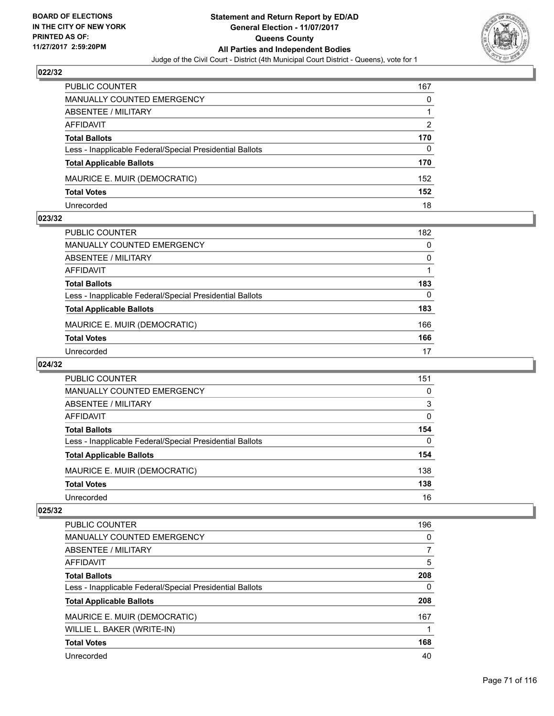

| <b>PUBLIC COUNTER</b>                                    | 167 |
|----------------------------------------------------------|-----|
| <b>MANUALLY COUNTED EMERGENCY</b>                        | 0   |
| ABSENTEE / MILITARY                                      |     |
| AFFIDAVIT                                                | 2   |
| <b>Total Ballots</b>                                     | 170 |
| Less - Inapplicable Federal/Special Presidential Ballots | 0   |
| <b>Total Applicable Ballots</b>                          | 170 |
| MAURICE E. MUIR (DEMOCRATIC)                             | 152 |
| <b>Total Votes</b>                                       | 152 |
| Unrecorded                                               | 18  |

#### **023/32**

| PUBLIC COUNTER                                           | 182 |
|----------------------------------------------------------|-----|
| <b>MANUALLY COUNTED EMERGENCY</b>                        | 0   |
| ABSENTEE / MILITARY                                      | 0   |
| AFFIDAVIT                                                |     |
| <b>Total Ballots</b>                                     | 183 |
| Less - Inapplicable Federal/Special Presidential Ballots | 0   |
| <b>Total Applicable Ballots</b>                          | 183 |
| MAURICE E. MUIR (DEMOCRATIC)                             | 166 |
| <b>Total Votes</b>                                       | 166 |
| Unrecorded                                               | 17  |
|                                                          |     |

## **024/32**

| <b>PUBLIC COUNTER</b>                                    | 151 |
|----------------------------------------------------------|-----|
| MANUALLY COUNTED EMERGENCY                               | 0   |
| ABSENTEE / MILITARY                                      | 3   |
| AFFIDAVIT                                                | 0   |
| <b>Total Ballots</b>                                     | 154 |
| Less - Inapplicable Federal/Special Presidential Ballots | 0   |
| <b>Total Applicable Ballots</b>                          | 154 |
| MAURICE E. MUIR (DEMOCRATIC)                             | 138 |
| <b>Total Votes</b>                                       | 138 |
| Unrecorded                                               | 16  |

| <b>PUBLIC COUNTER</b>                                    | 196 |
|----------------------------------------------------------|-----|
| <b>MANUALLY COUNTED EMERGENCY</b>                        | 0   |
| ABSENTEE / MILITARY                                      | 7   |
| AFFIDAVIT                                                | 5   |
| <b>Total Ballots</b>                                     | 208 |
| Less - Inapplicable Federal/Special Presidential Ballots | 0   |
| <b>Total Applicable Ballots</b>                          | 208 |
| MAURICE E. MUIR (DEMOCRATIC)                             | 167 |
| WILLIE L. BAKER (WRITE-IN)                               |     |
| <b>Total Votes</b>                                       | 168 |
| Unrecorded                                               | 40  |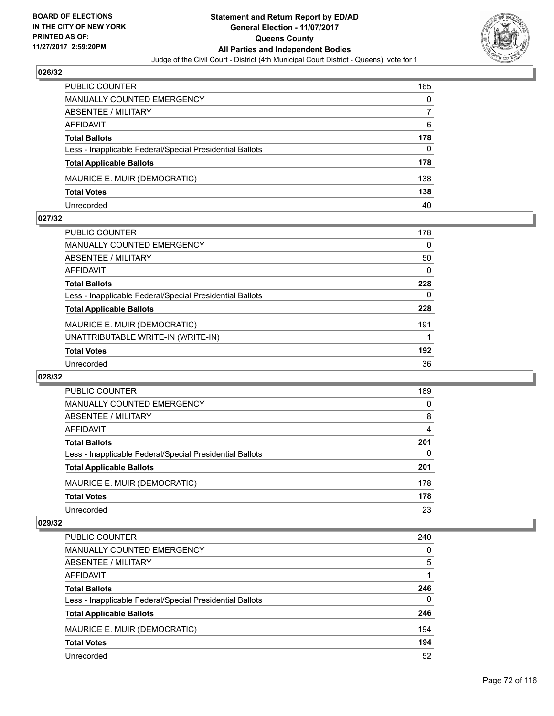

| PUBLIC COUNTER                                           | 165 |
|----------------------------------------------------------|-----|
| <b>MANUALLY COUNTED EMERGENCY</b>                        | 0   |
| ABSENTEE / MILITARY                                      |     |
| AFFIDAVIT                                                | 6   |
| <b>Total Ballots</b>                                     | 178 |
| Less - Inapplicable Federal/Special Presidential Ballots | 0   |
| <b>Total Applicable Ballots</b>                          | 178 |
| MAURICE E. MUIR (DEMOCRATIC)                             | 138 |
| <b>Total Votes</b>                                       | 138 |
| Unrecorded                                               | 40  |

#### **027/32**

| <b>PUBLIC COUNTER</b>                                    | 178 |
|----------------------------------------------------------|-----|
| <b>MANUALLY COUNTED EMERGENCY</b>                        | 0   |
| ABSENTEE / MILITARY                                      | 50  |
| AFFIDAVIT                                                | 0   |
| <b>Total Ballots</b>                                     | 228 |
| Less - Inapplicable Federal/Special Presidential Ballots | 0   |
| <b>Total Applicable Ballots</b>                          | 228 |
| MAURICE E. MUIR (DEMOCRATIC)                             | 191 |
| UNATTRIBUTABLE WRITE-IN (WRITE-IN)                       |     |
| <b>Total Votes</b>                                       | 192 |
| Unrecorded                                               | 36  |
|                                                          |     |

#### **028/32**

| <b>PUBLIC COUNTER</b>                                    | 189      |
|----------------------------------------------------------|----------|
| <b>MANUALLY COUNTED EMERGENCY</b>                        | $\Omega$ |
| ABSENTEE / MILITARY                                      | 8        |
| AFFIDAVIT                                                | 4        |
| <b>Total Ballots</b>                                     | 201      |
| Less - Inapplicable Federal/Special Presidential Ballots | 0        |
| <b>Total Applicable Ballots</b>                          | 201      |
| MAURICE E. MUIR (DEMOCRATIC)                             | 178      |
| <b>Total Votes</b>                                       | 178      |
| Unrecorded                                               | 23       |

| PUBLIC COUNTER                                           | 240 |
|----------------------------------------------------------|-----|
| <b>MANUALLY COUNTED EMERGENCY</b>                        | 0   |
| ABSENTEE / MILITARY                                      | 5   |
| AFFIDAVIT                                                |     |
| <b>Total Ballots</b>                                     | 246 |
| Less - Inapplicable Federal/Special Presidential Ballots | 0   |
| <b>Total Applicable Ballots</b>                          | 246 |
| MAURICE E. MUIR (DEMOCRATIC)                             | 194 |
| <b>Total Votes</b>                                       | 194 |
| Unrecorded                                               | 52  |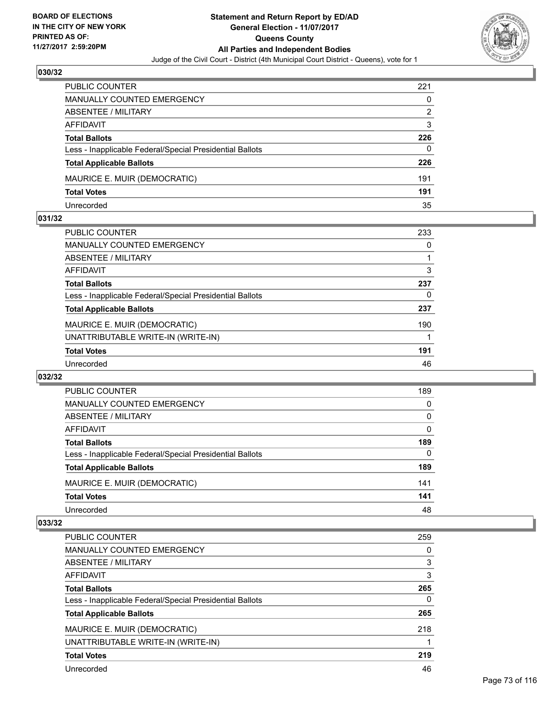

| PUBLIC COUNTER                                           | 221 |
|----------------------------------------------------------|-----|
| MANUALLY COUNTED EMERGENCY                               | 0   |
| <b>ABSENTEE / MILITARY</b>                               | 2   |
| AFFIDAVIT                                                | 3   |
| <b>Total Ballots</b>                                     | 226 |
| Less - Inapplicable Federal/Special Presidential Ballots | 0   |
| <b>Total Applicable Ballots</b>                          | 226 |
| MAURICE E. MUIR (DEMOCRATIC)                             | 191 |
| <b>Total Votes</b>                                       | 191 |
| Unrecorded                                               | 35  |

### **031/32**

| <b>PUBLIC COUNTER</b>                                    | 233 |
|----------------------------------------------------------|-----|
| <b>MANUALLY COUNTED EMERGENCY</b>                        | 0   |
| ABSENTEE / MILITARY                                      |     |
| AFFIDAVIT                                                | 3   |
| <b>Total Ballots</b>                                     | 237 |
| Less - Inapplicable Federal/Special Presidential Ballots | 0   |
| <b>Total Applicable Ballots</b>                          | 237 |
| MAURICE E. MUIR (DEMOCRATIC)                             | 190 |
| UNATTRIBUTABLE WRITE-IN (WRITE-IN)                       |     |
| <b>Total Votes</b>                                       | 191 |
| Unrecorded                                               | 46  |
|                                                          |     |

### **032/32**

| PUBLIC COUNTER                                           | 189 |
|----------------------------------------------------------|-----|
| <b>MANUALLY COUNTED EMERGENCY</b>                        | 0   |
| <b>ABSENTEE / MILITARY</b>                               | 0   |
| AFFIDAVIT                                                | 0   |
| <b>Total Ballots</b>                                     | 189 |
| Less - Inapplicable Federal/Special Presidential Ballots | 0   |
| <b>Total Applicable Ballots</b>                          | 189 |
| MAURICE E. MUIR (DEMOCRATIC)                             | 141 |
| <b>Total Votes</b>                                       | 141 |
| Unrecorded                                               | 48  |

| <b>PUBLIC COUNTER</b>                                    | 259 |
|----------------------------------------------------------|-----|
| MANUALLY COUNTED EMERGENCY                               | 0   |
| ABSENTEE / MILITARY                                      | 3   |
| AFFIDAVIT                                                | 3   |
| <b>Total Ballots</b>                                     | 265 |
| Less - Inapplicable Federal/Special Presidential Ballots | 0   |
| <b>Total Applicable Ballots</b>                          | 265 |
| MAURICE E. MUIR (DEMOCRATIC)                             | 218 |
| UNATTRIBUTABLE WRITE-IN (WRITE-IN)                       |     |
| <b>Total Votes</b>                                       | 219 |
| Unrecorded                                               | 46  |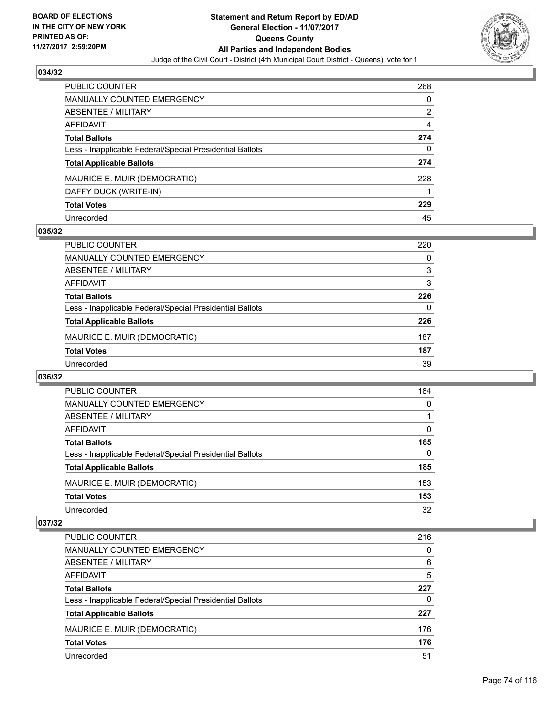

| PUBLIC COUNTER                                           | 268 |
|----------------------------------------------------------|-----|
| <b>MANUALLY COUNTED EMERGENCY</b>                        | 0   |
| <b>ABSENTEE / MILITARY</b>                               | 2   |
| AFFIDAVIT                                                | 4   |
| <b>Total Ballots</b>                                     | 274 |
| Less - Inapplicable Federal/Special Presidential Ballots | 0   |
| <b>Total Applicable Ballots</b>                          | 274 |
| MAURICE E. MUIR (DEMOCRATIC)                             | 228 |
| DAFFY DUCK (WRITE-IN)                                    |     |
| <b>Total Votes</b>                                       | 229 |
| Unrecorded                                               | 45  |

### **035/32**

| 220      |
|----------|
| 0        |
| 3        |
| 3        |
| 226      |
| $\Omega$ |
| 226      |
| 187      |
| 187      |
| 39       |
|          |

### **036/32**

| PUBLIC COUNTER                                           | 184      |
|----------------------------------------------------------|----------|
| <b>MANUALLY COUNTED EMERGENCY</b>                        | $\Omega$ |
| <b>ABSENTEE / MILITARY</b>                               |          |
| AFFIDAVIT                                                | 0        |
| <b>Total Ballots</b>                                     | 185      |
| Less - Inapplicable Federal/Special Presidential Ballots | $\Omega$ |
| <b>Total Applicable Ballots</b>                          | 185      |
| MAURICE E. MUIR (DEMOCRATIC)                             | 153      |
| <b>Total Votes</b>                                       | 153      |
| Unrecorded                                               | 32       |

| PUBLIC COUNTER                                           | 216 |
|----------------------------------------------------------|-----|
| MANUALLY COUNTED EMERGENCY                               | 0   |
| ABSENTEE / MILITARY                                      | 6   |
| AFFIDAVIT                                                | 5   |
| <b>Total Ballots</b>                                     | 227 |
| Less - Inapplicable Federal/Special Presidential Ballots | 0   |
| <b>Total Applicable Ballots</b>                          | 227 |
| MAURICE E. MUIR (DEMOCRATIC)                             | 176 |
| <b>Total Votes</b>                                       | 176 |
| Unrecorded                                               | 51  |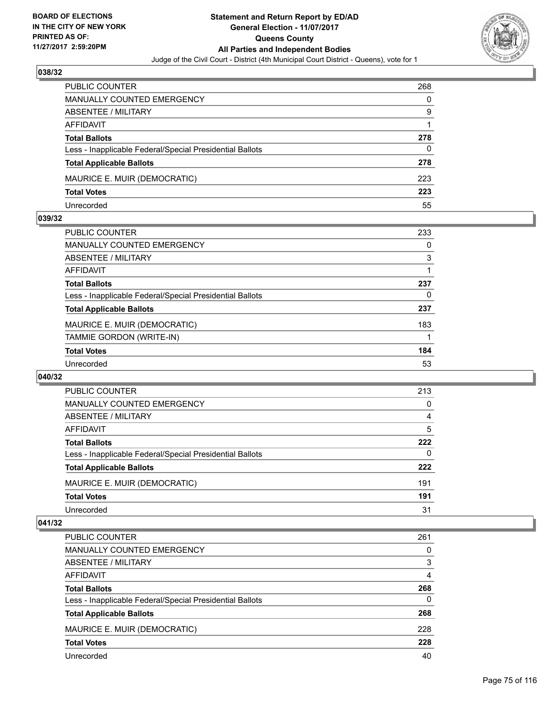

| PUBLIC COUNTER                                           | 268 |
|----------------------------------------------------------|-----|
| <b>MANUALLY COUNTED EMERGENCY</b>                        | 0   |
| ABSENTEE / MILITARY                                      | 9   |
| AFFIDAVIT                                                |     |
| <b>Total Ballots</b>                                     | 278 |
| Less - Inapplicable Federal/Special Presidential Ballots | 0   |
| <b>Total Applicable Ballots</b>                          | 278 |
| MAURICE E. MUIR (DEMOCRATIC)                             | 223 |
| <b>Total Votes</b>                                       | 223 |
| Unrecorded                                               | 55  |

### **039/32**

| PUBLIC COUNTER                                           | 233 |
|----------------------------------------------------------|-----|
| <b>MANUALLY COUNTED EMERGENCY</b>                        | 0   |
| ABSENTEE / MILITARY                                      | 3   |
| AFFIDAVIT                                                |     |
| <b>Total Ballots</b>                                     | 237 |
| Less - Inapplicable Federal/Special Presidential Ballots | 0   |
| <b>Total Applicable Ballots</b>                          | 237 |
| MAURICE E. MUIR (DEMOCRATIC)                             | 183 |
| TAMMIE GORDON (WRITE-IN)                                 |     |
| <b>Total Votes</b>                                       | 184 |
| Unrecorded                                               | 53  |
|                                                          |     |

### **040/32**

| PUBLIC COUNTER                                           | 213 |
|----------------------------------------------------------|-----|
| <b>MANUALLY COUNTED EMERGENCY</b>                        | 0   |
| <b>ABSENTEE / MILITARY</b>                               | 4   |
| AFFIDAVIT                                                | 5   |
| <b>Total Ballots</b>                                     | 222 |
| Less - Inapplicable Federal/Special Presidential Ballots | 0   |
| <b>Total Applicable Ballots</b>                          | 222 |
| MAURICE E. MUIR (DEMOCRATIC)                             | 191 |
| <b>Total Votes</b>                                       | 191 |
| Unrecorded                                               | 31  |

| <b>PUBLIC COUNTER</b>                                    | 261 |
|----------------------------------------------------------|-----|
| <b>MANUALLY COUNTED EMERGENCY</b>                        | 0   |
| ABSENTEE / MILITARY                                      | 3   |
| AFFIDAVIT                                                | 4   |
| <b>Total Ballots</b>                                     | 268 |
| Less - Inapplicable Federal/Special Presidential Ballots | 0   |
| <b>Total Applicable Ballots</b>                          | 268 |
| MAURICE E. MUIR (DEMOCRATIC)                             | 228 |
| <b>Total Votes</b>                                       | 228 |
| Unrecorded                                               | 40  |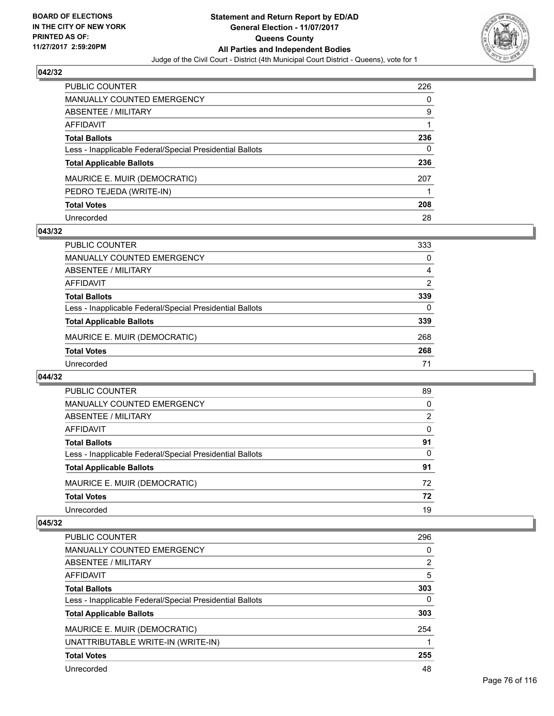

| PUBLIC COUNTER                                           | 226 |
|----------------------------------------------------------|-----|
| <b>MANUALLY COUNTED EMERGENCY</b>                        | 0   |
| <b>ABSENTEE / MILITARY</b>                               | 9   |
| AFFIDAVIT                                                |     |
| <b>Total Ballots</b>                                     | 236 |
| Less - Inapplicable Federal/Special Presidential Ballots | 0   |
| <b>Total Applicable Ballots</b>                          | 236 |
| MAURICE E. MUIR (DEMOCRATIC)                             | 207 |
| PEDRO TEJEDA (WRITE-IN)                                  |     |
| <b>Total Votes</b>                                       | 208 |
| Unrecorded                                               | 28  |

# **043/32**

| <b>PUBLIC COUNTER</b>                                    | 333 |
|----------------------------------------------------------|-----|
| MANUALLY COUNTED EMERGENCY                               | 0   |
| ABSENTEE / MILITARY                                      | 4   |
| AFFIDAVIT                                                | 2   |
| <b>Total Ballots</b>                                     | 339 |
| Less - Inapplicable Federal/Special Presidential Ballots | 0   |
| <b>Total Applicable Ballots</b>                          | 339 |
| MAURICE E. MUIR (DEMOCRATIC)                             | 268 |
| <b>Total Votes</b>                                       | 268 |
| Unrecorded                                               | 71  |

### **044/32**

| <b>PUBLIC COUNTER</b>                                    | 89       |
|----------------------------------------------------------|----------|
| <b>MANUALLY COUNTED EMERGENCY</b>                        | $\Omega$ |
| ABSENTEE / MILITARY                                      | 2        |
| AFFIDAVIT                                                | 0        |
| <b>Total Ballots</b>                                     | 91       |
| Less - Inapplicable Federal/Special Presidential Ballots | $\Omega$ |
| <b>Total Applicable Ballots</b>                          | 91       |
| MAURICE E. MUIR (DEMOCRATIC)                             | 72       |
| <b>Total Votes</b>                                       | 72       |
| Unrecorded                                               | 19       |

| <b>PUBLIC COUNTER</b>                                    | 296 |
|----------------------------------------------------------|-----|
| MANUALLY COUNTED EMERGENCY                               | 0   |
| ABSENTEE / MILITARY                                      | 2   |
| AFFIDAVIT                                                | 5   |
| <b>Total Ballots</b>                                     | 303 |
| Less - Inapplicable Federal/Special Presidential Ballots | 0   |
| <b>Total Applicable Ballots</b>                          | 303 |
| MAURICE E. MUIR (DEMOCRATIC)                             | 254 |
| UNATTRIBUTABLE WRITE-IN (WRITE-IN)                       |     |
| <b>Total Votes</b>                                       | 255 |
| Unrecorded                                               | 48  |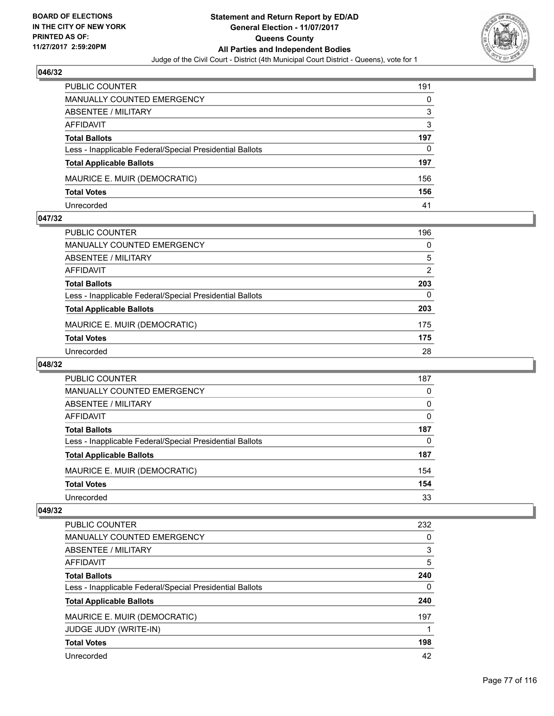

| <b>PUBLIC COUNTER</b>                                    | 191 |
|----------------------------------------------------------|-----|
| <b>MANUALLY COUNTED EMERGENCY</b>                        | 0   |
| <b>ABSENTEE / MILITARY</b>                               | 3   |
| AFFIDAVIT                                                | 3   |
| <b>Total Ballots</b>                                     | 197 |
| Less - Inapplicable Federal/Special Presidential Ballots | 0   |
| <b>Total Applicable Ballots</b>                          | 197 |
| MAURICE E. MUIR (DEMOCRATIC)                             | 156 |
| <b>Total Votes</b>                                       | 156 |
| Unrecorded                                               | 41  |

### **047/32**

| PUBLIC COUNTER                                           | 196 |
|----------------------------------------------------------|-----|
| <b>MANUALLY COUNTED EMERGENCY</b>                        | 0   |
| ABSENTEE / MILITARY                                      | 5   |
| AFFIDAVIT                                                | 2   |
| <b>Total Ballots</b>                                     | 203 |
| Less - Inapplicable Federal/Special Presidential Ballots | 0   |
| <b>Total Applicable Ballots</b>                          | 203 |
| MAURICE E. MUIR (DEMOCRATIC)                             | 175 |
| <b>Total Votes</b>                                       | 175 |
| Unrecorded                                               | 28  |
|                                                          |     |

# **048/32**

| <b>PUBLIC COUNTER</b>                                    | 187 |
|----------------------------------------------------------|-----|
| MANUALLY COUNTED EMERGENCY                               | 0   |
| ABSENTEE / MILITARY                                      | 0   |
| AFFIDAVIT                                                | 0   |
| <b>Total Ballots</b>                                     | 187 |
| Less - Inapplicable Federal/Special Presidential Ballots | 0   |
| <b>Total Applicable Ballots</b>                          | 187 |
| MAURICE E. MUIR (DEMOCRATIC)                             | 154 |
| <b>Total Votes</b>                                       | 154 |
| Unrecorded                                               | 33  |

| <b>PUBLIC COUNTER</b>                                    | 232 |
|----------------------------------------------------------|-----|
| <b>MANUALLY COUNTED EMERGENCY</b>                        | 0   |
| ABSENTEE / MILITARY                                      | 3   |
| AFFIDAVIT                                                | 5   |
| <b>Total Ballots</b>                                     | 240 |
| Less - Inapplicable Federal/Special Presidential Ballots | 0   |
| <b>Total Applicable Ballots</b>                          | 240 |
| MAURICE E. MUIR (DEMOCRATIC)                             | 197 |
| <b>JUDGE JUDY (WRITE-IN)</b>                             |     |
| <b>Total Votes</b>                                       | 198 |
| Unrecorded                                               | 42  |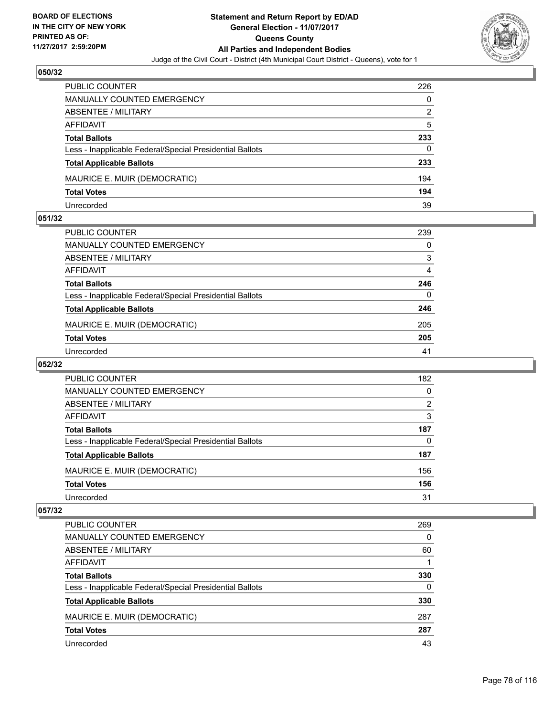

| <b>PUBLIC COUNTER</b>                                    | 226 |
|----------------------------------------------------------|-----|
| <b>MANUALLY COUNTED EMERGENCY</b>                        | 0   |
| ABSENTEE / MILITARY                                      | 2   |
| AFFIDAVIT                                                | 5   |
| <b>Total Ballots</b>                                     | 233 |
| Less - Inapplicable Federal/Special Presidential Ballots | 0   |
| <b>Total Applicable Ballots</b>                          | 233 |
| MAURICE E. MUIR (DEMOCRATIC)                             | 194 |
| <b>Total Votes</b>                                       | 194 |
| Unrecorded                                               | 39  |

### **051/32**

| <b>PUBLIC COUNTER</b>                                    | 239 |
|----------------------------------------------------------|-----|
| MANUALLY COUNTED EMERGENCY                               | 0   |
| ABSENTEE / MILITARY                                      | 3   |
| AFFIDAVIT                                                | 4   |
| <b>Total Ballots</b>                                     | 246 |
| Less - Inapplicable Federal/Special Presidential Ballots | 0   |
| <b>Total Applicable Ballots</b>                          | 246 |
| MAURICE E. MUIR (DEMOCRATIC)                             | 205 |
| <b>Total Votes</b>                                       | 205 |
| Unrecorded                                               | 41  |

# **052/32**

| <b>PUBLIC COUNTER</b>                                    | 182 |
|----------------------------------------------------------|-----|
| MANUALLY COUNTED EMERGENCY                               | 0   |
| ABSENTEE / MILITARY                                      | 2   |
| AFFIDAVIT                                                | 3   |
| <b>Total Ballots</b>                                     | 187 |
| Less - Inapplicable Federal/Special Presidential Ballots | 0   |
| <b>Total Applicable Ballots</b>                          | 187 |
| MAURICE E. MUIR (DEMOCRATIC)                             | 156 |
| <b>Total Votes</b>                                       | 156 |
| Unrecorded                                               | 31  |

| PUBLIC COUNTER                                           | 269 |
|----------------------------------------------------------|-----|
| <b>MANUALLY COUNTED EMERGENCY</b>                        | 0   |
| ABSENTEE / MILITARY                                      | 60  |
| AFFIDAVIT                                                |     |
| <b>Total Ballots</b>                                     | 330 |
| Less - Inapplicable Federal/Special Presidential Ballots | 0   |
| <b>Total Applicable Ballots</b>                          | 330 |
| MAURICE E. MUIR (DEMOCRATIC)                             | 287 |
| <b>Total Votes</b>                                       | 287 |
| Unrecorded                                               | 43  |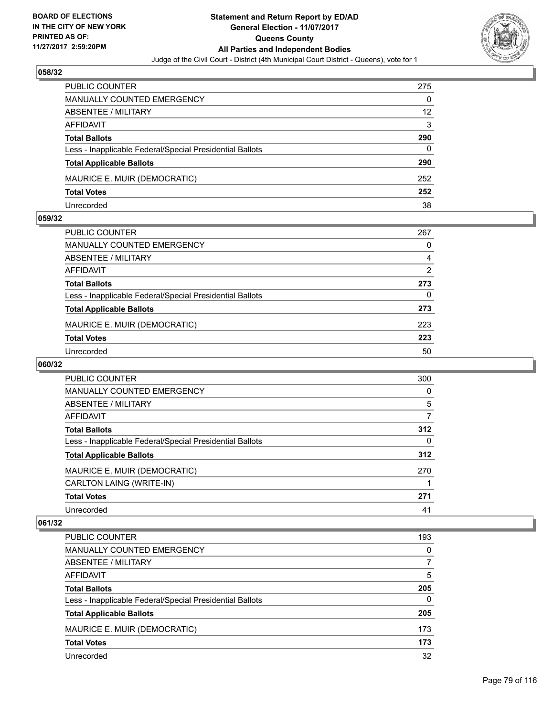

| <b>PUBLIC COUNTER</b>                                    | 275 |
|----------------------------------------------------------|-----|
| <b>MANUALLY COUNTED EMERGENCY</b>                        | 0   |
| ABSENTEE / MILITARY                                      | 12  |
| AFFIDAVIT                                                | 3   |
| <b>Total Ballots</b>                                     | 290 |
| Less - Inapplicable Federal/Special Presidential Ballots | 0   |
| <b>Total Applicable Ballots</b>                          | 290 |
| MAURICE E. MUIR (DEMOCRATIC)                             | 252 |
| <b>Total Votes</b>                                       | 252 |
| Unrecorded                                               | 38  |

### **059/32**

| <b>PUBLIC COUNTER</b>                                    | 267 |
|----------------------------------------------------------|-----|
| <b>MANUALLY COUNTED EMERGENCY</b>                        | 0   |
| ABSENTEE / MILITARY                                      | 4   |
| AFFIDAVIT                                                | 2   |
| <b>Total Ballots</b>                                     | 273 |
| Less - Inapplicable Federal/Special Presidential Ballots | 0   |
| <b>Total Applicable Ballots</b>                          | 273 |
| MAURICE E. MUIR (DEMOCRATIC)                             | 223 |
| <b>Total Votes</b>                                       | 223 |
| Unrecorded                                               | 50  |

# **060/32**

| <b>PUBLIC COUNTER</b>                                    | 300      |
|----------------------------------------------------------|----------|
| MANUALLY COUNTED EMERGENCY                               | 0        |
| ABSENTEE / MILITARY                                      | 5        |
| <b>AFFIDAVIT</b>                                         | 7        |
| <b>Total Ballots</b>                                     | 312      |
| Less - Inapplicable Federal/Special Presidential Ballots | $\Omega$ |
| <b>Total Applicable Ballots</b>                          | 312      |
| MAURICE E. MUIR (DEMOCRATIC)                             | 270      |
| CARLTON LAING (WRITE-IN)                                 |          |
| <b>Total Votes</b>                                       | 271      |
| Unrecorded                                               | 41       |

| <b>PUBLIC COUNTER</b>                                    | 193 |
|----------------------------------------------------------|-----|
| <b>MANUALLY COUNTED EMERGENCY</b>                        | 0   |
| ABSENTEE / MILITARY                                      | 7   |
| AFFIDAVIT                                                | 5   |
| <b>Total Ballots</b>                                     | 205 |
| Less - Inapplicable Federal/Special Presidential Ballots | 0   |
| <b>Total Applicable Ballots</b>                          | 205 |
| MAURICE E. MUIR (DEMOCRATIC)                             | 173 |
| <b>Total Votes</b>                                       | 173 |
| Unrecorded                                               | 32  |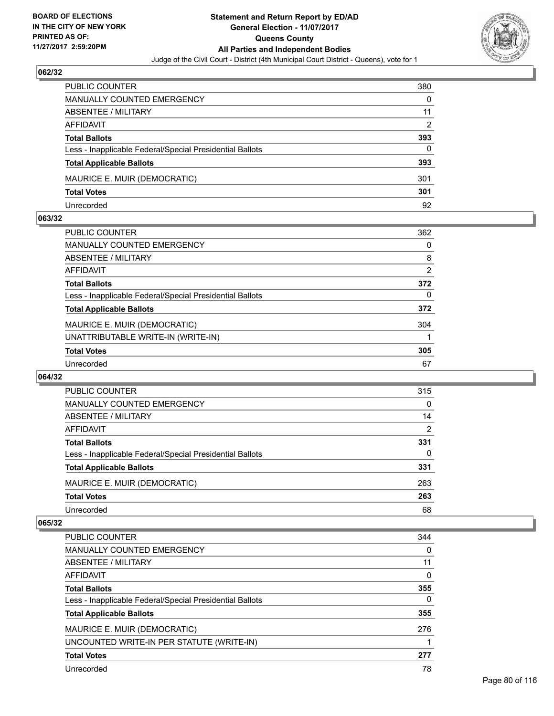

| PUBLIC COUNTER                                           | 380 |
|----------------------------------------------------------|-----|
| <b>MANUALLY COUNTED EMERGENCY</b>                        | 0   |
| ABSENTEE / MILITARY                                      | 11  |
| AFFIDAVIT                                                | 2   |
| <b>Total Ballots</b>                                     | 393 |
| Less - Inapplicable Federal/Special Presidential Ballots | 0   |
| <b>Total Applicable Ballots</b>                          | 393 |
| MAURICE E. MUIR (DEMOCRATIC)                             | 301 |
| <b>Total Votes</b>                                       | 301 |
| Unrecorded                                               | 92  |

### **063/32**

| PUBLIC COUNTER                                           | 362 |
|----------------------------------------------------------|-----|
| <b>MANUALLY COUNTED EMERGENCY</b>                        | 0   |
| ABSENTEE / MILITARY                                      | 8   |
| AFFIDAVIT                                                | 2   |
| <b>Total Ballots</b>                                     | 372 |
| Less - Inapplicable Federal/Special Presidential Ballots | 0   |
| <b>Total Applicable Ballots</b>                          | 372 |
| MAURICE E. MUIR (DEMOCRATIC)                             | 304 |
| UNATTRIBUTABLE WRITE-IN (WRITE-IN)                       |     |
| <b>Total Votes</b>                                       | 305 |
| Unrecorded                                               | 67  |
|                                                          |     |

### **064/32**

| PUBLIC COUNTER                                           | 315 |
|----------------------------------------------------------|-----|
| <b>MANUALLY COUNTED EMERGENCY</b>                        | 0   |
| ABSENTEE / MILITARY                                      | 14  |
| AFFIDAVIT                                                | 2   |
| <b>Total Ballots</b>                                     | 331 |
| Less - Inapplicable Federal/Special Presidential Ballots | 0   |
| <b>Total Applicable Ballots</b>                          | 331 |
| MAURICE E. MUIR (DEMOCRATIC)                             | 263 |
| <b>Total Votes</b>                                       | 263 |
| Unrecorded                                               | 68  |

| <b>PUBLIC COUNTER</b>                                    | 344 |
|----------------------------------------------------------|-----|
| <b>MANUALLY COUNTED EMERGENCY</b>                        | 0   |
| ABSENTEE / MILITARY                                      | 11  |
| AFFIDAVIT                                                | 0   |
| <b>Total Ballots</b>                                     | 355 |
| Less - Inapplicable Federal/Special Presidential Ballots | 0   |
| <b>Total Applicable Ballots</b>                          | 355 |
| MAURICE E. MUIR (DEMOCRATIC)                             | 276 |
| UNCOUNTED WRITE-IN PER STATUTE (WRITE-IN)                |     |
| <b>Total Votes</b>                                       | 277 |
| Unrecorded                                               | 78  |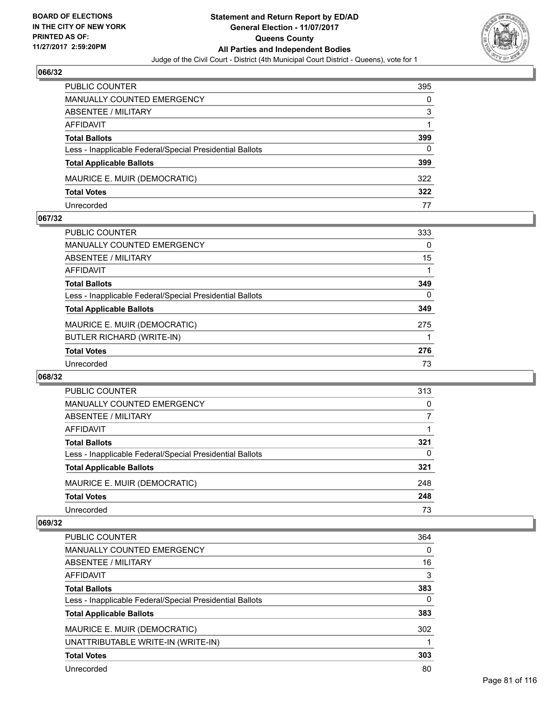

| PUBLIC COUNTER                                           | 395 |
|----------------------------------------------------------|-----|
| <b>MANUALLY COUNTED EMERGENCY</b>                        | 0   |
| <b>ABSENTEE / MILITARY</b>                               | 3   |
| AFFIDAVIT                                                |     |
| <b>Total Ballots</b>                                     | 399 |
| Less - Inapplicable Federal/Special Presidential Ballots | 0   |
| <b>Total Applicable Ballots</b>                          | 399 |
| MAURICE E. MUIR (DEMOCRATIC)                             | 322 |
| <b>Total Votes</b>                                       | 322 |
| Unrecorded                                               | 77  |

### **067/32**

| <b>PUBLIC COUNTER</b>                                    | 333      |
|----------------------------------------------------------|----------|
| <b>MANUALLY COUNTED EMERGENCY</b>                        | 0        |
| ABSENTEE / MILITARY                                      | 15       |
| AFFIDAVIT                                                |          |
| <b>Total Ballots</b>                                     | 349      |
| Less - Inapplicable Federal/Special Presidential Ballots | $\Omega$ |
| <b>Total Applicable Ballots</b>                          | 349      |
| MAURICE E. MUIR (DEMOCRATIC)                             | 275      |
| <b>BUTLER RICHARD (WRITE-IN)</b>                         |          |
| <b>Total Votes</b>                                       | 276      |
| Unrecorded                                               | 73       |
|                                                          |          |

### **068/32**

| <b>PUBLIC COUNTER</b>                                    | 313 |
|----------------------------------------------------------|-----|
| <b>MANUALLY COUNTED EMERGENCY</b>                        | 0   |
| ABSENTEE / MILITARY                                      |     |
| AFFIDAVIT                                                |     |
| <b>Total Ballots</b>                                     | 321 |
| Less - Inapplicable Federal/Special Presidential Ballots | 0   |
| <b>Total Applicable Ballots</b>                          | 321 |
| MAURICE E. MUIR (DEMOCRATIC)                             | 248 |
| <b>Total Votes</b>                                       | 248 |
| Unrecorded                                               | 73  |

| <b>PUBLIC COUNTER</b>                                    | 364 |
|----------------------------------------------------------|-----|
| MANUALLY COUNTED EMERGENCY                               | 0   |
| ABSENTEE / MILITARY                                      | 16  |
| AFFIDAVIT                                                | 3   |
| <b>Total Ballots</b>                                     | 383 |
| Less - Inapplicable Federal/Special Presidential Ballots | 0   |
| <b>Total Applicable Ballots</b>                          | 383 |
| MAURICE E. MUIR (DEMOCRATIC)                             | 302 |
| UNATTRIBUTABLE WRITE-IN (WRITE-IN)                       |     |
| <b>Total Votes</b>                                       | 303 |
| Unrecorded                                               | 80  |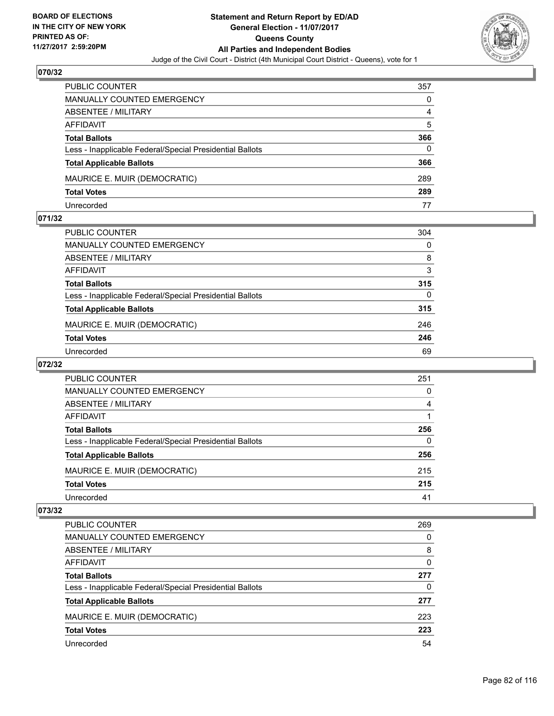

| <b>PUBLIC COUNTER</b>                                    | 357 |
|----------------------------------------------------------|-----|
| <b>MANUALLY COUNTED EMERGENCY</b>                        | 0   |
| ABSENTEE / MILITARY                                      | 4   |
| AFFIDAVIT                                                | 5   |
| <b>Total Ballots</b>                                     | 366 |
| Less - Inapplicable Federal/Special Presidential Ballots | 0   |
| <b>Total Applicable Ballots</b>                          | 366 |
| MAURICE E. MUIR (DEMOCRATIC)                             | 289 |
| <b>Total Votes</b>                                       | 289 |
| Unrecorded                                               | 77  |

### **071/32**

| PUBLIC COUNTER                                           | 304 |
|----------------------------------------------------------|-----|
| <b>MANUALLY COUNTED EMERGENCY</b>                        | 0   |
| ABSENTEE / MILITARY                                      | 8   |
| AFFIDAVIT                                                | 3   |
| <b>Total Ballots</b>                                     | 315 |
| Less - Inapplicable Federal/Special Presidential Ballots | 0   |
| <b>Total Applicable Ballots</b>                          | 315 |
| MAURICE E. MUIR (DEMOCRATIC)                             | 246 |
| <b>Total Votes</b>                                       | 246 |
| Unrecorded                                               | 69  |
|                                                          |     |

# **072/32**

| <b>PUBLIC COUNTER</b>                                    | 251 |
|----------------------------------------------------------|-----|
| MANUALLY COUNTED EMERGENCY                               | 0   |
| ABSENTEE / MILITARY                                      | 4   |
| AFFIDAVIT                                                |     |
| <b>Total Ballots</b>                                     | 256 |
| Less - Inapplicable Federal/Special Presidential Ballots | 0   |
| <b>Total Applicable Ballots</b>                          | 256 |
| MAURICE E. MUIR (DEMOCRATIC)                             | 215 |
| <b>Total Votes</b>                                       | 215 |
| Unrecorded                                               | 41  |

| PUBLIC COUNTER                                           | 269 |
|----------------------------------------------------------|-----|
| <b>MANUALLY COUNTED EMERGENCY</b>                        | 0   |
| ABSENTEE / MILITARY                                      | 8   |
| AFFIDAVIT                                                | 0   |
| <b>Total Ballots</b>                                     | 277 |
| Less - Inapplicable Federal/Special Presidential Ballots | 0   |
| <b>Total Applicable Ballots</b>                          | 277 |
| MAURICE E. MUIR (DEMOCRATIC)                             | 223 |
| <b>Total Votes</b>                                       | 223 |
| Unrecorded                                               | 54  |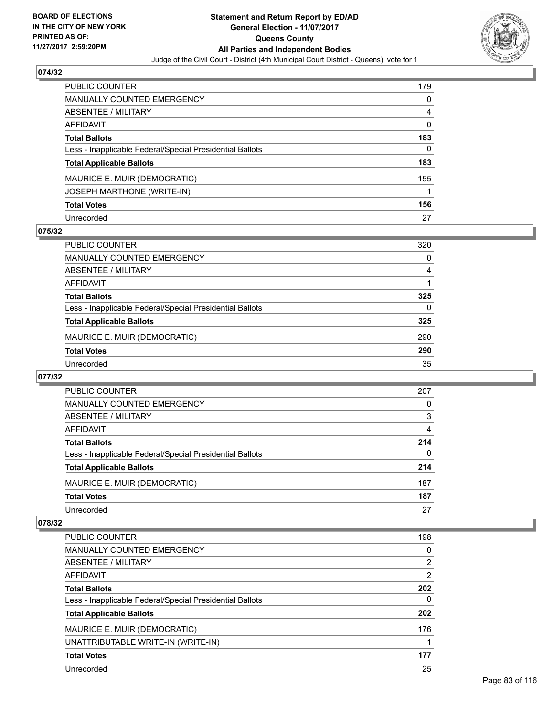

| <b>PUBLIC COUNTER</b>                                    | 179          |
|----------------------------------------------------------|--------------|
| <b>MANUALLY COUNTED EMERGENCY</b>                        | 0            |
| ABSENTEE / MILITARY                                      | 4            |
| <b>AFFIDAVIT</b>                                         | $\mathbf{0}$ |
| <b>Total Ballots</b>                                     | 183          |
| Less - Inapplicable Federal/Special Presidential Ballots | 0            |
| <b>Total Applicable Ballots</b>                          | 183          |
| MAURICE E. MUIR (DEMOCRATIC)                             | 155          |
| JOSEPH MARTHONE (WRITE-IN)                               |              |
| <b>Total Votes</b>                                       | 156          |
| Unrecorded                                               | 27           |

# **075/32**

| <b>PUBLIC COUNTER</b>                                    | 320 |
|----------------------------------------------------------|-----|
| MANUALLY COUNTED EMERGENCY                               | 0   |
| ABSENTEE / MILITARY                                      | 4   |
| AFFIDAVIT                                                |     |
| <b>Total Ballots</b>                                     | 325 |
| Less - Inapplicable Federal/Special Presidential Ballots | 0   |
| <b>Total Applicable Ballots</b>                          | 325 |
| MAURICE E. MUIR (DEMOCRATIC)                             | 290 |
| <b>Total Votes</b>                                       | 290 |
| Unrecorded                                               | 35  |

### **077/32**

| <b>PUBLIC COUNTER</b>                                    | 207 |
|----------------------------------------------------------|-----|
| <b>MANUALLY COUNTED EMERGENCY</b>                        | 0   |
| ABSENTEE / MILITARY                                      | 3   |
| AFFIDAVIT                                                | 4   |
| <b>Total Ballots</b>                                     | 214 |
| Less - Inapplicable Federal/Special Presidential Ballots | 0   |
| <b>Total Applicable Ballots</b>                          | 214 |
| MAURICE E. MUIR (DEMOCRATIC)                             | 187 |
| <b>Total Votes</b>                                       | 187 |
| Unrecorded                                               | 27  |

| <b>PUBLIC COUNTER</b>                                    | 198 |
|----------------------------------------------------------|-----|
| <b>MANUALLY COUNTED EMERGENCY</b>                        | 0   |
| ABSENTEE / MILITARY                                      | 2   |
| AFFIDAVIT                                                | 2   |
| <b>Total Ballots</b>                                     | 202 |
| Less - Inapplicable Federal/Special Presidential Ballots | 0   |
| <b>Total Applicable Ballots</b>                          | 202 |
| MAURICE E. MUIR (DEMOCRATIC)                             | 176 |
| UNATTRIBUTABLE WRITE-IN (WRITE-IN)                       |     |
| <b>Total Votes</b>                                       | 177 |
| Unrecorded                                               | 25  |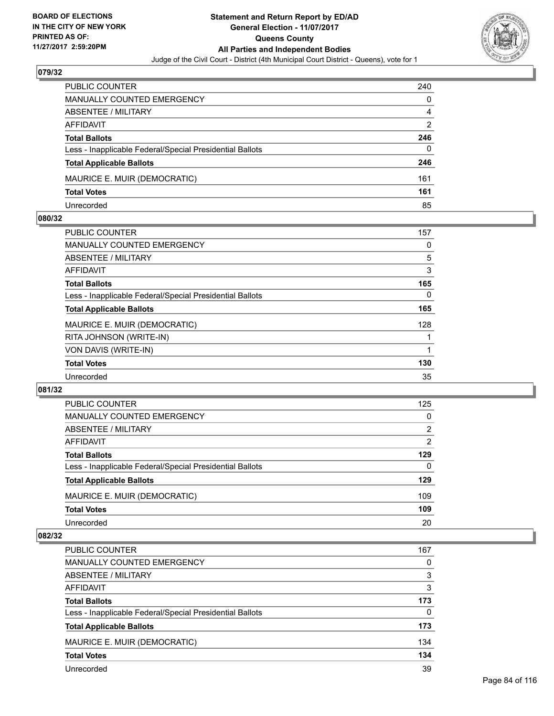

| <b>PUBLIC COUNTER</b>                                    | 240 |
|----------------------------------------------------------|-----|
| MANUALLY COUNTED EMERGENCY                               | 0   |
| ABSENTEE / MILITARY                                      | 4   |
| AFFIDAVIT                                                | 2   |
| <b>Total Ballots</b>                                     | 246 |
| Less - Inapplicable Federal/Special Presidential Ballots | 0   |
| <b>Total Applicable Ballots</b>                          | 246 |
| MAURICE E. MUIR (DEMOCRATIC)                             | 161 |
| <b>Total Votes</b>                                       | 161 |
| Unrecorded                                               | 85  |

### **080/32**

| PUBLIC COUNTER                                           | 157 |
|----------------------------------------------------------|-----|
| <b>MANUALLY COUNTED EMERGENCY</b>                        | 0   |
| ABSENTEE / MILITARY                                      | 5   |
| AFFIDAVIT                                                | 3   |
| <b>Total Ballots</b>                                     | 165 |
| Less - Inapplicable Federal/Special Presidential Ballots | 0   |
| <b>Total Applicable Ballots</b>                          | 165 |
| MAURICE E. MUIR (DEMOCRATIC)                             | 128 |
| RITA JOHNSON (WRITE-IN)                                  |     |
| VON DAVIS (WRITE-IN)                                     |     |
| <b>Total Votes</b>                                       | 130 |
| Unrecorded                                               | 35  |

### **081/32**

| <b>PUBLIC COUNTER</b>                                    | 125 |
|----------------------------------------------------------|-----|
| <b>MANUALLY COUNTED EMERGENCY</b>                        | 0   |
| ABSENTEE / MILITARY                                      | 2   |
| AFFIDAVIT                                                | 2   |
| <b>Total Ballots</b>                                     | 129 |
| Less - Inapplicable Federal/Special Presidential Ballots | 0   |
| <b>Total Applicable Ballots</b>                          | 129 |
| MAURICE E. MUIR (DEMOCRATIC)                             | 109 |
| <b>Total Votes</b>                                       | 109 |
| Unrecorded                                               | 20  |
|                                                          |     |

| <b>PUBLIC COUNTER</b>                                    | 167 |
|----------------------------------------------------------|-----|
| MANUALLY COUNTED EMERGENCY                               | 0   |
| ABSENTEE / MILITARY                                      | 3   |
| AFFIDAVIT                                                | 3   |
| <b>Total Ballots</b>                                     | 173 |
| Less - Inapplicable Federal/Special Presidential Ballots | 0   |
| <b>Total Applicable Ballots</b>                          | 173 |
| MAURICE E. MUIR (DEMOCRATIC)                             | 134 |
| <b>Total Votes</b>                                       | 134 |
| Unrecorded                                               | 39  |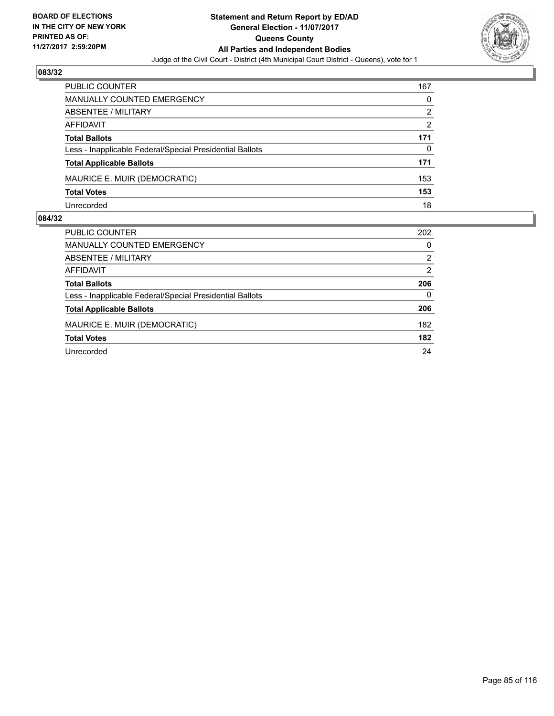

| <b>PUBLIC COUNTER</b>                                    | 167 |
|----------------------------------------------------------|-----|
| MANUALLY COUNTED EMERGENCY                               | 0   |
| ABSENTEE / MILITARY                                      | 2   |
| AFFIDAVIT                                                | 2   |
| <b>Total Ballots</b>                                     | 171 |
| Less - Inapplicable Federal/Special Presidential Ballots | 0   |
| <b>Total Applicable Ballots</b>                          | 171 |
| MAURICE E. MUIR (DEMOCRATIC)                             | 153 |
| <b>Total Votes</b>                                       | 153 |
| Unrecorded                                               | 18  |

| <b>PUBLIC COUNTER</b>                                    | 202            |
|----------------------------------------------------------|----------------|
| MANUALLY COUNTED EMERGENCY                               | 0              |
| ABSENTEE / MILITARY                                      | $\overline{2}$ |
| AFFIDAVIT                                                | 2              |
| <b>Total Ballots</b>                                     | 206            |
| Less - Inapplicable Federal/Special Presidential Ballots | 0              |
| <b>Total Applicable Ballots</b>                          | 206            |
| MAURICE E. MUIR (DEMOCRATIC)                             | 182            |
| <b>Total Votes</b>                                       | 182            |
| Unrecorded                                               | 24             |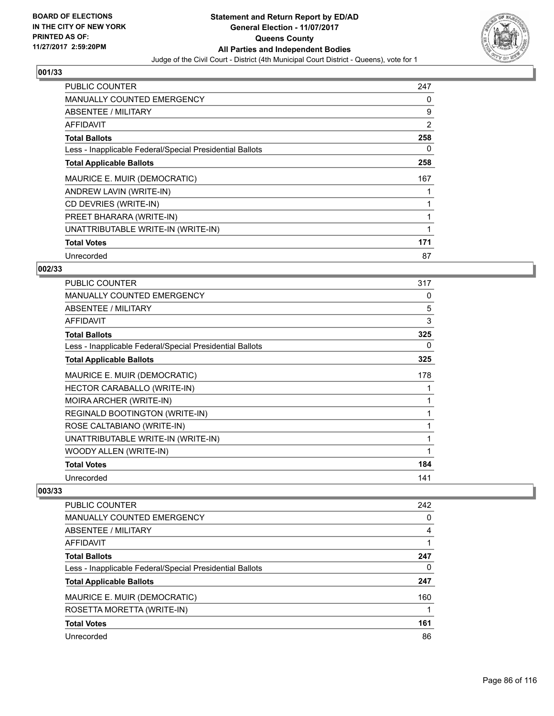

| <b>PUBLIC COUNTER</b>                                    | 247 |
|----------------------------------------------------------|-----|
| <b>MANUALLY COUNTED EMERGENCY</b>                        | 0   |
| <b>ABSENTEE / MILITARY</b>                               | 9   |
| AFFIDAVIT                                                | 2   |
| <b>Total Ballots</b>                                     | 258 |
| Less - Inapplicable Federal/Special Presidential Ballots | 0   |
| <b>Total Applicable Ballots</b>                          | 258 |
| MAURICE E. MUIR (DEMOCRATIC)                             | 167 |
| ANDREW LAVIN (WRITE-IN)                                  |     |
| CD DEVRIES (WRITE-IN)                                    |     |
| PREET BHARARA (WRITE-IN)                                 |     |
| UNATTRIBUTABLE WRITE-IN (WRITE-IN)                       |     |
| <b>Total Votes</b>                                       | 171 |
| Unrecorded                                               | 87  |

# **002/33**

| <b>PUBLIC COUNTER</b>                                    | 317 |
|----------------------------------------------------------|-----|
| <b>MANUALLY COUNTED EMERGENCY</b>                        | 0   |
| ABSENTEE / MILITARY                                      | 5   |
| <b>AFFIDAVIT</b>                                         | 3   |
| <b>Total Ballots</b>                                     | 325 |
| Less - Inapplicable Federal/Special Presidential Ballots | 0   |
| <b>Total Applicable Ballots</b>                          | 325 |
| MAURICE E. MUIR (DEMOCRATIC)                             | 178 |
| HECTOR CARABALLO (WRITE-IN)                              |     |
| MOIRA ARCHER (WRITE-IN)                                  |     |
| REGINALD BOOTINGTON (WRITE-IN)                           |     |
| ROSE CALTABIANO (WRITE-IN)                               | 1   |
| UNATTRIBUTABLE WRITE-IN (WRITE-IN)                       |     |
| WOODY ALLEN (WRITE-IN)                                   | 1   |
| <b>Total Votes</b>                                       | 184 |
| Unrecorded                                               | 141 |

| <b>PUBLIC COUNTER</b>                                    | 242 |
|----------------------------------------------------------|-----|
| <b>MANUALLY COUNTED EMERGENCY</b>                        | 0   |
| <b>ABSENTEE / MILITARY</b>                               | 4   |
| AFFIDAVIT                                                |     |
| <b>Total Ballots</b>                                     | 247 |
| Less - Inapplicable Federal/Special Presidential Ballots | 0   |
| <b>Total Applicable Ballots</b>                          | 247 |
| MAURICE E. MUIR (DEMOCRATIC)                             | 160 |
| ROSETTA MORETTA (WRITE-IN)                               |     |
| <b>Total Votes</b>                                       | 161 |
| Unrecorded                                               | 86  |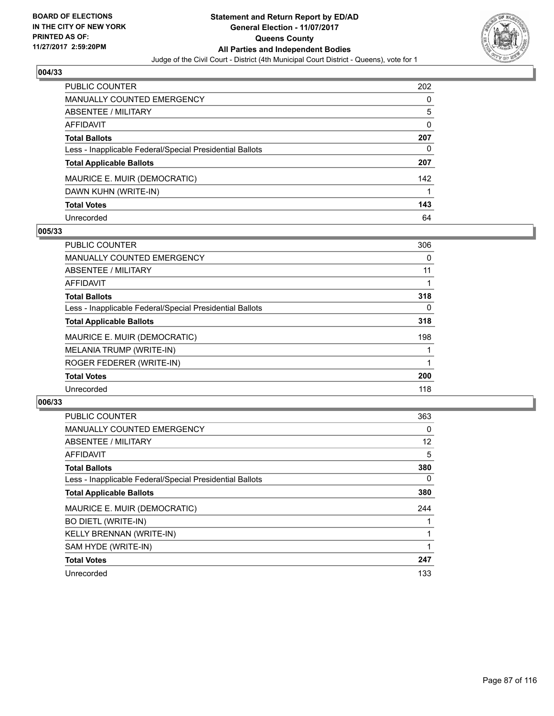

| <b>PUBLIC COUNTER</b>                                    | 202 |
|----------------------------------------------------------|-----|
| <b>MANUALLY COUNTED EMERGENCY</b>                        | 0   |
| <b>ABSENTEE / MILITARY</b>                               | 5   |
| AFFIDAVIT                                                | 0   |
| <b>Total Ballots</b>                                     | 207 |
| Less - Inapplicable Federal/Special Presidential Ballots | 0   |
| <b>Total Applicable Ballots</b>                          | 207 |
| MAURICE E. MUIR (DEMOCRATIC)                             | 142 |
| DAWN KUHN (WRITE-IN)                                     |     |
| <b>Total Votes</b>                                       | 143 |
| Unrecorded                                               | 64  |

### **005/33**

| <b>PUBLIC COUNTER</b>                                    | 306      |
|----------------------------------------------------------|----------|
| <b>MANUALLY COUNTED EMERGENCY</b>                        | 0        |
| ABSENTEE / MILITARY                                      | 11       |
| <b>AFFIDAVIT</b>                                         |          |
| <b>Total Ballots</b>                                     | 318      |
| Less - Inapplicable Federal/Special Presidential Ballots | $\Omega$ |
| <b>Total Applicable Ballots</b>                          | 318      |
| MAURICE E. MUIR (DEMOCRATIC)                             | 198      |
| MELANIA TRUMP (WRITE-IN)                                 |          |
| ROGER FEDERER (WRITE-IN)                                 |          |
| <b>Total Votes</b>                                       | 200      |
| Unrecorded                                               | 118      |

| <b>PUBLIC COUNTER</b>                                    | 363 |
|----------------------------------------------------------|-----|
| <b>MANUALLY COUNTED EMERGENCY</b>                        | 0   |
| ABSENTEE / MILITARY                                      | 12  |
| AFFIDAVIT                                                | 5   |
| <b>Total Ballots</b>                                     | 380 |
| Less - Inapplicable Federal/Special Presidential Ballots | 0   |
| <b>Total Applicable Ballots</b>                          | 380 |
| MAURICE E. MUIR (DEMOCRATIC)                             | 244 |
| <b>BO DIETL (WRITE-IN)</b>                               |     |
| <b>KELLY BRENNAN (WRITE-IN)</b>                          |     |
| SAM HYDE (WRITE-IN)                                      |     |
| <b>Total Votes</b>                                       | 247 |
| Unrecorded                                               | 133 |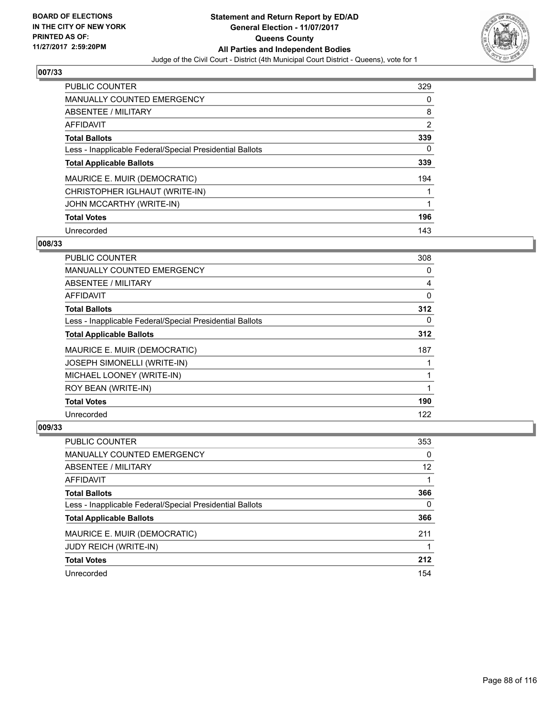

| <b>PUBLIC COUNTER</b>                                    | 329            |
|----------------------------------------------------------|----------------|
| <b>MANUALLY COUNTED EMERGENCY</b>                        | 0              |
| ABSENTEE / MILITARY                                      | 8              |
| <b>AFFIDAVIT</b>                                         | $\overline{2}$ |
| <b>Total Ballots</b>                                     | 339            |
| Less - Inapplicable Federal/Special Presidential Ballots | 0              |
| <b>Total Applicable Ballots</b>                          | 339            |
| MAURICE E. MUIR (DEMOCRATIC)                             | 194            |
| CHRISTOPHER IGLHAUT (WRITE-IN)                           |                |
| JOHN MCCARTHY (WRITE-IN)                                 |                |
| <b>Total Votes</b>                                       | 196            |
| Unrecorded                                               | 143            |

### **008/33**

| <b>PUBLIC COUNTER</b>                                    | 308 |
|----------------------------------------------------------|-----|
| <b>MANUALLY COUNTED EMERGENCY</b>                        | 0   |
| ABSENTEE / MILITARY                                      | 4   |
| AFFIDAVIT                                                | 0   |
| <b>Total Ballots</b>                                     | 312 |
| Less - Inapplicable Federal/Special Presidential Ballots | 0   |
| <b>Total Applicable Ballots</b>                          | 312 |
| MAURICE E. MUIR (DEMOCRATIC)                             | 187 |
| <b>JOSEPH SIMONELLI (WRITE-IN)</b>                       |     |
| MICHAEL LOONEY (WRITE-IN)                                |     |
| ROY BEAN (WRITE-IN)                                      |     |
| <b>Total Votes</b>                                       | 190 |
| Unrecorded                                               | 122 |

| PUBLIC COUNTER                                           | 353 |
|----------------------------------------------------------|-----|
| MANUALLY COUNTED EMERGENCY                               | 0   |
| ABSENTEE / MILITARY                                      | 12  |
| AFFIDAVIT                                                |     |
| <b>Total Ballots</b>                                     | 366 |
| Less - Inapplicable Federal/Special Presidential Ballots | 0   |
| <b>Total Applicable Ballots</b>                          | 366 |
| MAURICE E. MUIR (DEMOCRATIC)                             | 211 |
| JUDY REICH (WRITE-IN)                                    |     |
| <b>Total Votes</b>                                       | 212 |
| Unrecorded                                               | 154 |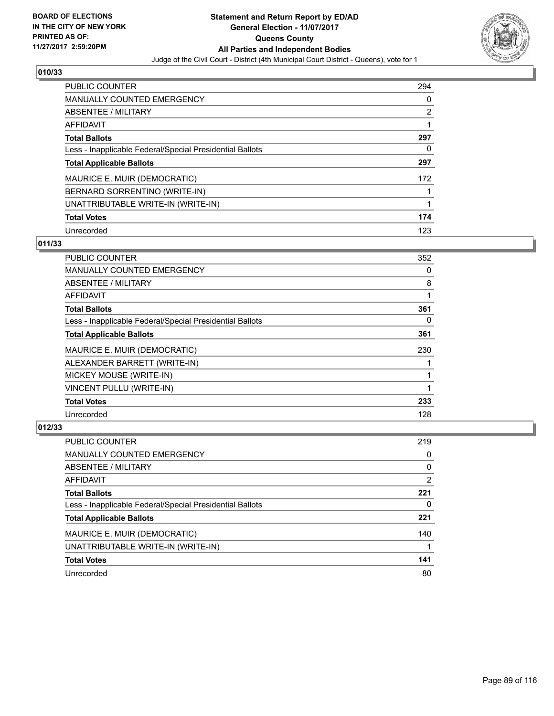

| <b>PUBLIC COUNTER</b>                                    | 294 |
|----------------------------------------------------------|-----|
| MANUALLY COUNTED EMERGENCY                               | 0   |
| ABSENTEE / MILITARY                                      | 2   |
| AFFIDAVIT                                                |     |
| <b>Total Ballots</b>                                     | 297 |
| Less - Inapplicable Federal/Special Presidential Ballots | 0   |
| <b>Total Applicable Ballots</b>                          | 297 |
| MAURICE E. MUIR (DEMOCRATIC)                             | 172 |
| BERNARD SORRENTINO (WRITE-IN)                            |     |
| UNATTRIBUTABLE WRITE-IN (WRITE-IN)                       |     |
| <b>Total Votes</b>                                       | 174 |
| Unrecorded                                               | 123 |

### **011/33**

| <b>PUBLIC COUNTER</b>                                    | 352 |
|----------------------------------------------------------|-----|
| <b>MANUALLY COUNTED EMERGENCY</b>                        | 0   |
| ABSENTEE / MILITARY                                      | 8   |
| <b>AFFIDAVIT</b>                                         |     |
| <b>Total Ballots</b>                                     | 361 |
| Less - Inapplicable Federal/Special Presidential Ballots | 0   |
| <b>Total Applicable Ballots</b>                          | 361 |
| MAURICE E. MUIR (DEMOCRATIC)                             | 230 |
| ALEXANDER BARRETT (WRITE-IN)                             |     |
| MICKEY MOUSE (WRITE-IN)                                  |     |
| VINCENT PULLU (WRITE-IN)                                 |     |
| <b>Total Votes</b>                                       | 233 |
| Unrecorded                                               | 128 |

| <b>PUBLIC COUNTER</b>                                    | 219 |
|----------------------------------------------------------|-----|
| <b>MANUALLY COUNTED EMERGENCY</b>                        | 0   |
| ABSENTEE / MILITARY                                      | 0   |
| <b>AFFIDAVIT</b>                                         | 2   |
| <b>Total Ballots</b>                                     | 221 |
| Less - Inapplicable Federal/Special Presidential Ballots | 0   |
| <b>Total Applicable Ballots</b>                          | 221 |
| MAURICE E. MUIR (DEMOCRATIC)                             | 140 |
| UNATTRIBUTABLE WRITE-IN (WRITE-IN)                       |     |
| <b>Total Votes</b>                                       | 141 |
| Unrecorded                                               | 80  |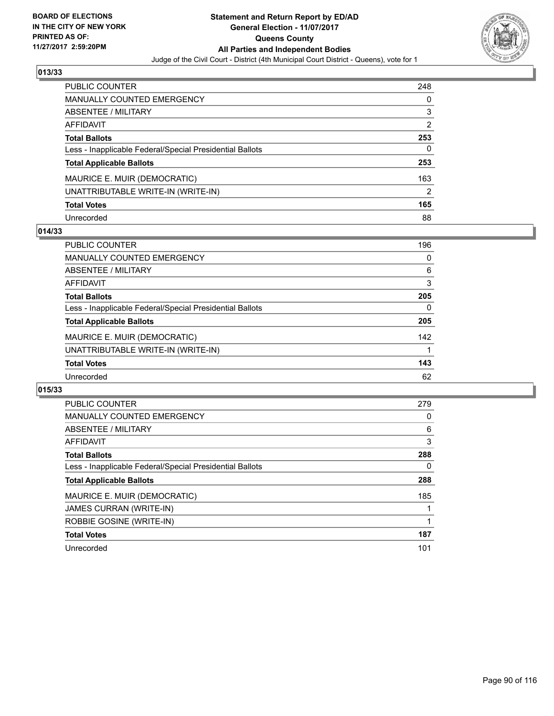

| <b>PUBLIC COUNTER</b>                                    | 248 |
|----------------------------------------------------------|-----|
| <b>MANUALLY COUNTED EMERGENCY</b>                        | 0   |
| ABSENTEE / MILITARY                                      | 3   |
| <b>AFFIDAVIT</b>                                         | 2   |
| <b>Total Ballots</b>                                     | 253 |
| Less - Inapplicable Federal/Special Presidential Ballots | 0   |
| <b>Total Applicable Ballots</b>                          | 253 |
| MAURICE E. MUIR (DEMOCRATIC)                             | 163 |
| UNATTRIBUTABLE WRITE-IN (WRITE-IN)                       | 2   |
| <b>Total Votes</b>                                       | 165 |
| Unrecorded                                               | 88  |

### **014/33**

| <b>PUBLIC COUNTER</b>                                    | 196 |
|----------------------------------------------------------|-----|
| MANUALLY COUNTED EMERGENCY                               | 0   |
| ABSENTEE / MILITARY                                      | 6   |
| AFFIDAVIT                                                | 3   |
| <b>Total Ballots</b>                                     | 205 |
| Less - Inapplicable Federal/Special Presidential Ballots | 0   |
| <b>Total Applicable Ballots</b>                          | 205 |
| MAURICE E. MUIR (DEMOCRATIC)                             | 142 |
| UNATTRIBUTABLE WRITE-IN (WRITE-IN)                       |     |
| <b>Total Votes</b>                                       | 143 |
| Unrecorded                                               | 62  |

| <b>PUBLIC COUNTER</b>                                    | 279 |
|----------------------------------------------------------|-----|
| <b>MANUALLY COUNTED EMERGENCY</b>                        | 0   |
| ABSENTEE / MILITARY                                      | 6   |
| AFFIDAVIT                                                | 3   |
| <b>Total Ballots</b>                                     | 288 |
| Less - Inapplicable Federal/Special Presidential Ballots | 0   |
| <b>Total Applicable Ballots</b>                          | 288 |
| MAURICE E. MUIR (DEMOCRATIC)                             | 185 |
| JAMES CURRAN (WRITE-IN)                                  |     |
| ROBBIE GOSINE (WRITE-IN)                                 |     |
| <b>Total Votes</b>                                       | 187 |
| Unrecorded                                               | 101 |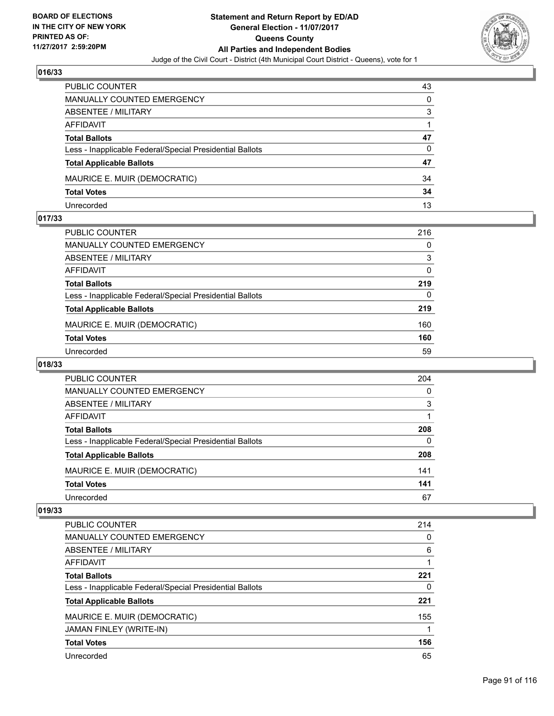

| <b>PUBLIC COUNTER</b>                                    | 43 |
|----------------------------------------------------------|----|
| MANUALLY COUNTED EMERGENCY                               | 0  |
| ABSENTEE / MILITARY                                      | 3  |
| AFFIDAVIT                                                |    |
| <b>Total Ballots</b>                                     | 47 |
| Less - Inapplicable Federal/Special Presidential Ballots | 0  |
| <b>Total Applicable Ballots</b>                          | 47 |
| MAURICE E. MUIR (DEMOCRATIC)                             | 34 |
| <b>Total Votes</b>                                       | 34 |
| Unrecorded                                               | 13 |

### **017/33**

| PUBLIC COUNTER                                           | 216 |
|----------------------------------------------------------|-----|
| MANUALLY COUNTED EMERGENCY                               | 0   |
| ABSENTEE / MILITARY                                      | 3   |
| AFFIDAVIT                                                | 0   |
| <b>Total Ballots</b>                                     | 219 |
| Less - Inapplicable Federal/Special Presidential Ballots | 0   |
| <b>Total Applicable Ballots</b>                          | 219 |
| MAURICE E. MUIR (DEMOCRATIC)                             | 160 |
| <b>Total Votes</b>                                       | 160 |
| Unrecorded                                               | 59  |
|                                                          |     |

# **018/33**

| <b>PUBLIC COUNTER</b>                                    | 204 |
|----------------------------------------------------------|-----|
| <b>MANUALLY COUNTED EMERGENCY</b>                        | 0   |
| ABSENTEE / MILITARY                                      | 3   |
| AFFIDAVIT                                                |     |
| <b>Total Ballots</b>                                     | 208 |
| Less - Inapplicable Federal/Special Presidential Ballots | 0   |
| <b>Total Applicable Ballots</b>                          | 208 |
| MAURICE E. MUIR (DEMOCRATIC)                             | 141 |
| <b>Total Votes</b>                                       | 141 |
| Unrecorded                                               | 67  |

| <b>PUBLIC COUNTER</b>                                    | 214 |
|----------------------------------------------------------|-----|
| MANUALLY COUNTED EMERGENCY                               | 0   |
| ABSENTEE / MILITARY                                      | 6   |
| AFFIDAVIT                                                |     |
| <b>Total Ballots</b>                                     | 221 |
| Less - Inapplicable Federal/Special Presidential Ballots | 0   |
| <b>Total Applicable Ballots</b>                          | 221 |
| MAURICE E. MUIR (DEMOCRATIC)                             | 155 |
| JAMAN FINLEY (WRITE-IN)                                  |     |
| <b>Total Votes</b>                                       | 156 |
| Unrecorded                                               | 65  |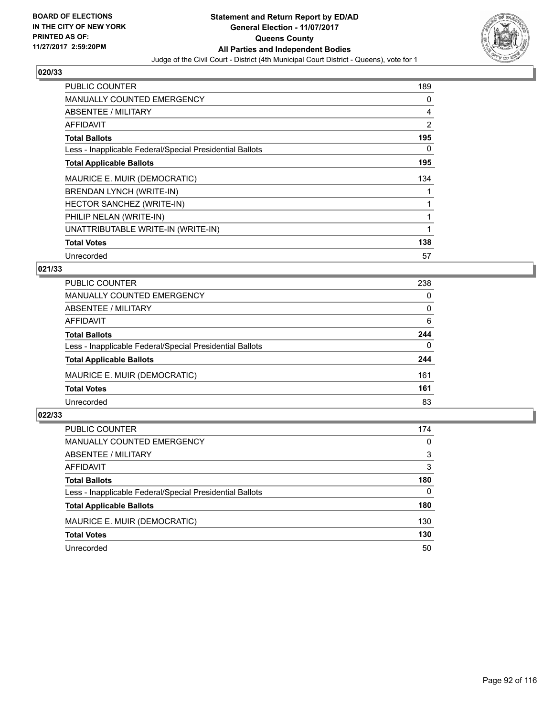

| <b>PUBLIC COUNTER</b>                                    | 189 |
|----------------------------------------------------------|-----|
| <b>MANUALLY COUNTED EMERGENCY</b>                        | 0   |
| ABSENTEE / MILITARY                                      | 4   |
| AFFIDAVIT                                                | 2   |
| <b>Total Ballots</b>                                     | 195 |
| Less - Inapplicable Federal/Special Presidential Ballots | 0   |
| <b>Total Applicable Ballots</b>                          | 195 |
| MAURICE E. MUIR (DEMOCRATIC)                             | 134 |
| BRENDAN LYNCH (WRITE-IN)                                 |     |
| HECTOR SANCHEZ (WRITE-IN)                                |     |
| PHILIP NELAN (WRITE-IN)                                  |     |
| UNATTRIBUTABLE WRITE-IN (WRITE-IN)                       |     |
| <b>Total Votes</b>                                       | 138 |
| Unrecorded                                               | 57  |

# **021/33**

| <b>PUBLIC COUNTER</b>                                    | 238      |
|----------------------------------------------------------|----------|
| MANUALLY COUNTED EMERGENCY                               | 0        |
| ABSENTEE / MILITARY                                      | 0        |
| AFFIDAVIT                                                | 6        |
| <b>Total Ballots</b>                                     | 244      |
| Less - Inapplicable Federal/Special Presidential Ballots | $\Omega$ |
| <b>Total Applicable Ballots</b>                          | 244      |
| MAURICE E. MUIR (DEMOCRATIC)                             | 161      |
| <b>Total Votes</b>                                       | 161      |
| Unrecorded                                               | 83       |

| <b>PUBLIC COUNTER</b>                                    | 174 |
|----------------------------------------------------------|-----|
| MANUALLY COUNTED EMERGENCY                               | 0   |
| ABSENTEE / MILITARY                                      | 3   |
| AFFIDAVIT                                                | 3   |
| <b>Total Ballots</b>                                     | 180 |
| Less - Inapplicable Federal/Special Presidential Ballots | 0   |
| <b>Total Applicable Ballots</b>                          | 180 |
| MAURICE E. MUIR (DEMOCRATIC)                             | 130 |
| <b>Total Votes</b>                                       | 130 |
| Unrecorded                                               | 50  |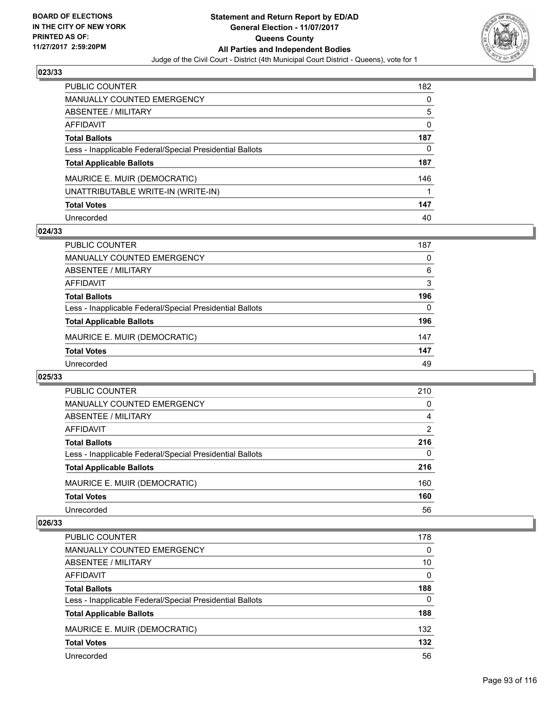

| PUBLIC COUNTER                                           | 182 |
|----------------------------------------------------------|-----|
| <b>MANUALLY COUNTED EMERGENCY</b>                        | 0   |
| <b>ABSENTEE / MILITARY</b>                               | 5   |
| AFFIDAVIT                                                | 0   |
| <b>Total Ballots</b>                                     | 187 |
| Less - Inapplicable Federal/Special Presidential Ballots | 0   |
| <b>Total Applicable Ballots</b>                          | 187 |
| MAURICE E. MUIR (DEMOCRATIC)                             | 146 |
| UNATTRIBUTABLE WRITE-IN (WRITE-IN)                       |     |
| <b>Total Votes</b>                                       | 147 |
| Unrecorded                                               | 40  |

### **024/33**

| <b>PUBLIC COUNTER</b>                                    | 187 |
|----------------------------------------------------------|-----|
| MANUALLY COUNTED EMERGENCY                               | 0   |
| ABSENTEE / MILITARY                                      | 6   |
| AFFIDAVIT                                                | 3   |
| <b>Total Ballots</b>                                     | 196 |
| Less - Inapplicable Federal/Special Presidential Ballots | 0   |
| <b>Total Applicable Ballots</b>                          | 196 |
| MAURICE E. MUIR (DEMOCRATIC)                             | 147 |
| <b>Total Votes</b>                                       | 147 |
| Unrecorded                                               | 49  |

### **025/33**

| <b>PUBLIC COUNTER</b>                                    | 210            |
|----------------------------------------------------------|----------------|
| MANUALLY COUNTED EMERGENCY                               | 0              |
| ABSENTEE / MILITARY                                      | 4              |
| AFFIDAVIT                                                | $\overline{2}$ |
| <b>Total Ballots</b>                                     | 216            |
| Less - Inapplicable Federal/Special Presidential Ballots | 0              |
| <b>Total Applicable Ballots</b>                          | 216            |
| MAURICE E. MUIR (DEMOCRATIC)                             | 160            |
| <b>Total Votes</b>                                       | 160            |
| Unrecorded                                               | 56             |

| PUBLIC COUNTER                                           | 178 |
|----------------------------------------------------------|-----|
| MANUALLY COUNTED EMERGENCY                               | 0   |
| ABSENTEE / MILITARY                                      | 10  |
| AFFIDAVIT                                                | 0   |
| <b>Total Ballots</b>                                     | 188 |
| Less - Inapplicable Federal/Special Presidential Ballots | 0   |
| <b>Total Applicable Ballots</b>                          | 188 |
| MAURICE E. MUIR (DEMOCRATIC)                             | 132 |
| <b>Total Votes</b>                                       | 132 |
| Unrecorded                                               | 56  |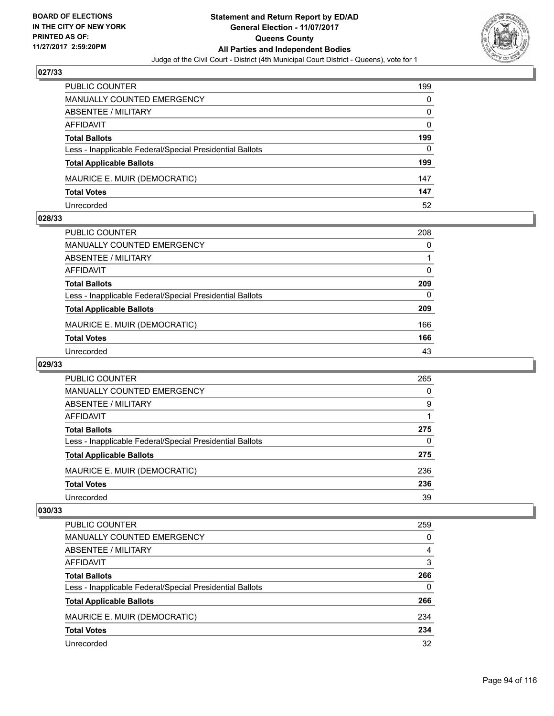

| PUBLIC COUNTER                                           | 199 |
|----------------------------------------------------------|-----|
| MANUALLY COUNTED EMERGENCY                               | 0   |
| <b>ABSENTEE / MILITARY</b>                               | 0   |
| AFFIDAVIT                                                | 0   |
| <b>Total Ballots</b>                                     | 199 |
| Less - Inapplicable Federal/Special Presidential Ballots | 0   |
| <b>Total Applicable Ballots</b>                          | 199 |
| MAURICE E. MUIR (DEMOCRATIC)                             | 147 |
| <b>Total Votes</b>                                       | 147 |
| Unrecorded                                               | 52  |

### **028/33**

| PUBLIC COUNTER                                           | 208      |
|----------------------------------------------------------|----------|
| <b>MANUALLY COUNTED EMERGENCY</b>                        | 0        |
| <b>ABSENTEE / MILITARY</b>                               |          |
| <b>AFFIDAVIT</b>                                         | 0        |
| <b>Total Ballots</b>                                     | 209      |
| Less - Inapplicable Federal/Special Presidential Ballots | $\Omega$ |
| <b>Total Applicable Ballots</b>                          | 209      |
| MAURICE E. MUIR (DEMOCRATIC)                             | 166      |
| <b>Total Votes</b>                                       | 166      |
| Unrecorded                                               | 43       |
|                                                          |          |

# **029/33**

| <b>PUBLIC COUNTER</b>                                    | 265      |
|----------------------------------------------------------|----------|
| <b>MANUALLY COUNTED EMERGENCY</b>                        | 0        |
| ABSENTEE / MILITARY                                      | 9        |
| AFFIDAVIT                                                |          |
| <b>Total Ballots</b>                                     | 275      |
| Less - Inapplicable Federal/Special Presidential Ballots | $\Omega$ |
| <b>Total Applicable Ballots</b>                          | 275      |
| MAURICE E. MUIR (DEMOCRATIC)                             | 236      |
| <b>Total Votes</b>                                       | 236      |
| Unrecorded                                               | 39       |

| <b>PUBLIC COUNTER</b>                                    | 259 |
|----------------------------------------------------------|-----|
| <b>MANUALLY COUNTED EMERGENCY</b>                        | 0   |
| <b>ABSENTEE / MILITARY</b>                               | 4   |
| AFFIDAVIT                                                | 3   |
| <b>Total Ballots</b>                                     | 266 |
| Less - Inapplicable Federal/Special Presidential Ballots | 0   |
| <b>Total Applicable Ballots</b>                          | 266 |
| MAURICE E. MUIR (DEMOCRATIC)                             | 234 |
| <b>Total Votes</b>                                       | 234 |
| Unrecorded                                               | 32  |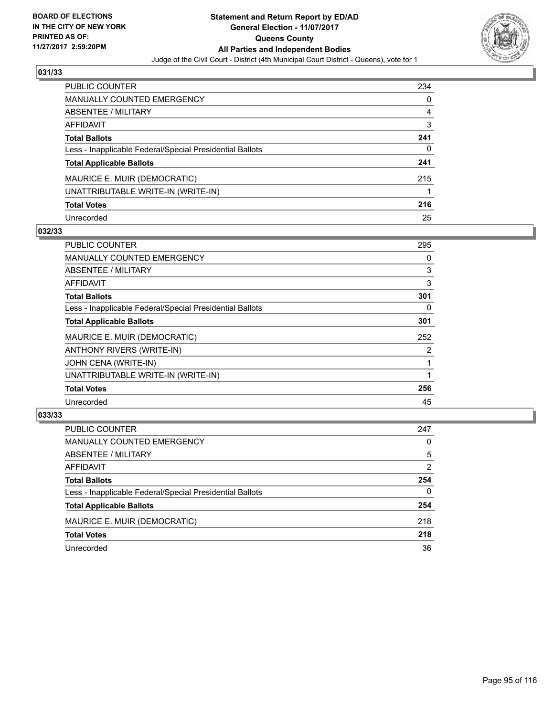

| <b>PUBLIC COUNTER</b>                                    | 234 |
|----------------------------------------------------------|-----|
| <b>MANUALLY COUNTED EMERGENCY</b>                        | 0   |
| ABSENTEE / MILITARY                                      | 4   |
| AFFIDAVIT                                                | 3   |
| <b>Total Ballots</b>                                     | 241 |
| Less - Inapplicable Federal/Special Presidential Ballots | 0   |
| <b>Total Applicable Ballots</b>                          | 241 |
| MAURICE E. MUIR (DEMOCRATIC)                             | 215 |
| UNATTRIBUTABLE WRITE-IN (WRITE-IN)                       |     |
| <b>Total Votes</b>                                       | 216 |
| Unrecorded                                               | 25  |

# **032/33**

| PUBLIC COUNTER                                           | 295 |
|----------------------------------------------------------|-----|
| <b>MANUALLY COUNTED EMERGENCY</b>                        | 0   |
| ABSENTEE / MILITARY                                      | 3   |
| <b>AFFIDAVIT</b>                                         | 3   |
| <b>Total Ballots</b>                                     | 301 |
| Less - Inapplicable Federal/Special Presidential Ballots | 0   |
| <b>Total Applicable Ballots</b>                          | 301 |
| MAURICE E. MUIR (DEMOCRATIC)                             | 252 |
| ANTHONY RIVERS (WRITE-IN)                                | 2   |
| JOHN CENA (WRITE-IN)                                     |     |
| UNATTRIBUTABLE WRITE-IN (WRITE-IN)                       |     |
| <b>Total Votes</b>                                       | 256 |
| Unrecorded                                               | 45  |

| <b>PUBLIC COUNTER</b>                                    | 247 |
|----------------------------------------------------------|-----|
| <b>MANUALLY COUNTED EMERGENCY</b>                        | 0   |
| ABSENTEE / MILITARY                                      | 5   |
| AFFIDAVIT                                                | 2   |
| <b>Total Ballots</b>                                     | 254 |
| Less - Inapplicable Federal/Special Presidential Ballots | 0   |
| <b>Total Applicable Ballots</b>                          | 254 |
| MAURICE E. MUIR (DEMOCRATIC)                             | 218 |
| <b>Total Votes</b>                                       | 218 |
| Unrecorded                                               | 36  |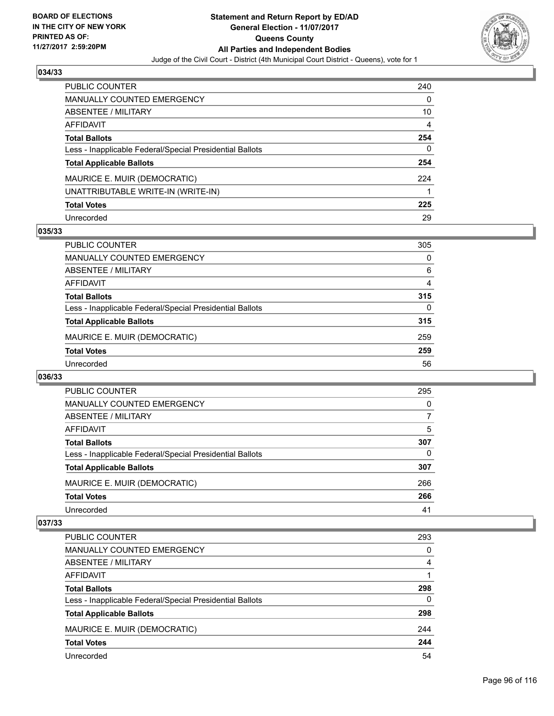

| <b>PUBLIC COUNTER</b>                                    | 240 |
|----------------------------------------------------------|-----|
| <b>MANUALLY COUNTED EMERGENCY</b>                        | 0   |
| ABSENTEE / MILITARY                                      | 10  |
| <b>AFFIDAVIT</b>                                         | 4   |
| <b>Total Ballots</b>                                     | 254 |
| Less - Inapplicable Federal/Special Presidential Ballots | 0   |
| <b>Total Applicable Ballots</b>                          | 254 |
| MAURICE E. MUIR (DEMOCRATIC)                             | 224 |
| UNATTRIBUTABLE WRITE-IN (WRITE-IN)                       |     |
| <b>Total Votes</b>                                       | 225 |
| Unrecorded                                               | 29  |

### **035/33**

| <b>PUBLIC COUNTER</b>                                    | 305 |
|----------------------------------------------------------|-----|
| <b>MANUALLY COUNTED EMERGENCY</b>                        | 0   |
| ABSENTEE / MILITARY                                      | 6   |
| AFFIDAVIT                                                | 4   |
| <b>Total Ballots</b>                                     | 315 |
| Less - Inapplicable Federal/Special Presidential Ballots | 0   |
| <b>Total Applicable Ballots</b>                          | 315 |
| MAURICE E. MUIR (DEMOCRATIC)                             | 259 |
| <b>Total Votes</b>                                       | 259 |
| Unrecorded                                               | 56  |

### **036/33**

| PUBLIC COUNTER                                           | 295 |
|----------------------------------------------------------|-----|
| <b>MANUALLY COUNTED EMERGENCY</b>                        | 0   |
| <b>ABSENTEE / MILITARY</b>                               |     |
| AFFIDAVIT                                                | 5   |
| <b>Total Ballots</b>                                     | 307 |
| Less - Inapplicable Federal/Special Presidential Ballots | 0   |
| <b>Total Applicable Ballots</b>                          | 307 |
| MAURICE E. MUIR (DEMOCRATIC)                             | 266 |
| <b>Total Votes</b>                                       | 266 |
| Unrecorded                                               | 41  |

| PUBLIC COUNTER                                           | 293 |
|----------------------------------------------------------|-----|
| MANUALLY COUNTED EMERGENCY                               | 0   |
| ABSENTEE / MILITARY                                      | 4   |
| AFFIDAVIT                                                |     |
| <b>Total Ballots</b>                                     | 298 |
| Less - Inapplicable Federal/Special Presidential Ballots | 0   |
| <b>Total Applicable Ballots</b>                          | 298 |
| MAURICE E. MUIR (DEMOCRATIC)                             | 244 |
| <b>Total Votes</b>                                       | 244 |
| Unrecorded                                               | 54  |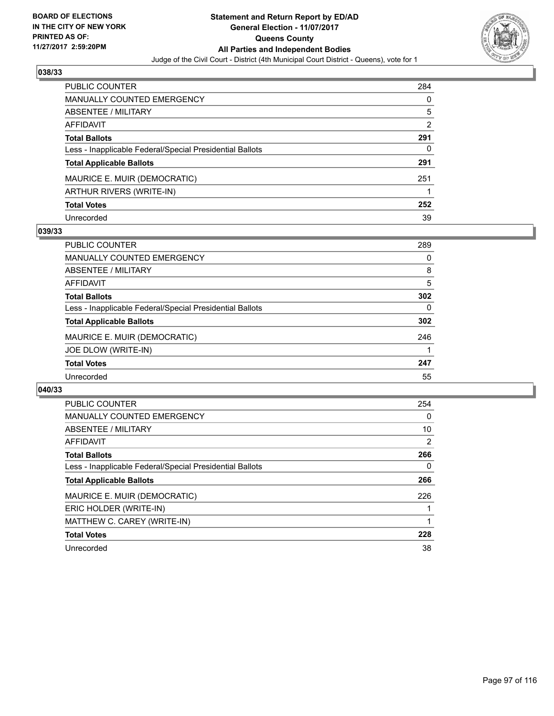

| <b>PUBLIC COUNTER</b>                                    | 284 |
|----------------------------------------------------------|-----|
| <b>MANUALLY COUNTED EMERGENCY</b>                        | 0   |
| ABSENTEE / MILITARY                                      | 5   |
| <b>AFFIDAVIT</b>                                         | 2   |
| <b>Total Ballots</b>                                     | 291 |
| Less - Inapplicable Federal/Special Presidential Ballots | 0   |
| <b>Total Applicable Ballots</b>                          | 291 |
| MAURICE E. MUIR (DEMOCRATIC)                             | 251 |
| ARTHUR RIVERS (WRITE-IN)                                 |     |
| <b>Total Votes</b>                                       | 252 |
| Unrecorded                                               | 39  |

### **039/33**

| <b>PUBLIC COUNTER</b>                                    | 289 |
|----------------------------------------------------------|-----|
| <b>MANUALLY COUNTED EMERGENCY</b>                        | 0   |
| ABSENTEE / MILITARY                                      | 8   |
| AFFIDAVIT                                                | 5   |
| <b>Total Ballots</b>                                     | 302 |
| Less - Inapplicable Federal/Special Presidential Ballots | 0   |
| <b>Total Applicable Ballots</b>                          | 302 |
| MAURICE E. MUIR (DEMOCRATIC)                             | 246 |
| JOE DLOW (WRITE-IN)                                      |     |
| <b>Total Votes</b>                                       | 247 |
| Unrecorded                                               | 55  |

| <b>PUBLIC COUNTER</b>                                    | 254 |
|----------------------------------------------------------|-----|
| <b>MANUALLY COUNTED EMERGENCY</b>                        | 0   |
| ABSENTEE / MILITARY                                      | 10  |
| AFFIDAVIT                                                | 2   |
| <b>Total Ballots</b>                                     | 266 |
| Less - Inapplicable Federal/Special Presidential Ballots | 0   |
| <b>Total Applicable Ballots</b>                          | 266 |
| MAURICE E. MUIR (DEMOCRATIC)                             | 226 |
| ERIC HOLDER (WRITE-IN)                                   |     |
| MATTHEW C. CAREY (WRITE-IN)                              |     |
| <b>Total Votes</b>                                       | 228 |
| Unrecorded                                               | 38  |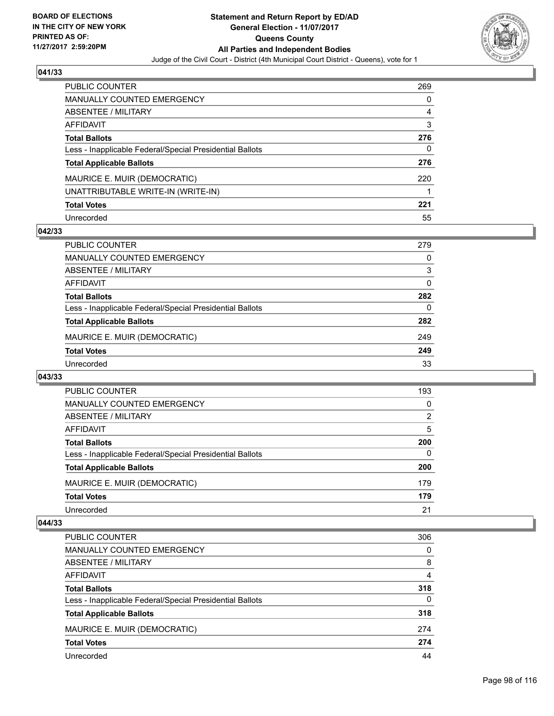

| <b>PUBLIC COUNTER</b>                                    | 269 |
|----------------------------------------------------------|-----|
| <b>MANUALLY COUNTED EMERGENCY</b>                        | 0   |
| ABSENTEE / MILITARY                                      | 4   |
| <b>AFFIDAVIT</b>                                         | 3   |
| <b>Total Ballots</b>                                     | 276 |
| Less - Inapplicable Federal/Special Presidential Ballots | 0   |
| <b>Total Applicable Ballots</b>                          | 276 |
| MAURICE E. MUIR (DEMOCRATIC)                             | 220 |
| UNATTRIBUTABLE WRITE-IN (WRITE-IN)                       |     |
| <b>Total Votes</b>                                       | 221 |
| Unrecorded                                               | 55  |

### **042/33**

| <b>PUBLIC COUNTER</b>                                    | 279      |
|----------------------------------------------------------|----------|
| MANUALLY COUNTED EMERGENCY                               | 0        |
| ABSENTEE / MILITARY                                      | 3        |
| AFFIDAVIT                                                | 0        |
| <b>Total Ballots</b>                                     | 282      |
| Less - Inapplicable Federal/Special Presidential Ballots | $\Omega$ |
| <b>Total Applicable Ballots</b>                          | 282      |
| MAURICE E. MUIR (DEMOCRATIC)                             | 249      |
| <b>Total Votes</b>                                       | 249      |
| Unrecorded                                               | 33       |

### **043/33**

| PUBLIC COUNTER                                           | 193 |
|----------------------------------------------------------|-----|
| MANUALLY COUNTED EMERGENCY                               | 0   |
| <b>ABSENTEE / MILITARY</b>                               | 2   |
| AFFIDAVIT                                                | 5   |
| <b>Total Ballots</b>                                     | 200 |
| Less - Inapplicable Federal/Special Presidential Ballots | 0   |
| <b>Total Applicable Ballots</b>                          | 200 |
| MAURICE E. MUIR (DEMOCRATIC)                             | 179 |
| <b>Total Votes</b>                                       | 179 |
| Unrecorded                                               | 21  |

| PUBLIC COUNTER                                           | 306      |
|----------------------------------------------------------|----------|
| <b>MANUALLY COUNTED EMERGENCY</b>                        | 0        |
| <b>ABSENTEE / MILITARY</b>                               | 8        |
| AFFIDAVIT                                                | 4        |
| <b>Total Ballots</b>                                     | 318      |
| Less - Inapplicable Federal/Special Presidential Ballots | $\Omega$ |
| <b>Total Applicable Ballots</b>                          | 318      |
| MAURICE E. MUIR (DEMOCRATIC)                             | 274      |
| <b>Total Votes</b>                                       | 274      |
| Unrecorded                                               | 44       |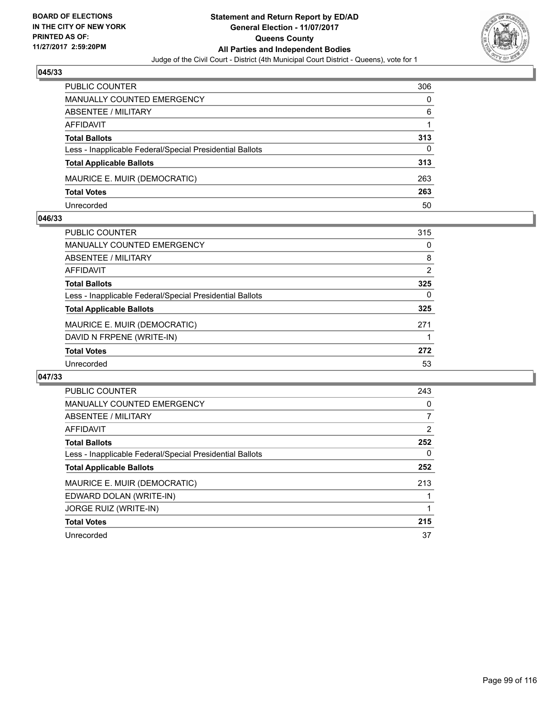

| PUBLIC COUNTER                                           | 306 |
|----------------------------------------------------------|-----|
| <b>MANUALLY COUNTED EMERGENCY</b>                        | 0   |
| ABSENTEE / MILITARY                                      | 6   |
| AFFIDAVIT                                                |     |
| <b>Total Ballots</b>                                     | 313 |
| Less - Inapplicable Federal/Special Presidential Ballots | 0   |
| <b>Total Applicable Ballots</b>                          | 313 |
| MAURICE E. MUIR (DEMOCRATIC)                             | 263 |
| <b>Total Votes</b>                                       | 263 |
| Unrecorded                                               | 50  |

### **046/33**

| PUBLIC COUNTER                                           | 315 |
|----------------------------------------------------------|-----|
| MANUALLY COUNTED EMERGENCY                               | 0   |
| ABSENTEE / MILITARY                                      | 8   |
| AFFIDAVIT                                                | 2   |
| <b>Total Ballots</b>                                     | 325 |
| Less - Inapplicable Federal/Special Presidential Ballots | 0   |
| <b>Total Applicable Ballots</b>                          | 325 |
| MAURICE E. MUIR (DEMOCRATIC)                             | 271 |
| DAVID N FRPENE (WRITE-IN)                                |     |
| <b>Total Votes</b>                                       | 272 |
| Unrecorded                                               | 53  |
|                                                          |     |

| <b>PUBLIC COUNTER</b>                                    | 243 |
|----------------------------------------------------------|-----|
| <b>MANUALLY COUNTED EMERGENCY</b>                        | 0   |
| ABSENTEE / MILITARY                                      | 7   |
| <b>AFFIDAVIT</b>                                         | 2   |
| <b>Total Ballots</b>                                     | 252 |
| Less - Inapplicable Federal/Special Presidential Ballots | 0   |
| <b>Total Applicable Ballots</b>                          | 252 |
| MAURICE E. MUIR (DEMOCRATIC)                             | 213 |
| EDWARD DOLAN (WRITE-IN)                                  |     |
| <b>JORGE RUIZ (WRITE-IN)</b>                             |     |
| <b>Total Votes</b>                                       | 215 |
| Unrecorded                                               | 37  |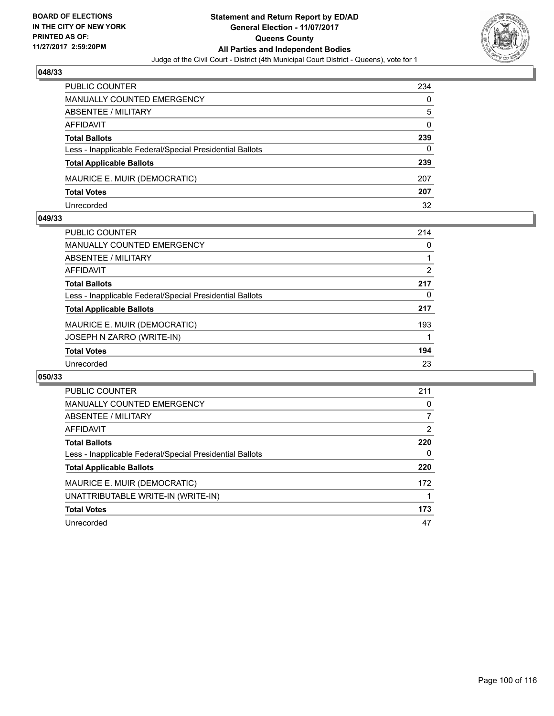

| PUBLIC COUNTER                                           | 234 |
|----------------------------------------------------------|-----|
| <b>MANUALLY COUNTED EMERGENCY</b>                        | 0   |
| ABSENTEE / MILITARY                                      | 5   |
| AFFIDAVIT                                                | 0   |
| <b>Total Ballots</b>                                     | 239 |
| Less - Inapplicable Federal/Special Presidential Ballots | 0   |
| <b>Total Applicable Ballots</b>                          | 239 |
| MAURICE E. MUIR (DEMOCRATIC)                             | 207 |
| <b>Total Votes</b>                                       | 207 |
| Unrecorded                                               | 32  |

### **049/33**

| <b>PUBLIC COUNTER</b>                                    | 214            |
|----------------------------------------------------------|----------------|
| <b>MANUALLY COUNTED EMERGENCY</b>                        | 0              |
| ABSENTEE / MILITARY                                      |                |
| AFFIDAVIT                                                | $\overline{2}$ |
| <b>Total Ballots</b>                                     | 217            |
| Less - Inapplicable Federal/Special Presidential Ballots | 0              |
| <b>Total Applicable Ballots</b>                          | 217            |
| MAURICE E. MUIR (DEMOCRATIC)                             | 193            |
| JOSEPH N ZARRO (WRITE-IN)                                |                |
| <b>Total Votes</b>                                       | 194            |
| Unrecorded                                               | 23             |
|                                                          |                |

| <b>PUBLIC COUNTER</b>                                    | 211 |
|----------------------------------------------------------|-----|
| <b>MANUALLY COUNTED EMERGENCY</b>                        | 0   |
| ABSENTEE / MILITARY                                      |     |
| AFFIDAVIT                                                | 2   |
| <b>Total Ballots</b>                                     | 220 |
| Less - Inapplicable Federal/Special Presidential Ballots | 0   |
| <b>Total Applicable Ballots</b>                          | 220 |
| MAURICE E. MUIR (DEMOCRATIC)                             | 172 |
| UNATTRIBUTABLE WRITE-IN (WRITE-IN)                       |     |
| <b>Total Votes</b>                                       | 173 |
| Unrecorded                                               | 47  |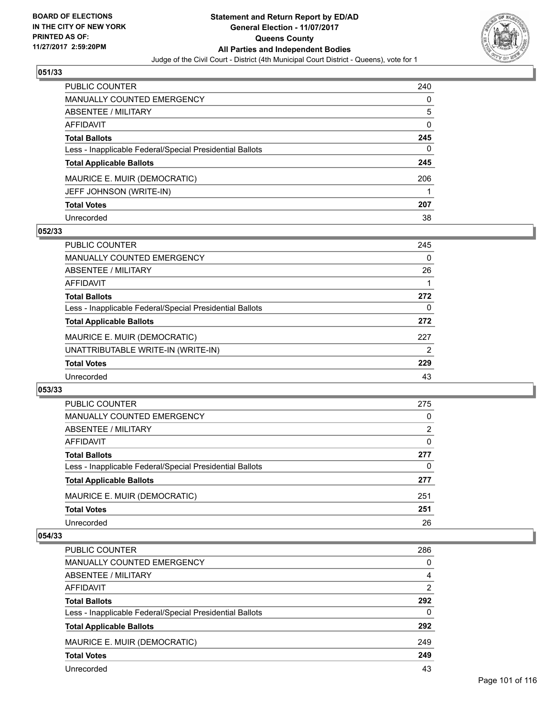

| <b>PUBLIC COUNTER</b>                                    | 240 |
|----------------------------------------------------------|-----|
| MANUALLY COUNTED EMERGENCY                               | 0   |
| <b>ABSENTEE / MILITARY</b>                               | 5   |
| <b>AFFIDAVIT</b>                                         | 0   |
| <b>Total Ballots</b>                                     | 245 |
| Less - Inapplicable Federal/Special Presidential Ballots | 0   |
| <b>Total Applicable Ballots</b>                          | 245 |
| MAURICE E. MUIR (DEMOCRATIC)                             | 206 |
| JEFF JOHNSON (WRITE-IN)                                  |     |
| <b>Total Votes</b>                                       | 207 |
| Unrecorded                                               | 38  |

### **052/33**

| <b>PUBLIC COUNTER</b>                                    | 245 |
|----------------------------------------------------------|-----|
| <b>MANUALLY COUNTED EMERGENCY</b>                        | 0   |
| ABSENTEE / MILITARY                                      | 26  |
| AFFIDAVIT                                                |     |
| <b>Total Ballots</b>                                     | 272 |
| Less - Inapplicable Federal/Special Presidential Ballots | 0   |
| <b>Total Applicable Ballots</b>                          | 272 |
| MAURICE E. MUIR (DEMOCRATIC)                             | 227 |
| UNATTRIBUTABLE WRITE-IN (WRITE-IN)                       | 2   |
| <b>Total Votes</b>                                       | 229 |
| Unrecorded                                               | 43  |

#### **053/33**

| PUBLIC COUNTER                                           | 275 |
|----------------------------------------------------------|-----|
| <b>MANUALLY COUNTED EMERGENCY</b>                        | 0   |
| ABSENTEE / MILITARY                                      | 2   |
| AFFIDAVIT                                                | 0   |
| <b>Total Ballots</b>                                     | 277 |
| Less - Inapplicable Federal/Special Presidential Ballots | 0   |
| <b>Total Applicable Ballots</b>                          | 277 |
| MAURICE E. MUIR (DEMOCRATIC)                             | 251 |
| <b>Total Votes</b>                                       | 251 |
| Unrecorded                                               | 26  |
|                                                          |     |

| <b>PUBLIC COUNTER</b>                                    | 286            |
|----------------------------------------------------------|----------------|
| MANUALLY COUNTED EMERGENCY                               | 0              |
| ABSENTEE / MILITARY                                      | 4              |
| AFFIDAVIT                                                | $\overline{2}$ |
| <b>Total Ballots</b>                                     | 292            |
| Less - Inapplicable Federal/Special Presidential Ballots | 0              |
| <b>Total Applicable Ballots</b>                          | 292            |
| MAURICE E. MUIR (DEMOCRATIC)                             | 249            |
| <b>Total Votes</b>                                       | 249            |
| Unrecorded                                               | 43             |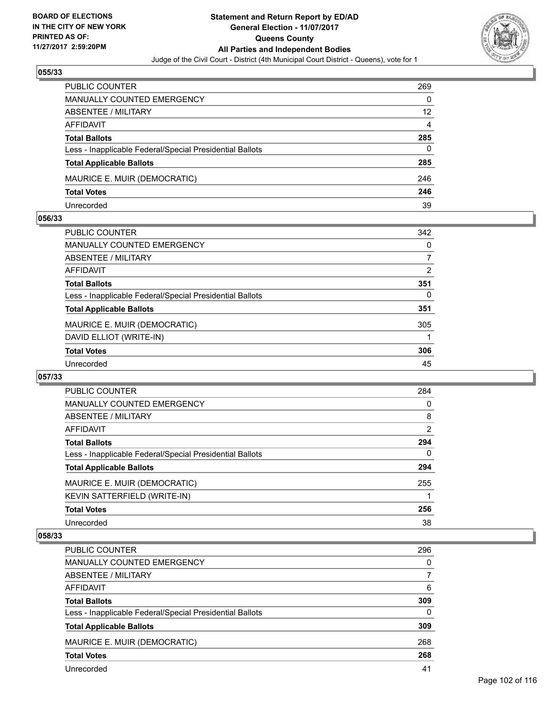

| <b>PUBLIC COUNTER</b>                                    | 269 |
|----------------------------------------------------------|-----|
| <b>MANUALLY COUNTED EMERGENCY</b>                        | 0   |
| ABSENTEE / MILITARY                                      | 12  |
| AFFIDAVIT                                                | 4   |
| <b>Total Ballots</b>                                     | 285 |
| Less - Inapplicable Federal/Special Presidential Ballots | 0   |
| <b>Total Applicable Ballots</b>                          | 285 |
| MAURICE E. MUIR (DEMOCRATIC)                             | 246 |
| <b>Total Votes</b>                                       | 246 |
| Unrecorded                                               | 39  |

### **056/33**

| PUBLIC COUNTER                                           | 342 |
|----------------------------------------------------------|-----|
| MANUALLY COUNTED EMERGENCY                               | 0   |
| ABSENTEE / MILITARY                                      | 7   |
| AFFIDAVIT                                                | 2   |
| <b>Total Ballots</b>                                     | 351 |
| Less - Inapplicable Federal/Special Presidential Ballots | 0   |
| <b>Total Applicable Ballots</b>                          | 351 |
| MAURICE E. MUIR (DEMOCRATIC)                             | 305 |
| DAVID ELLIOT (WRITE-IN)                                  |     |
| <b>Total Votes</b>                                       | 306 |
| Unrecorded                                               | 45  |
|                                                          |     |

### **057/33**

| <b>PUBLIC COUNTER</b>                                    | 284 |
|----------------------------------------------------------|-----|
| <b>MANUALLY COUNTED EMERGENCY</b>                        | 0   |
| ABSENTEE / MILITARY                                      | 8   |
| <b>AFFIDAVIT</b>                                         | 2   |
| <b>Total Ballots</b>                                     | 294 |
| Less - Inapplicable Federal/Special Presidential Ballots | 0   |
| <b>Total Applicable Ballots</b>                          | 294 |
| MAURICE E. MUIR (DEMOCRATIC)                             | 255 |
| KEVIN SATTERFIELD (WRITE-IN)                             |     |
| <b>Total Votes</b>                                       | 256 |
| Unrecorded                                               | 38  |

| <b>PUBLIC COUNTER</b>                                    | 296 |
|----------------------------------------------------------|-----|
| MANUALLY COUNTED EMERGENCY                               | 0   |
| ABSENTEE / MILITARY                                      |     |
| AFFIDAVIT                                                | 6   |
| <b>Total Ballots</b>                                     | 309 |
| Less - Inapplicable Federal/Special Presidential Ballots | 0   |
| <b>Total Applicable Ballots</b>                          | 309 |
| MAURICE E. MUIR (DEMOCRATIC)                             | 268 |
| <b>Total Votes</b>                                       | 268 |
| Unrecorded                                               | 41  |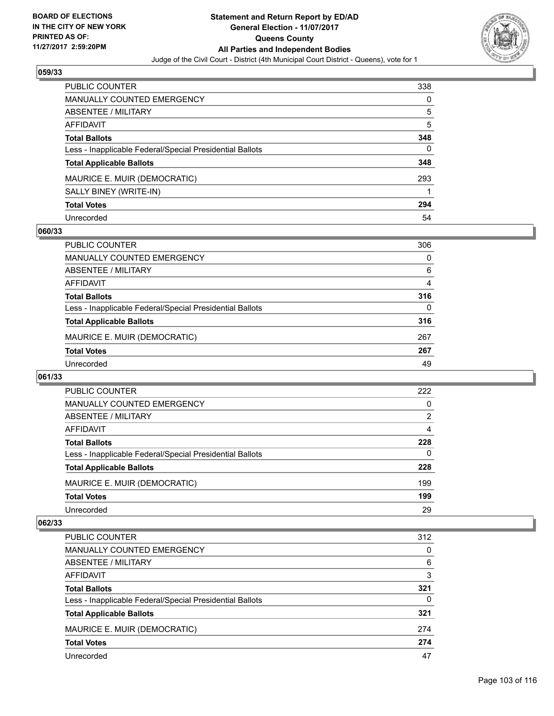

| <b>PUBLIC COUNTER</b>                                    | 338 |
|----------------------------------------------------------|-----|
| <b>MANUALLY COUNTED EMERGENCY</b>                        | 0   |
| <b>ABSENTEE / MILITARY</b>                               | 5   |
| AFFIDAVIT                                                | 5   |
| <b>Total Ballots</b>                                     | 348 |
| Less - Inapplicable Federal/Special Presidential Ballots | 0   |
| <b>Total Applicable Ballots</b>                          | 348 |
| MAURICE E. MUIR (DEMOCRATIC)                             | 293 |
| SALLY BINEY (WRITE-IN)                                   |     |
| <b>Total Votes</b>                                       | 294 |
| Unrecorded                                               | 54  |

### **060/33**

| <b>PUBLIC COUNTER</b>                                    | 306      |
|----------------------------------------------------------|----------|
| MANUALLY COUNTED EMERGENCY                               | 0        |
| ABSENTEE / MILITARY                                      | 6        |
| AFFIDAVIT                                                | 4        |
| <b>Total Ballots</b>                                     | 316      |
| Less - Inapplicable Federal/Special Presidential Ballots | $\Omega$ |
| <b>Total Applicable Ballots</b>                          | 316      |
| MAURICE E. MUIR (DEMOCRATIC)                             | 267      |
| <b>Total Votes</b>                                       | 267      |
| Unrecorded                                               | 49       |

### **061/33**

| <b>PUBLIC COUNTER</b>                                    | 222      |
|----------------------------------------------------------|----------|
| <b>MANUALLY COUNTED EMERGENCY</b>                        | $\Omega$ |
| ABSENTEE / MILITARY                                      | 2        |
| AFFIDAVIT                                                | 4        |
| <b>Total Ballots</b>                                     | 228      |
| Less - Inapplicable Federal/Special Presidential Ballots | 0        |
| <b>Total Applicable Ballots</b>                          | 228      |
| MAURICE E. MUIR (DEMOCRATIC)                             | 199      |
| <b>Total Votes</b>                                       | 199      |
| Unrecorded                                               | 29       |

| PUBLIC COUNTER                                           | 312      |
|----------------------------------------------------------|----------|
| MANUALLY COUNTED EMERGENCY                               | 0        |
| ABSENTEE / MILITARY                                      | 6        |
| AFFIDAVIT                                                | 3        |
| <b>Total Ballots</b>                                     | 321      |
| Less - Inapplicable Federal/Special Presidential Ballots | $\Omega$ |
| <b>Total Applicable Ballots</b>                          | 321      |
| MAURICE E. MUIR (DEMOCRATIC)                             | 274      |
| <b>Total Votes</b>                                       | 274      |
| Unrecorded                                               | 47       |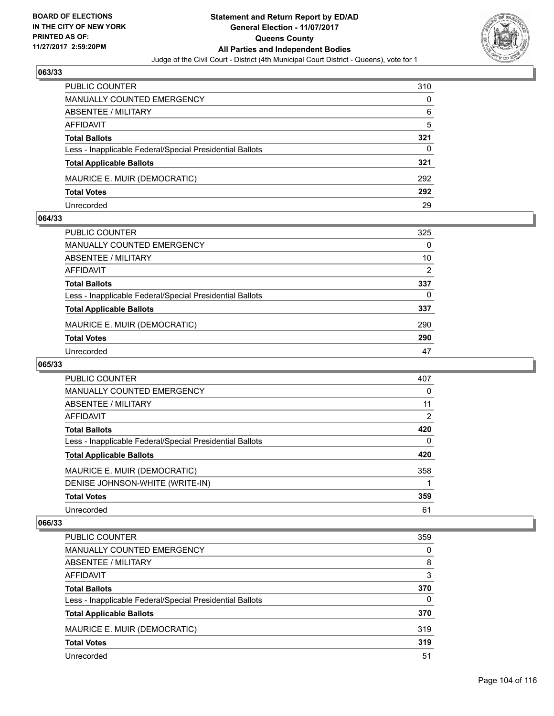

| <b>PUBLIC COUNTER</b>                                    | 310 |
|----------------------------------------------------------|-----|
| <b>MANUALLY COUNTED EMERGENCY</b>                        | 0   |
| ABSENTEE / MILITARY                                      | 6   |
| AFFIDAVIT                                                | 5   |
| <b>Total Ballots</b>                                     | 321 |
| Less - Inapplicable Federal/Special Presidential Ballots | 0   |
| <b>Total Applicable Ballots</b>                          | 321 |
| MAURICE E. MUIR (DEMOCRATIC)                             | 292 |
| <b>Total Votes</b>                                       | 292 |
| Unrecorded                                               | 29  |

### **064/33**

| PUBLIC COUNTER                                           | 325      |
|----------------------------------------------------------|----------|
|                                                          |          |
| MANUALLY COUNTED EMERGENCY                               | $\Omega$ |
| ABSENTEE / MILITARY                                      | 10       |
| AFFIDAVIT                                                | 2        |
| <b>Total Ballots</b>                                     | 337      |
| Less - Inapplicable Federal/Special Presidential Ballots | 0        |
| <b>Total Applicable Ballots</b>                          | 337      |
| MAURICE E. MUIR (DEMOCRATIC)                             | 290      |
| <b>Total Votes</b>                                       | 290      |
| Unrecorded                                               | 47       |

# **065/33**

| <b>PUBLIC COUNTER</b>                                    | 407      |
|----------------------------------------------------------|----------|
| MANUALLY COUNTED EMERGENCY                               | 0        |
| ABSENTEE / MILITARY                                      | 11       |
| <b>AFFIDAVIT</b>                                         | 2        |
| <b>Total Ballots</b>                                     | 420      |
| Less - Inapplicable Federal/Special Presidential Ballots | $\Omega$ |
| <b>Total Applicable Ballots</b>                          | 420      |
| MAURICE E. MUIR (DEMOCRATIC)                             | 358      |
| DENISE JOHNSON-WHITE (WRITE-IN)                          |          |
| <b>Total Votes</b>                                       | 359      |
| Unrecorded                                               | 61       |

| <b>PUBLIC COUNTER</b>                                    | 359      |
|----------------------------------------------------------|----------|
| <b>MANUALLY COUNTED EMERGENCY</b>                        | 0        |
| ABSENTEE / MILITARY                                      | 8        |
| AFFIDAVIT                                                | 3        |
| <b>Total Ballots</b>                                     | 370      |
| Less - Inapplicable Federal/Special Presidential Ballots | $\Omega$ |
| <b>Total Applicable Ballots</b>                          | 370      |
| MAURICE E. MUIR (DEMOCRATIC)                             | 319      |
| <b>Total Votes</b>                                       | 319      |
| Unrecorded                                               | 51       |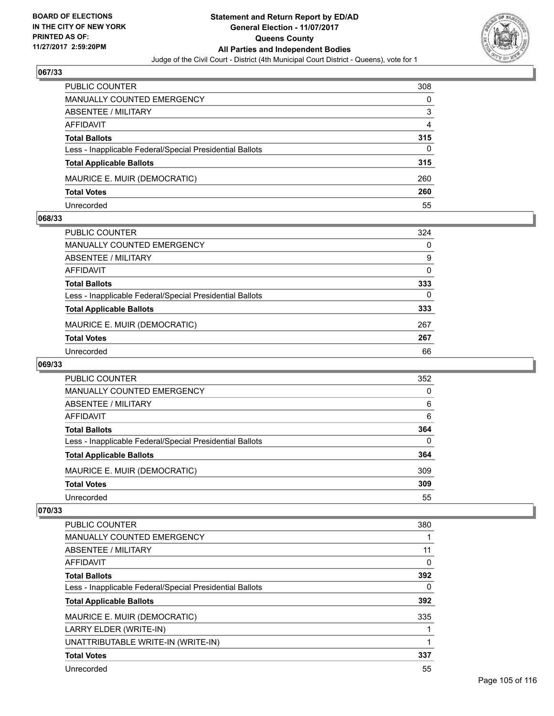

| <b>PUBLIC COUNTER</b>                                    | 308 |
|----------------------------------------------------------|-----|
| MANUALLY COUNTED EMERGENCY                               | 0   |
| ABSENTEE / MILITARY                                      | 3   |
| AFFIDAVIT                                                | 4   |
| <b>Total Ballots</b>                                     | 315 |
| Less - Inapplicable Federal/Special Presidential Ballots | 0   |
| <b>Total Applicable Ballots</b>                          | 315 |
| MAURICE E. MUIR (DEMOCRATIC)                             | 260 |
| <b>Total Votes</b>                                       | 260 |
| Unrecorded                                               | 55  |

### **068/33**

| PUBLIC COUNTER                                           | 324 |
|----------------------------------------------------------|-----|
| <b>MANUALLY COUNTED EMERGENCY</b>                        | 0   |
| ABSENTEE / MILITARY                                      | 9   |
| AFFIDAVIT                                                | 0   |
| <b>Total Ballots</b>                                     | 333 |
| Less - Inapplicable Federal/Special Presidential Ballots | 0   |
| <b>Total Applicable Ballots</b>                          | 333 |
| MAURICE E. MUIR (DEMOCRATIC)                             | 267 |
| <b>Total Votes</b>                                       | 267 |
| Unrecorded                                               | 66  |
|                                                          |     |

# **069/33**

| <b>PUBLIC COUNTER</b>                                    | 352 |
|----------------------------------------------------------|-----|
| MANUALLY COUNTED EMERGENCY                               | 0   |
| ABSENTEE / MILITARY                                      | 6   |
| AFFIDAVIT                                                | 6   |
| <b>Total Ballots</b>                                     | 364 |
| Less - Inapplicable Federal/Special Presidential Ballots | 0   |
| <b>Total Applicable Ballots</b>                          | 364 |
| MAURICE E. MUIR (DEMOCRATIC)                             | 309 |
| <b>Total Votes</b>                                       | 309 |
| Unrecorded                                               | 55  |

| <b>PUBLIC COUNTER</b>                                    | 380 |
|----------------------------------------------------------|-----|
| <b>MANUALLY COUNTED EMERGENCY</b>                        |     |
| ABSENTEE / MILITARY                                      | 11  |
| AFFIDAVIT                                                | 0   |
| <b>Total Ballots</b>                                     | 392 |
| Less - Inapplicable Federal/Special Presidential Ballots | 0   |
| <b>Total Applicable Ballots</b>                          | 392 |
| MAURICE E. MUIR (DEMOCRATIC)                             | 335 |
| LARRY ELDER (WRITE-IN)                                   |     |
| UNATTRIBUTABLE WRITE-IN (WRITE-IN)                       |     |
| <b>Total Votes</b>                                       | 337 |
| Unrecorded                                               | 55  |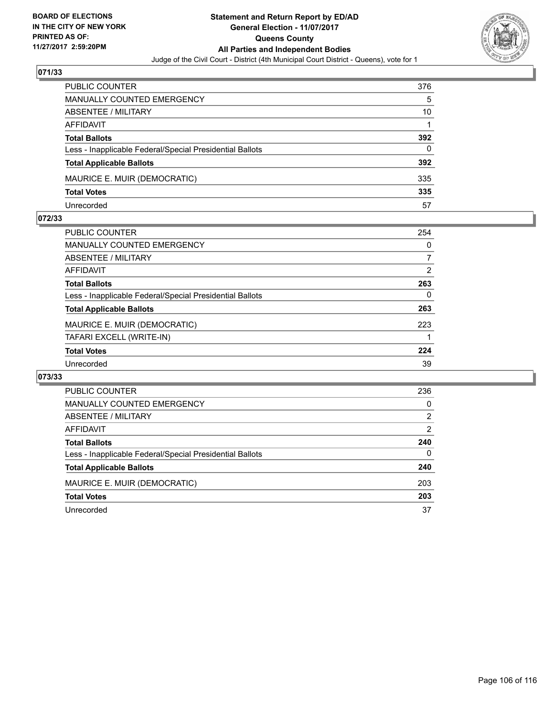

| PUBLIC COUNTER                                           | 376 |
|----------------------------------------------------------|-----|
| <b>MANUALLY COUNTED EMERGENCY</b>                        | 5   |
| ABSENTEE / MILITARY                                      | 10  |
| AFFIDAVIT                                                |     |
| <b>Total Ballots</b>                                     | 392 |
| Less - Inapplicable Federal/Special Presidential Ballots | 0   |
| <b>Total Applicable Ballots</b>                          | 392 |
| MAURICE E. MUIR (DEMOCRATIC)                             | 335 |
| <b>Total Votes</b>                                       | 335 |
| Unrecorded                                               | 57  |

### **072/33**

| PUBLIC COUNTER                                           | 254 |
|----------------------------------------------------------|-----|
| <b>MANUALLY COUNTED EMERGENCY</b>                        | 0   |
| ABSENTEE / MILITARY                                      |     |
| AFFIDAVIT                                                | 2   |
| <b>Total Ballots</b>                                     | 263 |
| Less - Inapplicable Federal/Special Presidential Ballots | 0   |
| <b>Total Applicable Ballots</b>                          | 263 |
| MAURICE E. MUIR (DEMOCRATIC)                             | 223 |
| TAFARI EXCELL (WRITE-IN)                                 |     |
| <b>Total Votes</b>                                       | 224 |
| Unrecorded                                               | 39  |
|                                                          |     |

| PUBLIC COUNTER                                           | 236 |
|----------------------------------------------------------|-----|
| <b>MANUALLY COUNTED EMERGENCY</b>                        | 0   |
| ABSENTEE / MILITARY                                      | 2   |
| AFFIDAVIT                                                | 2   |
| <b>Total Ballots</b>                                     | 240 |
| Less - Inapplicable Federal/Special Presidential Ballots | 0   |
| <b>Total Applicable Ballots</b>                          | 240 |
| MAURICE E. MUIR (DEMOCRATIC)                             | 203 |
| <b>Total Votes</b>                                       | 203 |
| Unrecorded                                               | 37  |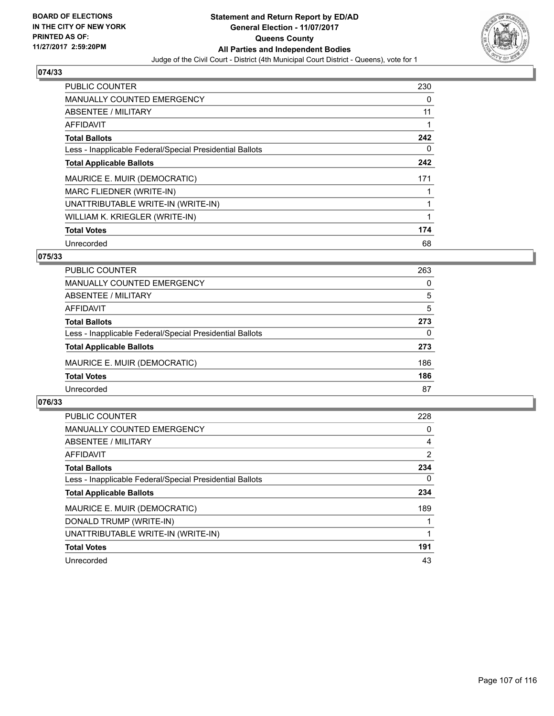

| PUBLIC COUNTER                                           | 230 |
|----------------------------------------------------------|-----|
| <b>MANUALLY COUNTED EMERGENCY</b>                        | 0   |
| ABSENTEE / MILITARY                                      | 11  |
| <b>AFFIDAVIT</b>                                         |     |
| <b>Total Ballots</b>                                     | 242 |
| Less - Inapplicable Federal/Special Presidential Ballots | 0   |
| <b>Total Applicable Ballots</b>                          | 242 |
| MAURICE E. MUIR (DEMOCRATIC)                             | 171 |
| MARC FLIEDNER (WRITE-IN)                                 |     |
| UNATTRIBUTABLE WRITE-IN (WRITE-IN)                       |     |
| WILLIAM K. KRIEGLER (WRITE-IN)                           |     |
| <b>Total Votes</b>                                       | 174 |
| Unrecorded                                               | 68  |

# **075/33**

| <b>PUBLIC COUNTER</b>                                    | 263      |
|----------------------------------------------------------|----------|
| <b>MANUALLY COUNTED EMERGENCY</b>                        | $\Omega$ |
| ABSENTEE / MILITARY                                      | 5        |
| AFFIDAVIT                                                | 5        |
| <b>Total Ballots</b>                                     | 273      |
| Less - Inapplicable Federal/Special Presidential Ballots | 0        |
| <b>Total Applicable Ballots</b>                          | 273      |
| MAURICE E. MUIR (DEMOCRATIC)                             | 186      |
| <b>Total Votes</b>                                       | 186      |
| Unrecorded                                               | 87       |

| <b>PUBLIC COUNTER</b>                                    | 228            |
|----------------------------------------------------------|----------------|
| MANUALLY COUNTED EMERGENCY                               | 0              |
| ABSENTEE / MILITARY                                      | 4              |
| AFFIDAVIT                                                | $\overline{2}$ |
| <b>Total Ballots</b>                                     | 234            |
| Less - Inapplicable Federal/Special Presidential Ballots | $\Omega$       |
| <b>Total Applicable Ballots</b>                          | 234            |
| MAURICE E. MUIR (DEMOCRATIC)                             | 189            |
| DONALD TRUMP (WRITE-IN)                                  |                |
| UNATTRIBUTABLE WRITE-IN (WRITE-IN)                       |                |
| <b>Total Votes</b>                                       | 191            |
| Unrecorded                                               | 43             |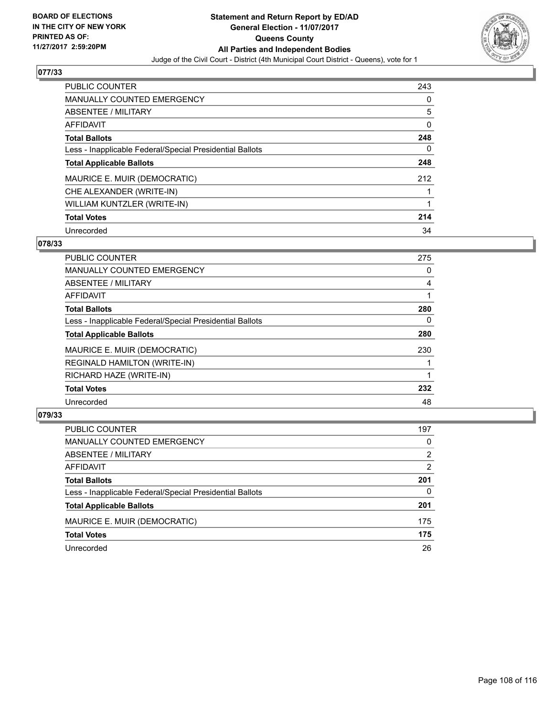

| <b>PUBLIC COUNTER</b>                                    | 243 |
|----------------------------------------------------------|-----|
| <b>MANUALLY COUNTED EMERGENCY</b>                        | 0   |
| ABSENTEE / MILITARY                                      | 5   |
| AFFIDAVIT                                                | 0   |
| <b>Total Ballots</b>                                     | 248 |
| Less - Inapplicable Federal/Special Presidential Ballots | 0   |
| <b>Total Applicable Ballots</b>                          | 248 |
| MAURICE E. MUIR (DEMOCRATIC)                             | 212 |
| CHE ALEXANDER (WRITE-IN)                                 |     |
| WILLIAM KUNTZLER (WRITE-IN)                              |     |
| <b>Total Votes</b>                                       | 214 |
| Unrecorded                                               | 34  |

### **078/33**

| PUBLIC COUNTER                                           | 275 |
|----------------------------------------------------------|-----|
| <b>MANUALLY COUNTED EMERGENCY</b>                        | 0   |
| ABSENTEE / MILITARY                                      | 4   |
| <b>AFFIDAVIT</b>                                         |     |
| <b>Total Ballots</b>                                     | 280 |
| Less - Inapplicable Federal/Special Presidential Ballots | 0   |
| <b>Total Applicable Ballots</b>                          | 280 |
| MAURICE E. MUIR (DEMOCRATIC)                             | 230 |
| <b>REGINALD HAMILTON (WRITE-IN)</b>                      |     |
| RICHARD HAZE (WRITE-IN)                                  |     |
| <b>Total Votes</b>                                       | 232 |
| Unrecorded                                               | 48  |

| <b>PUBLIC COUNTER</b>                                    | 197 |
|----------------------------------------------------------|-----|
| MANUALLY COUNTED EMERGENCY                               | 0   |
| ABSENTEE / MILITARY                                      | 2   |
| AFFIDAVIT                                                | 2   |
| <b>Total Ballots</b>                                     | 201 |
| Less - Inapplicable Federal/Special Presidential Ballots | 0   |
| <b>Total Applicable Ballots</b>                          | 201 |
| MAURICE E. MUIR (DEMOCRATIC)                             | 175 |
| <b>Total Votes</b>                                       | 175 |
| Unrecorded                                               | 26  |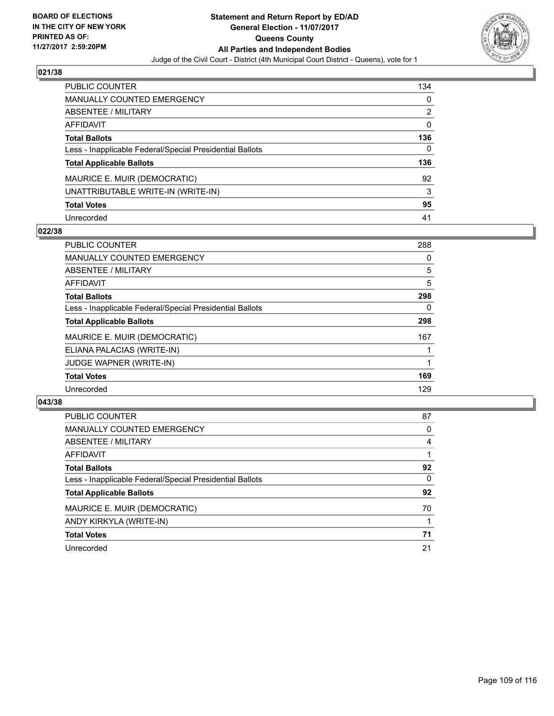

| <b>PUBLIC COUNTER</b>                                    | 134 |
|----------------------------------------------------------|-----|
| <b>MANUALLY COUNTED EMERGENCY</b>                        | 0   |
| ABSENTEE / MILITARY                                      | 2   |
| AFFIDAVIT                                                | 0   |
| <b>Total Ballots</b>                                     | 136 |
| Less - Inapplicable Federal/Special Presidential Ballots | 0   |
| <b>Total Applicable Ballots</b>                          | 136 |
| MAURICE E. MUIR (DEMOCRATIC)                             | 92  |
| UNATTRIBUTABLE WRITE-IN (WRITE-IN)                       | 3   |
| <b>Total Votes</b>                                       | 95  |
| Unrecorded                                               | 41  |

## **022/38**

| <b>PUBLIC COUNTER</b>                                    | 288 |
|----------------------------------------------------------|-----|
| <b>MANUALLY COUNTED EMERGENCY</b>                        | 0   |
| ABSENTEE / MILITARY                                      | 5   |
| AFFIDAVIT                                                | 5   |
| <b>Total Ballots</b>                                     | 298 |
| Less - Inapplicable Federal/Special Presidential Ballots | 0   |
| <b>Total Applicable Ballots</b>                          | 298 |
| MAURICE E. MUIR (DEMOCRATIC)                             | 167 |
| ELIANA PALACIAS (WRITE-IN)                               |     |
| JUDGE WAPNER (WRITE-IN)                                  |     |
| <b>Total Votes</b>                                       | 169 |
| Unrecorded                                               | 129 |

| <b>PUBLIC COUNTER</b>                                    | 87 |
|----------------------------------------------------------|----|
| <b>MANUALLY COUNTED EMERGENCY</b>                        | 0  |
| ABSENTEE / MILITARY                                      | 4  |
| AFFIDAVIT                                                |    |
| <b>Total Ballots</b>                                     | 92 |
| Less - Inapplicable Federal/Special Presidential Ballots | 0  |
| <b>Total Applicable Ballots</b>                          | 92 |
| MAURICE E. MUIR (DEMOCRATIC)                             | 70 |
| ANDY KIRKYLA (WRITE-IN)                                  |    |
| <b>Total Votes</b>                                       | 71 |
| Unrecorded                                               | 21 |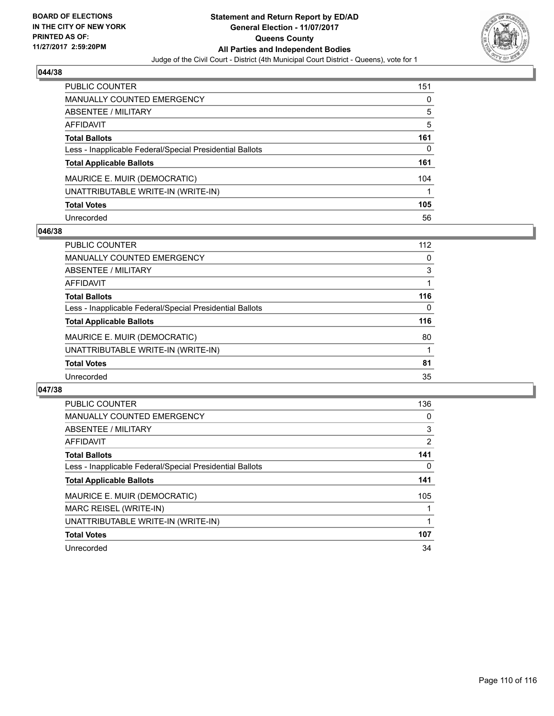

| <b>PUBLIC COUNTER</b>                                    | 151 |
|----------------------------------------------------------|-----|
| <b>MANUALLY COUNTED EMERGENCY</b>                        | 0   |
| <b>ABSENTEE / MILITARY</b>                               | 5   |
| <b>AFFIDAVIT</b>                                         | 5   |
| <b>Total Ballots</b>                                     | 161 |
| Less - Inapplicable Federal/Special Presidential Ballots | 0   |
| <b>Total Applicable Ballots</b>                          | 161 |
| MAURICE E. MUIR (DEMOCRATIC)                             | 104 |
| UNATTRIBUTABLE WRITE-IN (WRITE-IN)                       |     |
| <b>Total Votes</b>                                       | 105 |
| Unrecorded                                               | 56  |

## **046/38**

| <b>PUBLIC COUNTER</b>                                    | 112 |
|----------------------------------------------------------|-----|
| MANUALLY COUNTED EMERGENCY                               | 0   |
| ABSENTEE / MILITARY                                      | 3   |
| AFFIDAVIT                                                |     |
| <b>Total Ballots</b>                                     | 116 |
| Less - Inapplicable Federal/Special Presidential Ballots | 0   |
| <b>Total Applicable Ballots</b>                          | 116 |
| MAURICE E. MUIR (DEMOCRATIC)                             | 80  |
| UNATTRIBUTABLE WRITE-IN (WRITE-IN)                       |     |
| <b>Total Votes</b>                                       | 81  |
| Unrecorded                                               | 35  |

| <b>PUBLIC COUNTER</b>                                    | 136 |
|----------------------------------------------------------|-----|
| <b>MANUALLY COUNTED EMERGENCY</b>                        | 0   |
| ABSENTEE / MILITARY                                      | 3   |
| AFFIDAVIT                                                | 2   |
| <b>Total Ballots</b>                                     | 141 |
| Less - Inapplicable Federal/Special Presidential Ballots | 0   |
| <b>Total Applicable Ballots</b>                          | 141 |
| MAURICE E. MUIR (DEMOCRATIC)                             | 105 |
| MARC REISEL (WRITE-IN)                                   |     |
| UNATTRIBUTABLE WRITE-IN (WRITE-IN)                       |     |
| <b>Total Votes</b>                                       | 107 |
| Unrecorded                                               | 34  |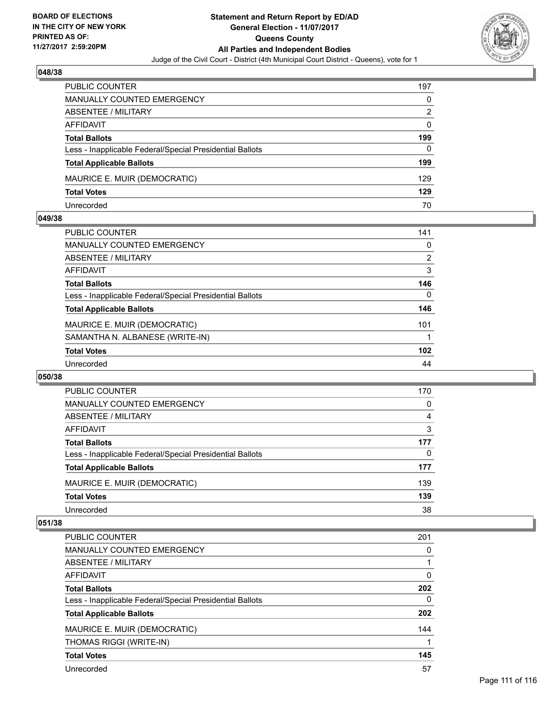

| <b>PUBLIC COUNTER</b>                                    | 197 |
|----------------------------------------------------------|-----|
| MANUALLY COUNTED EMERGENCY                               | 0   |
| ABSENTEE / MILITARY                                      | 2   |
| AFFIDAVIT                                                | 0   |
| <b>Total Ballots</b>                                     | 199 |
| Less - Inapplicable Federal/Special Presidential Ballots | 0   |
| <b>Total Applicable Ballots</b>                          | 199 |
| MAURICE E. MUIR (DEMOCRATIC)                             | 129 |
| <b>Total Votes</b>                                       | 129 |
| Unrecorded                                               | 70  |

#### **049/38**

| <b>PUBLIC COUNTER</b>                                    | 141 |
|----------------------------------------------------------|-----|
| <b>MANUALLY COUNTED EMERGENCY</b>                        | 0   |
| ABSENTEE / MILITARY                                      | 2   |
| <b>AFFIDAVIT</b>                                         | 3   |
| <b>Total Ballots</b>                                     | 146 |
| Less - Inapplicable Federal/Special Presidential Ballots | 0   |
| <b>Total Applicable Ballots</b>                          | 146 |
| MAURICE E. MUIR (DEMOCRATIC)                             | 101 |
| SAMANTHA N. ALBANESE (WRITE-IN)                          |     |
| <b>Total Votes</b>                                       | 102 |
| Unrecorded                                               | 44  |
|                                                          |     |

#### **050/38**

| PUBLIC COUNTER                                           | 170 |
|----------------------------------------------------------|-----|
| <b>MANUALLY COUNTED EMERGENCY</b>                        | 0   |
| <b>ABSENTEE / MILITARY</b>                               | 4   |
| AFFIDAVIT                                                | 3   |
| <b>Total Ballots</b>                                     | 177 |
| Less - Inapplicable Federal/Special Presidential Ballots | 0   |
| <b>Total Applicable Ballots</b>                          | 177 |
| MAURICE E. MUIR (DEMOCRATIC)                             | 139 |
| <b>Total Votes</b>                                       | 139 |
| Unrecorded                                               | 38  |

| <b>PUBLIC COUNTER</b>                                    | 201 |
|----------------------------------------------------------|-----|
| <b>MANUALLY COUNTED EMERGENCY</b>                        | 0   |
| ABSENTEE / MILITARY                                      |     |
| AFFIDAVIT                                                | 0   |
| <b>Total Ballots</b>                                     | 202 |
| Less - Inapplicable Federal/Special Presidential Ballots | 0   |
| <b>Total Applicable Ballots</b>                          | 202 |
| MAURICE E. MUIR (DEMOCRATIC)                             | 144 |
| THOMAS RIGGI (WRITE-IN)                                  |     |
| <b>Total Votes</b>                                       | 145 |
| Unrecorded                                               | 57  |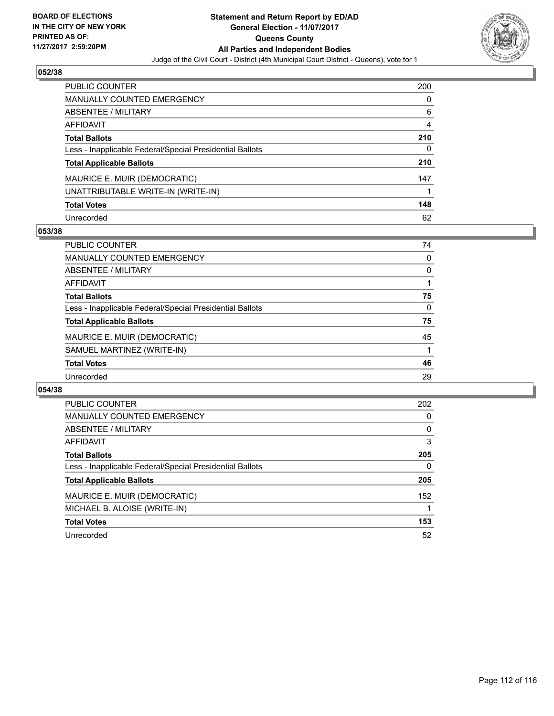

| <b>PUBLIC COUNTER</b>                                    | 200 |
|----------------------------------------------------------|-----|
| <b>MANUALLY COUNTED EMERGENCY</b>                        | 0   |
| ABSENTEE / MILITARY                                      | 6   |
| <b>AFFIDAVIT</b>                                         | 4   |
| <b>Total Ballots</b>                                     | 210 |
| Less - Inapplicable Federal/Special Presidential Ballots | 0   |
| <b>Total Applicable Ballots</b>                          | 210 |
| MAURICE E. MUIR (DEMOCRATIC)                             | 147 |
| UNATTRIBUTABLE WRITE-IN (WRITE-IN)                       |     |
| <b>Total Votes</b>                                       | 148 |
| Unrecorded                                               | 62  |

## **053/38**

| <b>PUBLIC COUNTER</b>                                    | 74 |
|----------------------------------------------------------|----|
| <b>MANUALLY COUNTED EMERGENCY</b>                        | 0  |
| ABSENTEE / MILITARY                                      | 0  |
| AFFIDAVIT                                                |    |
| <b>Total Ballots</b>                                     | 75 |
| Less - Inapplicable Federal/Special Presidential Ballots | 0  |
| <b>Total Applicable Ballots</b>                          | 75 |
| MAURICE E. MUIR (DEMOCRATIC)                             | 45 |
| SAMUEL MARTINEZ (WRITE-IN)                               |    |
| <b>Total Votes</b>                                       | 46 |
| Unrecorded                                               | 29 |

| <b>PUBLIC COUNTER</b>                                    | 202 |
|----------------------------------------------------------|-----|
| <b>MANUALLY COUNTED EMERGENCY</b>                        | 0   |
| ABSENTEE / MILITARY                                      | 0   |
| AFFIDAVIT                                                | 3   |
| <b>Total Ballots</b>                                     | 205 |
| Less - Inapplicable Federal/Special Presidential Ballots | 0   |
| <b>Total Applicable Ballots</b>                          | 205 |
| MAURICE E. MUIR (DEMOCRATIC)                             | 152 |
| MICHAEL B. ALOISE (WRITE-IN)                             |     |
| <b>Total Votes</b>                                       | 153 |
| Unrecorded                                               | 52  |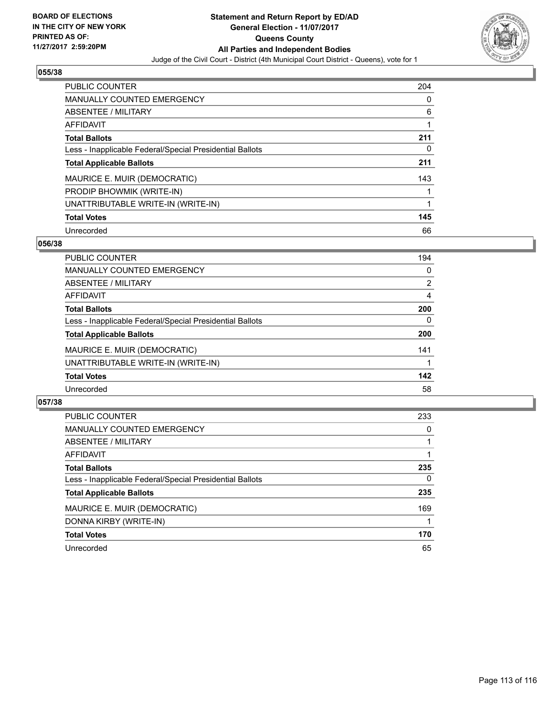

| <b>PUBLIC COUNTER</b>                                    | 204 |
|----------------------------------------------------------|-----|
| <b>MANUALLY COUNTED EMERGENCY</b>                        | 0   |
| ABSENTEE / MILITARY                                      | 6   |
| <b>AFFIDAVIT</b>                                         |     |
| <b>Total Ballots</b>                                     | 211 |
| Less - Inapplicable Federal/Special Presidential Ballots | 0   |
| <b>Total Applicable Ballots</b>                          | 211 |
| MAURICE E. MUIR (DEMOCRATIC)                             | 143 |
| PRODIP BHOWMIK (WRITE-IN)                                |     |
| UNATTRIBUTABLE WRITE-IN (WRITE-IN)                       |     |
| <b>Total Votes</b>                                       | 145 |
| Unrecorded                                               | 66  |

#### **056/38**

| <b>PUBLIC COUNTER</b>                                    | 194 |
|----------------------------------------------------------|-----|
| MANUALLY COUNTED EMERGENCY                               | 0   |
| ABSENTEE / MILITARY                                      | 2   |
| AFFIDAVIT                                                | 4   |
| <b>Total Ballots</b>                                     | 200 |
| Less - Inapplicable Federal/Special Presidential Ballots | 0   |
| <b>Total Applicable Ballots</b>                          | 200 |
| MAURICE E. MUIR (DEMOCRATIC)                             | 141 |
| UNATTRIBUTABLE WRITE-IN (WRITE-IN)                       |     |
| <b>Total Votes</b>                                       | 142 |
| Unrecorded                                               | 58  |

| <b>PUBLIC COUNTER</b>                                    | 233 |
|----------------------------------------------------------|-----|
| <b>MANUALLY COUNTED EMERGENCY</b>                        | 0   |
| ABSENTEE / MILITARY                                      |     |
| AFFIDAVIT                                                |     |
| <b>Total Ballots</b>                                     | 235 |
| Less - Inapplicable Federal/Special Presidential Ballots | 0   |
| <b>Total Applicable Ballots</b>                          | 235 |
| MAURICE E. MUIR (DEMOCRATIC)                             | 169 |
| DONNA KIRBY (WRITE-IN)                                   |     |
| <b>Total Votes</b>                                       | 170 |
| Unrecorded                                               | 65  |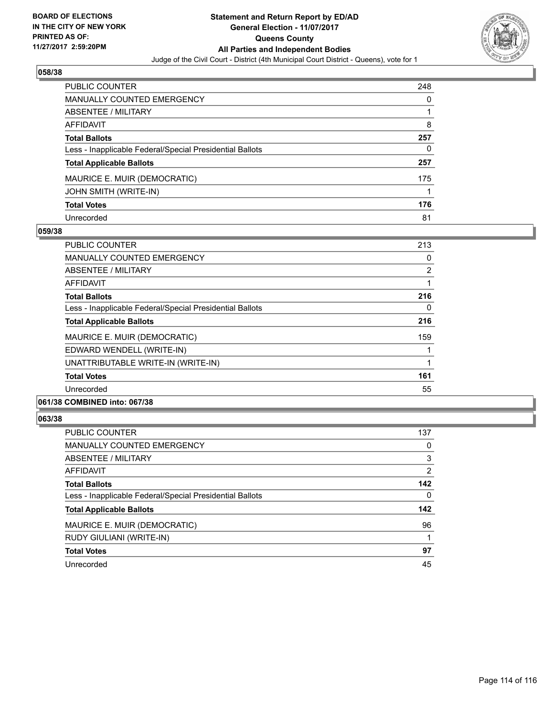

| <b>PUBLIC COUNTER</b>                                    | 248 |
|----------------------------------------------------------|-----|
| <b>MANUALLY COUNTED EMERGENCY</b>                        | 0   |
| ABSENTEE / MILITARY                                      |     |
| <b>AFFIDAVIT</b>                                         | 8   |
| <b>Total Ballots</b>                                     | 257 |
| Less - Inapplicable Federal/Special Presidential Ballots | 0   |
| <b>Total Applicable Ballots</b>                          | 257 |
| MAURICE E. MUIR (DEMOCRATIC)                             | 175 |
| JOHN SMITH (WRITE-IN)                                    |     |
| <b>Total Votes</b>                                       | 176 |
| Unrecorded                                               | 81  |

## **059/38**

| PUBLIC COUNTER                                           | 213            |
|----------------------------------------------------------|----------------|
| <b>MANUALLY COUNTED EMERGENCY</b>                        | 0              |
| ABSENTEE / MILITARY                                      | $\overline{2}$ |
| AFFIDAVIT                                                |                |
| <b>Total Ballots</b>                                     | 216            |
| Less - Inapplicable Federal/Special Presidential Ballots | 0              |
| <b>Total Applicable Ballots</b>                          | 216            |
| MAURICE E. MUIR (DEMOCRATIC)                             | 159            |
| EDWARD WENDELL (WRITE-IN)                                |                |
| UNATTRIBUTABLE WRITE-IN (WRITE-IN)                       |                |
| <b>Total Votes</b>                                       | 161            |
| Unrecorded                                               | 55             |
|                                                          |                |

# **061/38 COMBINED into: 067/38**

| <b>PUBLIC COUNTER</b>                                    | 137            |
|----------------------------------------------------------|----------------|
| <b>MANUALLY COUNTED EMERGENCY</b>                        | 0              |
| <b>ABSENTEE / MILITARY</b>                               | 3              |
| <b>AFFIDAVIT</b>                                         | $\overline{2}$ |
| <b>Total Ballots</b>                                     | 142            |
| Less - Inapplicable Federal/Special Presidential Ballots | 0              |
| <b>Total Applicable Ballots</b>                          | 142            |
| MAURICE E. MUIR (DEMOCRATIC)                             | 96             |
| RUDY GIULIANI (WRITE-IN)                                 |                |
| <b>Total Votes</b>                                       | 97             |
| Unrecorded                                               | 45             |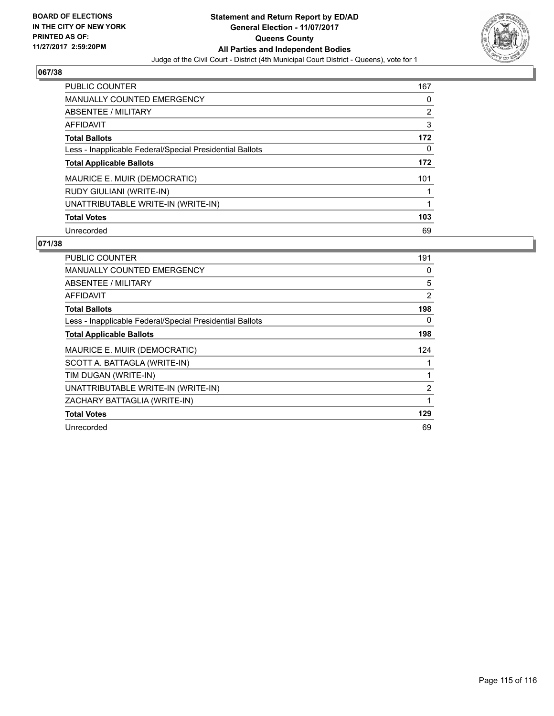

| <b>PUBLIC COUNTER</b>                                    | 167 |
|----------------------------------------------------------|-----|
| MANUALLY COUNTED EMERGENCY                               | 0   |
| ABSENTEE / MILITARY                                      | 2   |
| AFFIDAVIT                                                | 3   |
| <b>Total Ballots</b>                                     | 172 |
| Less - Inapplicable Federal/Special Presidential Ballots | 0   |
| <b>Total Applicable Ballots</b>                          | 172 |
|                                                          |     |
| MAURICE E. MUIR (DEMOCRATIC)                             | 101 |
| RUDY GIULIANI (WRITE-IN)                                 |     |
| UNATTRIBUTABLE WRITE-IN (WRITE-IN)                       |     |
| <b>Total Votes</b>                                       | 103 |

| <b>PUBLIC COUNTER</b>                                    | 191            |
|----------------------------------------------------------|----------------|
| <b>MANUALLY COUNTED EMERGENCY</b>                        | 0              |
| ABSENTEE / MILITARY                                      | 5              |
| AFFIDAVIT                                                | $\overline{2}$ |
| <b>Total Ballots</b>                                     | 198            |
| Less - Inapplicable Federal/Special Presidential Ballots | 0              |
| <b>Total Applicable Ballots</b>                          | 198            |
| MAURICE E. MUIR (DEMOCRATIC)                             | 124            |
| SCOTT A. BATTAGLA (WRITE-IN)                             | 1              |
| TIM DUGAN (WRITE-IN)                                     | 1              |
| UNATTRIBUTABLE WRITE-IN (WRITE-IN)                       | 2              |
| ZACHARY BATTAGLIA (WRITE-IN)                             | 1              |
| <b>Total Votes</b>                                       | 129            |
| Unrecorded                                               | 69             |